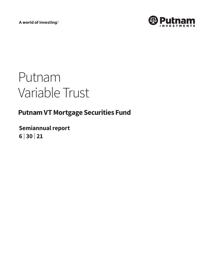A world of investing®



# Putnam Variable Trust

# **Putnam VT Mortgage Securities Fund**

**Semiannual report 6 <sup>|</sup> 30 <sup>|</sup> 21**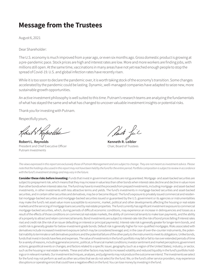# **Message from the Trustees**

August 6, 2021

Dear Shareholder:

The U.S. economy is much improved from a year ago, or even six months ago. Gross domestic product is growing at a pre-pandemic pace. Stock prices are high and interest rates are low. More and more workers are finding jobs, with millions still open. At the same time, vaccinations in many areas have not yet reached enough people to stop the spread of Covid-19. U.S. and global infection rates have recently risen.

While it is too soon to declare the pandemic over, it is worth taking stock of the economy's transition. Some changes accelerated by the pandemic could be lasting. Dynamic, well-managed companies have adapted to seize new, more sustainable growth opportunities.

An active investment philosophy is well suited to this time. Putnam's research teams are analyzing the fundamentals of what has stayed the same and what has changed to uncover valuable investment insights or potential risks.

Thank you for investing with Putnam.

Respectfully yours,

Kihiot

**Robert L. Reynolds Kenneth R. Leibler** President and Chief Executive Officer Chair, Board of Trustees Putnam Investments

*The views expressed in this report are exclusively those of Putnam Management and are subject to change. They are not meant as investment advice. Please note that the holdings discussed in this report may not have been held by the fund for the entire period. Portfolio composition is subject to review in accordance with the fund's investment strategy and may vary in the future.*

**Consider these risks before investing:** Funds that invest in government securities are not guaranteed. Mortgage- and asset-backed securities are subject to prepayment risk, which means that they may increase in value less than other bonds when interest rates decline and decline in value more than other bonds when interest rates rise. The fund may have to invest the proceeds from prepaid investments, including mortgage- and asset-backed investments, in other investments with less attractive terms and yields. The fund's investments in mortgage-backed securities and asset-backed securities, and in certain other securities and derivatives, may be or become illiquid. The fund's exposure to privately issued commercial and residential mortgage-backed securities and mortgage-backed securities issued or guaranteed by the U.S. government or its agencies or instrumentalities may make the fund's net asset value more susceptible to economic, market, political and other developments affecting the housing or real estate markets and the servicing of mortgage loans secured by real estate properties. The fund currently has significant investment exposure to commercial mortgage-backed securities, which, during periods of difficult economic conditions, may experience an increase in delinquencies and losses as a result of the effects of those conditions on commercial real estate markets, the ability of commercial tenants to make loan payments, and the ability of a property to attract and retain commercial tenants. Bond investments are subject to interest-rate risk (the risk of bond prices falling if interest rates rise) and credit risk (the risk of an issuer defaulting on interest or principal payments). Interest-rate risk is generally greater for longer-term bonds, and credit risk is generally greater for below-investment-grade bonds. Default risk is generally higher for non-qualified mortgages. Risks associated with derivatives include increased investment exposure (which may be considered leverage) and, in the case of over-the-counter instruments, the potential inability to terminate or sell derivatives positions and the potential failure of the other party to the instrument to meet its obligations. Unlike bonds, funds that invest in bonds have fees and expenses. The value of investments in the fund's portfolio may fall or fail to rise over extended periods of time for a variety of reasons, including general economic, political, or financial market conditions; investor sentiment and market perceptions; government actions; geopolitical events or changes; and factors related to a specific issuer, geography (such as a region of the United States), industry, or sector, such as the housing or real estate markets. These and other factors may lead to increased volatility and reduced liquidity in the fund's portfolio holdings or in relevant markets. Our investment techniques, analyses, and judgments may not produce the outcome we intend. The investments we select for the fund may not perform as well as other securities that we do not select for the fund. We, or the fund's other service providers, may experience disruptions or operating errors that could have a negative effect on the fund. You can lose money by investing in the fund.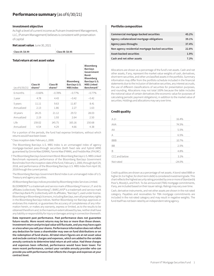### **Investment objective**

As high a level of current income as Putnam Investment Management, LLC, (Putnam Management) believes is consistent with preservation of capital

### **Net asset value** June 30, 2021

| Class IA: \$8.99 |  |
|------------------|--|
|                  |  |

**Total return at net asset value** 

**Class IA: \$8.99 Class IB: \$8.95**

| (as of 6/30/21) | Class IA<br>shares* | Class IB<br>shares* | <b>Bloomberg</b><br>Barclays U.S.<br><b>MBS</b> Index | Bloomberg<br><b>Barclays</b><br>Government<br>Bond-<br>Bloomberg<br>Barclays U.S.<br><b>MBS Linked</b><br>Benchmark <sup>†</sup> |
|-----------------|---------------------|---------------------|-------------------------------------------------------|----------------------------------------------------------------------------------------------------------------------------------|
| 6 months        | $-0.66%$            | $-0.78%$            | $-0.77%$                                              | $-0.77%$                                                                                                                         |
| 1 year          | 4.78                | 4.43                | $-0.42$                                               | $-0.42$                                                                                                                          |
| 5 years         | 11.11               | 9.63                | 11.87                                                 | 8.41                                                                                                                             |
| Annualized      | 2.13                | 1.86                | 2.27                                                  | 1.63                                                                                                                             |
| 10 years        | 24.25               | 21.12               | 29.72                                                 | 28.03                                                                                                                            |
| Annualized      | 2.19                | 1.93                | 2.64                                                  | 2.50                                                                                                                             |
| l ife           | 159.02              | 145.75              | 165.16                                                | 150.68                                                                                                                           |
| Annualized      | 4.54                | 4.29                | 4.66                                                  | 4.38                                                                                                                             |

For a portion of the periods, the fund had expense limitations, without which returns would have been lower.

\*Class inception date: February 1, 2000.

The Bloomberg Barclays U.S. MBS Index is an unmanaged index of agency mortgage-backed pass-through securities (both fixed rate and hybrid ARM) guaranteed by Ginnie Mae (GNMA), Fannie Mae (FNMA), and Freddie Mac (FHLMC).

†The Bloomberg Barclays Government Bond-Bloomberg Barclays U.S. MBS Linked Benchmark represents performance of the Bloomberg Barclays Government Bond Index from the inception date of the fund, February 1, 2000, through April 29, 2018, and performance of the Bloomberg Barclays U.S. MBS Index from April 30, 2018 through the current period.

The Bloomberg Barclays Government Bond Index is an unmanaged index of U.S. Treasury and agency securities.

All Bloomberg Barclays indices provided by Bloomberg Index Services Limited.

BLOOMBERG® is a trademark and service mark of Bloomberg Finance L.P. and its affiliates (collectively "Bloomberg"). BARCLAYS® is a trademark and service mark of Barclays Bank Plc (collectively with its affiliates, "Barclays"), used under license. Bloomberg or Bloomberg's licensors, including Barclays, own all proprietary rights in the Bloomberg Barclays Indices. Neither Bloomberg nor Barclays approves or endorses this material, or guarantees the accuracy of completeness of any information herein, or makes any warranty, express or limited, as to the results to be obtained therefrom and, to the maximum extent allowed by law, neither shall have any liability or responsibility for injury or damages arising in connection therewith.

**Data represent past performance. Past performance does not guarantee future results. More recent returns may be less or more than those shown. Investment return and principal value will fluctuate, and you may have a gain or a loss when you sell your shares. Performance information does not reflect any deduction for taxes a shareholder may owe on fund distributions or on the redemption of fund shares. All total return figures are at net asset value and exclude contract charges and expenses, which are added to the variable annuity contracts to determine total return at unit value. Had these charges and expenses been reflected, performance would have been lower. For more recent performance, contact your variable annuity provider who can provide you with performance that reflects the charges and expenses at your contract level.**

### **Portfolio composition**

| Commercial mortgage-backed securities             | 45.2% |
|---------------------------------------------------|-------|
| Agency collateralized mortgage obligations        | 39.1% |
| Agency pass-throughs                              | 37.4% |
| Non-agency residential mortgage-backed securities | 22.8% |
| Asset-backed securities                           | 1.9%  |
| Cash and net other assets                         | 7.3%  |

Allocations are shown as a percentage of the fund's net assets. Cash and net other assets, if any, represent the market value weights of cash, derivatives, short-term securities, and other unclassified assets in the portfolio. Summary information may differ from the portfolio schedule included in the financial statements due to the inclusion of derivative securities, any interest accruals, the use of different classifications of securities for presentation purposes, and rounding. Allocations may not total 100% because the table includes the notional value of certain derivatives (the economic value for purposes of calculating periodic payment obligations), in addition to the market value of securities. Holdings and allocations may vary over time.

### **Credit quality**

| $A-1+$        | 16.4%    |
|---------------|----------|
| AAA           | 74.5%    |
| AA            | 5.5%     |
| Α             | 6.5%     |
| <b>BBB</b>    | 10.7%    |
| <b>BB</b>     | 2.5%     |
| B             | 4.8%     |
| CCC and below | 3.1%     |
| Not rated     | $-24.0%$ |
|               |          |

Credit qualities are shown as a percentage of net assets. A bond rated BBB or higher (A-3 or higher, for short-term debt) is considered investment grade. This chart reflects the highest security rating provided by one or more of Standard & Poor's, Moody's, and Fitch. To-be-announced (TBA) mortgage commitments, if any, are included based on their issuer ratings. Ratings may vary over time.

Cash, derivative instruments, and net other assets are shown in the not-rated category. Payables and receivables for TBA mortgage commitments are included in the not-rated category and may result in negative weights. The fund itself has not been rated by an independent rating agency.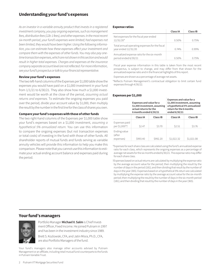### **Understanding your fund's expenses**

*As an investor in a variable annuity product that invests in a registered investment company, you pay ongoing expenses, such as management fees, distribution fees (12b-1 fees), and other expenses. In the most recent six-month period, your fund's expenses were limited; had expenses not been limited, they would have been higher. Using the following information, you can estimate how these expenses affect your investment and compare them with the expenses of other funds. You may also pay onetime transaction expenses, which are not shown in this section and would result in higher total expenses. Charges and expenses at the insurance company separate account level are not reflected. For more information, see your fund's prospectus or talk to your financial representative.*

### **Review your fund's expenses**

The two left-hand columns of the Expenses per \$1,000 table show the expenses you would have paid on a \$1,000 investment in your fund from  $1/1/21$  to  $6/30/21$ . They also show how much a \$1,000 investment would be worth at the close of the period, *assuming actual returns and expenses.* To estimate the ongoing expenses you paid over the period, divide your account value by \$1,000, then multiply the result by the number in the first line for the class of shares you own.

### **Compare your fund's expenses with those of other funds**

The two right-hand columns of the Expenses per \$1,000 table show your fund's expenses based on a \$1,000 investment, *assuming a hypothetical 5% annualized return.* You can use this information to compare the ongoing expenses (but not transaction expenses or total costs) of investing in the fund with those of other funds. All shareholder reports of mutual funds and funds serving as variable annuity vehicles will provide this information to help you make this comparison. Please note that you cannot use this information to estimate your actual ending account balance and expenses paid during the period.

### **Expense ratios**

|                                                                       | Class IA | Class IB |
|-----------------------------------------------------------------------|----------|----------|
| Net expenses for the fiscal year ended<br>$12/31/20*$                 | 0.50%    | 0.75%    |
| Total annual operating expenses for the fiscal<br>year ended 12/31/20 | 0.74%    | በ ዓዓ%    |
| Annualized expense ratio for the six-month<br>period ended 6/30/21    | 0.50%    | በ 75%    |

Fiscal year expense information in this table is taken from the most recent prospectus, is subject to change, and may differ from that shown for the annualized expense ratio and in the financial highlights of this report.

Expenses are shown as a percentage of average net assets.

\*Reflects Putnam Management's contractual obligation to limit certain fund expenses through 4/30/22.

### **Expenses per \$1,000**

|                                     | Expenses and value for a<br>\$1,000 investment, assuming<br>actual returns for the<br>6 months ended 6/30/21 |          | Expenses and value for a<br>\$1,000 investment, assuming<br>a hypothetical 5% annualized<br>return for the 6 months<br>ended 6/30/21 |            |
|-------------------------------------|--------------------------------------------------------------------------------------------------------------|----------|--------------------------------------------------------------------------------------------------------------------------------------|------------|
|                                     | Class IA                                                                                                     | Class IB | Class IA                                                                                                                             | Class IB   |
| Expenses paid<br>per \$1,000*†      | \$2.47                                                                                                       | \$3.70   | \$2.51                                                                                                                               | \$3.76     |
| Ending value<br>(after<br>expenses) | \$993.40                                                                                                     | \$992.20 | \$1,022.32                                                                                                                           | \$1,021.08 |

\*Expenses for each share class are calculated using the fund's annualized expense ratio for each class, which represents the ongoing expenses as a percentage of average net assets for the six months ended 6/30/21. The expense ratio may differ for each share class.

†Expenses based on actual returns are calculated by multiplying the expense ratio by the average account value for the period; then multiplying the result by the number of days in the period (181); and then dividing that result by the number of days in the year (365). Expenses based on a hypothetical 5% return are calculated by multiplying the expense ratio by the average account value for the six-month period; then multiplying the result by the number of days in the six-month period (181); and then dividing that result by the number of days in the year (365).

### **Your fund's managers**



Portfolio Manager **Michael V. Salm** is Chief Investment Officer, Fixed Income. He joined Putnam in 1997 and has been in the investment industry since 1989. Brett S. Kozlowski, CFA, and Jatin Misra, Ph.D., CFA,

are also Portfolio Managers of the fund.

Your fund's managers also manage other accounts advised by Putnam Management or an affiliate, including retail mutual fund counterparts to the funds in Putnam Variable Trust.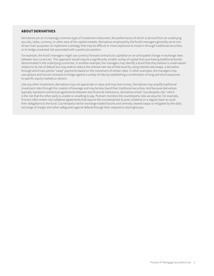### **ABOUT DERIVATIVES**

Derivatives are an increasingly common type of investment instrument, the performance of which is *derived* from an underlying security, index, currency, or other area of the capital markets. Derivatives employed by the fund's managers generally serve one of two main purposes: to implement a strategy that may be difficult or more expensive to invest in through traditional securities, or to hedge unwanted risk associated with a particular position.

For example, the fund's managers might use currency forward contracts to capitalize on an anticipated change in exchange rates between two currencies. This approach would require a significantly smaller outlay of capital than purchasing traditional bonds denominated in the underlying currencies. In another example, the managers may identify a bond that they believe is undervalued relative to its risk of default but may seek to reduce the interest-rate risk of that bond by using interest-rate swaps, a derivative through which two parties "swap" payments based on the movement of certain rates. In other examples, the managers may use options and futures contracts to hedge against a variety of risks by establishing a combination of long and short exposures to specific equity markets or sectors.

Like any other investment, derivatives may not appreciate in value and may lose money. Derivatives may amplify traditional investment risks through the creation of leverage and may be less liquid than traditional securities. And because derivatives typically represent contractual agreements between two financial institutions, derivatives entail "counterparty risk," which is the risk that the other party is unable or unwilling to pay. Putnam monitors the counterparty risks we assume. For example, Putnam often enters into collateral agreements that require the counterparties to post collateral on a regular basis to cover their obligations to the fund. Counterparty risk for exchange-traded futures and centrally cleared swaps is mitigated by the daily exchange of margin and other safeguards against default through their respective clearinghouses.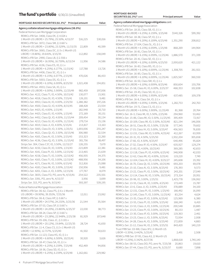## **The fund's portfolio** 6/30/21 (Unaudited) *CONDER BACKED* **Principal amount Value**

| MORTGAGE-BACKED SECURITIES (82.3%)* Principal amount                                      |           | Value    |
|-------------------------------------------------------------------------------------------|-----------|----------|
| Agency collateralized mortgage obligations (38.0%)                                        |           |          |
| Federal Home Loan Mortgage Corporation                                                    |           |          |
| REMICs IFB Ser. 3408, Class EK, ((-4.024 x                                                |           |          |
| 1 Month US LIBOR) + 25.79%), 25.50%, 4/15/37                                              | \$16,225  | \$30,016 |
| REMICs IFB Ser. 3072, Class SM, ((-3.667 x                                                |           |          |
| 1 Month US LIBOR) + 23.80%), 23.529%, 11/15/35                                            | 22,809    | 40,599   |
| REMICs IFB Ser. 3065, Class DC, ((-3 x 1 Month US                                         |           |          |
| LIBOR) + 19.86%), 19.641%, 3/15/35                                                        | 112,892   | 158,049  |
| REMICs IFB Ser. 2990, Class LB, ((-2.556 x                                                |           |          |
| 1 Month US LIBOR) + 16.95%), 16.759%, 6/15/34                                             | 11,956    | 14,586   |
| REMICs IFB Ser. 4136, Class ES, IO, ((-1 x                                                |           |          |
| 1 Month US LIBOR) + 6.25%), 6.177%, 11/15/42                                              | 117,788   | 13,726   |
| REMICs IFB Ser. 4436, Class SC, IO, ((-1 x                                                |           |          |
| 1 Month US LIBOR) + 6.15%), 6.077%, 2/15/45                                               | 470,026   | 86,433   |
| REMICs IFB Ser. 5003, Class DS, IO, ((-1 x<br>1 Month US LIBOR) + 6.10%), 6.009%, 8/25/50 | 1,021,438 | 194,851  |
| REMICs IFB Ser. 4933, Class SA, IO, ((-1 x                                                |           |          |
| 1 Month US LIBOR) + 6.00%), 5.909%, 12/25/49                                              | 982,459   | 197,006  |
| REMICs Ser. 4122, Class TI, IO, 4.50%, 10/15/42                                           | 130,077   | 15,901   |
| REMICs Ser. 4018, Class DI, IO, 4.50%, 7/15/41                                            | 126,101   | 9,481    |
| REMICs Ser. 4953, Class AI, IO, 4.00%, 2/25/50                                            | 1,288,382 | 197,226  |
| REMICs Ser. 4500, Class GI, IO, 4.00%, 8/15/45                                            | 188,428   | 23,554   |
| REMICs Ser. 4425, IO, 4.00%, 1/15/45                                                      | 182,948   | 20,710   |
| REMICs Ser. 4425, Class EI, IO, 4.00%, 1/15/45                                            | 272,169   | 30,151   |
| REMICs Ser. 4452, Class QI, IO, 4.00%, 11/15/44                                           | 209,454   | 30,134   |
| REMICs Ser. 4213, Class GI, IO, 4.00%, 11/15/41                                           | 279,714   | 15,136   |
| REMICs Ser. 4019, Class JI, IO, 4.00%, 5/15/41                                            | 213,817   | 13,163   |
| REMICs Ser. 5065, Class DI, IO, 3.50%, 1/25/51                                            | 1,693,006 | 255,247  |
| REMICs Ser. 4621, Class QI, IO, 3.50%, 10/15/46                                           | 306,980   | 32,534   |
| REMICs Ser. 4165, Class AI, IO, 3.50%, 2/15/43                                            | 153,323   | 22,260   |
| REMICs Ser. 4136, Class IQ, IO, 3.50%, 11/15/42                                           | 301,756   | 38,497   |
| Strips Ser. 304, Class C37, IO, 3.50%, 12/15/27                                           | 128,255   | 7,670    |
| REMICs Ser. 4150, Class DI, IO, 3.00%, 1/15/43                                            | 223,809   | 22,381   |
| REMICs Ser. 4141, Class PI, IO, 3.00%, 12/15/42                                           | 213,465   | 21,639   |
| REMICs Ser. 4158, Class TI, IO, 3.00%, 12/15/42                                           | 456,935   | 34,375   |
| REMICs Ser. 4165, Class TI, IO, 3.00%, 12/15/42                                           | 488,956   | 34,106   |
| REMICs Ser. 4171, Class NI, IO, 3.00%, 6/15/42                                            | 312,816   | 25,088   |
| REMICs Ser. 4183, Class MI, IO, 3.00%, 2/15/42                                            | 150,956   | 9,481    |
| REMICs Ser. 4201, Class JI, IO, 3.00%, 12/15/41                                           | 177,767   | 8,079    |
| REMICs Ser. 3835, Class FO, PO, zero %, 4/15/41                                           | 254,522   | 235,501  |
| REMICs Ser. 3391, PO, zero %, 4/15/37                                                     | 3,956     | 3,699    |
| Strips Ser. 315, PO, zero %, 9/15/43                                                      | 593,597   | 539,195  |
|                                                                                           |           |          |
| Federal National Mortgage Association<br>REMICs IFB Ser. 06-62, Class PS, ((-6 x 1 Month  |           |          |
| US LIBOR) + 39.90%), 39.351%, 7/25/36                                                     | 12,011    | 23,062   |
| REMICs IFB Ser. 06-8, Class HP, ((-3.667 x                                                |           |          |
| 1 Month US LIBOR) + 24.57%), 24.231%, 3/25/36                                             | 21,544    | 35,564   |
| REMICs IFB Ser. 07-53, Class SP, ((-3.667 x                                               |           |          |
| 1 Month US LIBOR) + 24.20%), 23.865%, 6/25/37                                             | 22,030    | 38,773   |
| REMICs IFB Ser. 08-24, Class SP, ((-3.667 x                                               |           |          |
| 1 Month US LIBOR) + 23.28%), 22.948%, 2/25/38                                             | 81,929    | 107,648  |
| REMICs IFB Ser. 05-106, Class JC, ((-3.101 x                                              |           |          |
| 1 Month US LIBOR) + 20.12%), 19.84%, 12/25/35                                             | 28,724    | 41,650   |
| REMICs IFB Ser. 11-4, Class CS, ((-2 x 1 Month US                                         |           |          |
| LIBOR) + 12.90%), 12.717%, 5/25/40                                                        | 41,502    | 50,633   |
| REMICs IFB Ser. 11-123, Class KS, IO, ((-1 x                                              |           |          |
| 1 Month US LIBOR) + 6.60%), 6.509%, 10/25/41                                              | 30,920    | 3,626    |
| REMICs IFB Ser. 18-47, Class SA, IO, ((-1 x                                               |           |          |
| 1 Month US LIBOR) + 6.25%), 6.159%, 7/25/48                                               | 452,469   | 94,856   |
| REMICs IFB Ser. 18-36, Class SD, IO, ((-1 x                                               |           |          |
| 1 Month US LIBOR) + 6.25%), 6.159%, 6/25/48                                               | 1,162,661 | 229,982  |

| SECURITIES (82.3%)* cont.                                                                      | <b>Principal amount</b> | Value     |
|------------------------------------------------------------------------------------------------|-------------------------|-----------|
| Agency collateralized mortgage obligations cont.                                               |                         |           |
| Federal National Mortgage Association                                                          |                         |           |
| REMICs IFB Ser. 18-20, Class SB, IO, ((-1 x                                                    |                         |           |
| 1 Month US LIBOR) + 6.25%), 6.159%, 3/25/48                                                    | \$540,326               | \$99,392  |
| REMICs IFB Ser. 18-38, Class SP, IO, ((-1 x<br>1 Month US LIBOR) + 6.20%), 6.109%, 6/25/48     | 1,351,290               | 208,812   |
| REMICs IFB Ser. 17-104, Class SL, IO, ((-1 x<br>1 Month US LIBOR) + 6.15%), 6.059%, 1/25/48    | 868,269                 | 144,964   |
| REMICs IFB Ser. 16-81, Class SA, IO, ((-1 x<br>1 Month US LIBOR) + 6.15%), 6.059%, 11/25/46    | 1,886,570               | 371,339   |
| REMICs IFB Ser. 20-41, Class SE, IO, ((-1 x<br>1 Month US LIBOR) + 6.10%), 6.009%, 6/25/50     | 2,000,620               | 421,122   |
| REMICs IFB Ser. 16-83, Class BS, IO, ((-1 x                                                    |                         |           |
| 1 Month US LIBOR) + 6.10%), 6.009%, 11/25/46<br>REMICs IFB Ser. 16-85, Class SL, IO, ((-1 x    | 1,308,705               | 261,921   |
| 1 Month US LIBOR) + 6.10%), 6.009%, 11/25/46<br>REMICs IFB Ser. 16-50, Class SM, IO, ((-1 x    | 1,825,567               | 360,550   |
| 1 Month US LIBOR) + 6.10%), 6.009%, 8/25/46                                                    | 850,604                 | 155,706   |
| REMICs Ser. 15-58, Class KI, IO, 6.00%, 3/25/37<br>REMICs IFB Ser. 19-45, Class SD, IO, ((-1 x | 468,353                 | 102,838   |
| 1 Month US LIBOR) + 6.05%), 5.959%, 8/25/49<br>REMICs IFB Ser. 16-8, Class SA, IO, ((-1 x      | 637,485                 | 109,378   |
| 1 Month US LIBOR) + 6.05%), 5.959%, 3/25/46                                                    | 1,282,753               | 242,763   |
| REMICs IFB Ser. 19-71, Class CS, IO, ((-1 x                                                    |                         |           |
| 1 Month US LIBOR) + 6.00%), 5.909%, 11/25/49                                                   | 81,368                  | 20,764    |
| REMICs Ser. 16-3, Class MI, IO, 5.50%, 2/25/46                                                 | 294,960                 | 53,462    |
| REMICs Ser. 15-86, Class MI, IO, 5.50%, 11/25/45                                               | 395,409                 | 72,917    |
| REMICs Ser. 10-109, Class IM, IO, 5.50%, 9/25/40                                               | 821,194                 | 146,006   |
| REMICs Ser. 18-51, Class BI, IO, 5.50%, 7/25/38                                                | 577,345                 | 79,602    |
| REMICs Ser. 17-19, Class IH, IO, 5.00%, 3/25/47                                                | 456,563                 | 76,830    |
| REMICs Ser. 12-151, Class IM, IO, 5.00%, 4/25/42                                               | 412,267                 | 63,959    |
| REMICs Ser. 20-31, IO, 4.50%, 5/25/50                                                          | 1,932,204               | 305,658   |
| REMICs Ser. 17-66, IO, 4.50%, 9/25/47                                                          | 640,496                 | 95,824    |
| REMICs Ser. 17-32, Class IP, IO, 4.50%, 5/25/47                                                | 635,927                 | 129,274   |
| REMICs Ser. 15-83, IO, 4.00%, 10/25/43                                                         | 369,285                 | 42,653    |
| REMICs Ser. 12-118, Class PI, IO, 4.00%, 6/25/42                                               | 348,908                 | 42,033    |
| REMICs Ser. 12-62, Class MI, IO, 4.00%, 3/25/41                                                | 119,220                 | 7,749     |
| REMICs Ser. 12-104, Class HI, IO, 4.00%, 9/25/27                                               | 245,608                 | 19,392    |
| REMICs Ser. 16-70, Class QI, IO, 3.50%, 10/25/46                                               | 693,203                 | 69,078    |
| REMICs Ser. 15-10, Class AI, IO, 3.50%, 8/25/43                                                | 176,393                 | 9,573     |
| REMICs Ser. 13-22, Class PI, IO, 3.50%, 10/25/42                                               | 243,201                 | 27,049    |
| REMICs Ser. 12-114, Class NI, IO, 3.50%, 10/25/41                                              | 273,314                 | 20,951    |
| REMICs Ser. 20-96, IO, 3.00%, 1/25/51                                                          | 1,425,778               | 136,062   |
| REMICs Ser. 13-55, Class IK, IO, 3.00%, 4/25/43                                                | 173,449                 | 15,787    |
| REMICs Ser. 13-6, Class JI, IO, 3.00%, 2/25/43                                                 | 378,889                 | 34,100    |
| REMICs Ser. 12-151, Class PI, IO, 3.00%, 1/25/43                                               | 166,492                 | 16,090    |
| REMICs Ser. 12-145, Class TI, IO, 3.00%, 11/25/42                                              | 83,254                  | 4,624     |
| REMICs Ser. 13-35, Class IP, IO, 3.00%, 6/25/42                                                | 125,969                 | 6,380     |
| REMICs Ser. 13-55, Class PI, IO, 3.00%, 5/25/42                                                | 168,240                 | 6,410     |
| REMICs Ser. 13-53, Class JI, IO, 3.00%, 12/25/41                                               | 200,548                 | 10,885    |
| REMICs Ser. 13-23, Class PI, IO, 3.00%, 10/25/41                                               | 80,153                  | 1,487     |
| REMICs Ser. 13-30, Class IP, IO, 3.00%, 10/25/41                                               | 119,363                 | 2,461     |
| REMICs Ser. 13-23, Class LI, IO, 3.00%, 6/25/41                                                | 72,934                  | 2,008     |
| REMICs Ser. 14-28, Class AI, IO, 3.00%, 3/25/40                                                | 172,859                 | 4,883     |
| REMICs Ser. 21-12, Class NI, IO, 2.50%, 3/25/51                                                | 843,420                 | 140,219   |
| Trust FRB Ser. 03-W8, Class 3F2, (1 Month US                                                   |                         |           |
| LIBOR + 0.35%), 0.442%, 5/25/42                                                                | 2,491                   | 2,508     |
| REMICs FRB Ser. 07-95, Class A3, (1 Month US                                                   |                         |           |
| LIBOR + 0.25%), 0.342%, 8/27/36                                                                | 1,868,618               | 1,740,140 |
| REMICs Ser. 08-53, Class DO, PO, zero %, 7/25/38                                               | 20,863                  | 19,610    |
| REMICs Ser. 07-44, Class CO, PO, zero %, 5/25/37                                               | 8,680                   | 7,898     |
|                                                                                                |                         |           |

**MORTGAGE-BACKED**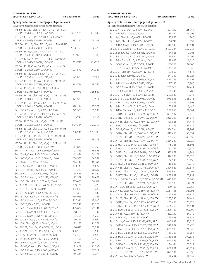| MORTGAGE-BACKED<br>SECURITIES (82.3%)* cont.                                          | Principal amount | Value    | MORTGAGE-BACKED<br>SECURITIES (82.3%)* cont.     | Principal amount | Value    |
|---------------------------------------------------------------------------------------|------------------|----------|--------------------------------------------------|------------------|----------|
| Agency collateralized mortgage obligations cont.                                      |                  |          | Agency collateralized mortgage obligations cont. |                  |          |
| Government National Mortgage Association                                              |                  |          | Government National Mortgage Association         |                  |          |
| IFB Ser. 13-182, Class SP, IO, ((-1 x 1 Month US)                                     |                  |          | Ser. 12-47, Class CI, IO, 4.00%, 3/20/42         | \$108,142        | \$15,744 |
| LIBOR) + 6.70%), 6.607%, 12/20/43                                                     | \$191,239        | \$37,800 | Ser. 14-104, IO, 4.00%, 3/20/42                  | 285,282          | 35,297   |
| IFB Ser. 11-156, Class SK, IO, ((-1 x 1 Month US)                                     |                  |          | Ser. 14-4, Class IK, IO, 4.00%, 7/20/39          | 30,856           | 340      |
| LIBOR) + 6.60%), 6.507%, 4/20/38                                                      | 532,260          | 125,103  | Ser. 11-71, Class IK, IO, 4.00%, 4/16/39         | 50,749           | 858      |
| FRB Ser. 20-112, Class MS, IO, ((-1 x 1 Month US                                      |                  |          | Ser. 14-182, Class BI, IO, 4.00%, 1/20/39        | 414,540          | 48,031   |
| LIBOR) + 6.30%), 6.207%, 8/20/50                                                      | 2,150,403        | 466,379  | Ser. 20-175, Class JI, IO, 3.50%, 11/20/50       | 2,101,334        | 302,013  |
| IFB Ser. 18-89, Class LS, IO, ((-1 x 1 Month US                                       |                  |          | Ser. 16-156, Class PI, IO, 3.50%, 11/20/46       | 84,081           | 2,001    |
| LIBOR) + 6.20%), 6.107%, 6/20/48                                                      | 437,653          | 66,389   | Ser. 18-127, Class IE, IO, 3.50%, 1/20/46        | 166,944          | 16,092   |
| IFB Ser. 17-156, Class SL, IO, ((-1 x 1 Month US<br>LIBOR) + 6.20%), 6.107%, 10/20/47 | 653,737          | 119,716  | Ser. 13-79, Class PI, IO, 3.50%, 4/20/43         | 138,042          | 11,620   |
| IFB Ser. 13-87, Class SA, IO, ((-1 x 1 Month US                                       |                  |          | Ser. 15-168, Class IG, IO, 3.50%, 3/20/43        | 189,759          | 16,749   |
| LIBOR) + 6.20%), 6.107%, 6/20/43                                                      | 907,572          | 177,583  | Ser. 13-37, Class JI, IO, 3.50%, 1/20/43         | 100,364          | 10,048   |
| IFB Ser. 19-35, Class SE, IO, ((-1 x 1 Month US)                                      |                  |          | Ser. 13-27, Class PI, IO, 3.50%, 12/20/42        | 51,052           | 4,874    |
| LIBOR) + 6.15%), 6.075%, 1/16/44                                                      | 522,603          | 92,914   | Ser. 12-136, IO, 3.50%, 11/20/42                 | 347,150          | 51,127   |
| IFB Ser. 19-158, Class AS, IO, ((-1 x 1 Month US                                      |                  |          | Ser. 18-127, Class IA, IO, 3.50%, 4/20/42        | 444,256          | 32,351   |
| LIBOR) + 6.15%), 6.075%, 9/16/43                                                      | 863,726          | 158,260  | Ser. 14-102, Class IG, IO, 3.50%, 3/16/41        | 87,186           | 5,346    |
| IFB Ser. 19-56, Class SK, IO, ((-1 x 1 Month US                                       |                  |          | Ser. 15-52, Class KI, IO, 3.50%, 11/20/40        | 252,518          | 16,414   |
| LIBOR) + 6.15%), 6.057%, 5/20/49                                                      | 960,073          | 138,552  | Ser. 15-99, Class TI, IO, 3.50%, 4/20/39         | 66,446           | 280      |
| IFB Ser. 18-148, Class GS, IO, ((-1 x 1 Month US                                      |                  |          | Ser. 15-24, Class AI, IO, 3.50%, 12/20/37        | 215,540          | 7,077    |
| LIBOR) + 6.10%), 6.025%, 2/16/46                                                      | 473,523          | 91,561   | Ser. 20-176, Class BI, IO, 3.00%, 11/20/50       | 973,843          | 138,773  |
| IFB Ser. 19-100, Class JS, IO, ((-1 x 1 Month US                                      |                  |          | Ser. 14-160, Class IB, IO, 3.00%, 11/20/40       | 140,049          | 1,993    |
| LIBOR) + 6.10%), 6.007%, 8/20/49                                                      | 588,134          | 87,578   | Ser. 14-141, Class CI, IO, 3.00%, 3/20/40        | 53,821           | 1,480    |
| Ser. 16-75, Class LI, IO, 6.00%, 1/20/40                                              | 275,587          | 56,630   | Ser. 14-174, Class AI, IO, 3.00%, 11/16/29       | 288,055          | 21,604   |
| IFB Ser. 20-15, Class CS, IO, ((-1 x 1 Month US                                       |                  |          | Ser. 16-H18, Class QI, IO, 2.727%, 6/20/66 W     | 1,067,582        | 84,415   |
| LIBOR) + 6.05%), 5.957%, 2/20/50                                                      | 49,784           | 6,035    | Ser. 16-H13, Class IK, IO, 2.64%, 6/20/66 W      | 1,070,326        | 114,674  |
| IFB Ser. 20-7, Class SK, IO, ((-1 x 1 Month US                                        |                  |          | Ser. 17-H25, Class AI, IO, 2.576%, 12/20/67 W    | 420,826          | 34,447   |
| LIBOR) + 6.05%), 5.957%, 1/20/50                                                      | 904,384          | 150,540  | Ser. 18-H02, IO, 2.539%, 1/20/68W                | 351,005          | 29,312   |
| IFB Ser. 19-125, Class SG, IO, ((-1 x 1 Month US                                      |                  |          | Ser. 20-138, Class IB, IO, 2.50%, 9/20/50        | 1,566,794        | 189,902  |
| LIBOR) + 6.05%), 5.957%, 10/20/49<br>IFB Ser. 19-110, Class SQ, IO, ((-1 x 1 Month US | 780,240          | 209,389  | Ser. 16-H24, Class KI, IO, 2.479%, 11/20/66 W    | 616,463          | 53,834   |
| LIBOR) + 6.05%), 5.957%, 9/20/49                                                      | 1,344,077        | 199,483  | Ser. 17-H04, Class BI, IO, 2.471%, 2/20/67 W     | 783,450          | 68,535   |
| IFB Ser. 19-121, Class SD, IO, ((-1 x 1 Month US                                      |                  |          | Ser. 17-H08, Class EI, IO, 2.418%, 2/20/67 W     | 1,074,233        | 91,523   |
| LIBOR) + 6.00%), 5.907%, 10/20/49                                                     | 311,873          | 109,068  | Ser. 18-H05, Class ID, IO, 2.403%, 3/20/68 W     | 445,186          | 38,801   |
| Ser. 14-137, Class ID, IO, 5.50%, 9/16/44                                             | 303,859          | 58,898   | Ser. 16-H04, Class HI, IO, 2.388%, 7/20/65 W     | 751,327          | 40,572   |
| Ser. 15-89, Class LI, IO, 5.00%, 12/20/44                                             | 431,476          | 78,171   | Ser. 16-H23, Class NI, IO, 2.369%, 10/20/66 W    | 1,522,961        | 114,984  |
| Ser. 14-133, Class IP, IO, 5.00%, 9/16/44                                             | 206,936          | 34,937   | Ser. 16-H27, Class GI, IO, 2.349%, 12/20/66 W    | 1,314,233        | 130,920  |
| Ser. 14-76, IO, 5.00%, 5/20/44                                                        | 244,144          | 41,364   | Ser. 17-H08, Class GI, IO, 2.334%, 2/20/67 W     | 722,646          | 78,156   |
| Ser. 13-51, Class QI, IO, 5.00%, 2/20/43                                              | 184,143          | 25,072   | Ser. 18-H02, Class IM, IO, 2.331%, 2/20/68 W     | 715,036          | 70,946   |
| Ser. 13-3, Class IT, IO, 5.00%, 1/20/43                                               | 104,323          | 18,517   | Ser. 17-H25, Class CI, IO, 2.307%, 12/20/67 W    | 1,424,657        | 142,647  |
| Ser. 13-6, Class OI, IO, 5.00%, 1/20/43                                               | 78,656           | 14,342   | Ser. 18-H01, Class XI, IO, 2.306%, 1/20/68 W     | 1,055,864        | 110,409  |
| Ser. 10-35, Class UI, IO, 5.00%, 3/20/40                                              | 112,559          | 20,651   | Ser. 16-H07, Class PI, IO, 2.293%, 3/20/66 W     | 1,858,967        | 172,932  |
| Ser. 10-9, Class UI, IO, 5.00%, 1/20/40                                               | 369,407          | 68,917   | FRB Ser. 15-H16, Class XI, IO, 2.273%, 7/20/65 W | 649,050          | 52,768   |
| Ser. 09-121, Class UI, IO, 5.00%, 12/20/39                                            | 289,108          | 53,225   | Ser. 17-H08, Class NI, IO, 2.262%, 3/20/67 W     | 771,539          | 58,174   |
| Ser. 18-1, IO, 4.50%, 1/20/48                                                         | 452,094          | 67,289   | Ser. 17-H14, Class JI, IO, 2.252%, 6/20/67 W     | 489,702          | 50,966   |
| Ser. 18-127, Class IB, IO, 4.50%, 6/20/45                                             | 54,331           | 5,536    | Ser. 17-H20, Class AI, IO, 2.228%, 10/20/67 W    | 1,957,736        | 176,196  |
| Ser. 13-34, Class HI, IO, 4.50%, 3/20/43                                              | 265,959          | 41,045   | Ser. 17-H06, Class MI, IO, 2.228%, 2/20/67 W     | 1,320,899        | 95,912   |
| Ser. 13-39, Class IJ, IO, 4.50%, 3/20/43                                              | 737,911          | 123,646  | Ser. 17-H03, Class KI, IO, 2.219%, 1/20/67 W     | 1,252,546        | 130,014  |
| Ser. 12-129, IO, 4.50%, 11/16/42                                                      | 237,548          | 43,129   | Ser. 16-H17, Class DI, IO, 2.216%, 7/20/66 W     | 1,106,400        | 78,229   |
| Ser. 12-91, Class IN, IO, 4.50%, 5/20/42                                              | 433,692          | 72,141   | Ser. 16-H24, Class JI, IO, 2.209%, 11/20/66 W    | 486,458          | 41,031   |
| Ser. 10-35, Class AI, IO, 4.50%, 3/20/40                                              | 248,720          | 21,902   | Ser. 15-H20, Class CI, IO, 2.197%, 8/20/65 W     | 1,206,426        | 98,806   |
| Ser. 10-35, Class DI, IO, 4.50%, 3/20/40                                              | 153,358          | 25,269   | Ser. 17-H25, IO, 2.163%, 11/20/67 W              | 812,149          | 64,972   |
| Ser. 10-35, Class QI, IO, 4.50%, 3/20/40                                              | 90,194           | 14,924   | Ser. 16-H24, IO, 2.142%, 9/20/66 W               | 753,598          | 69,939   |
| Ser. 10-9, Class QI, IO, 4.50%, 1/20/40                                               | 73,153           | 11,251   | Ser. 17-H14, Class LI, IO, 2.109%, 6/20/67 W     | 642,893          | 55,125   |
| Ser. 09-121, Class BI, IO, 4.50%, 12/16/39                                            | 96,818           | 17,832   | Ser. 16-H06, Class HI, IO, 2.075%, 2/20/66 W     | 940,027          | 58,426   |
| Ser. 09-121, Class CI, IO, 4.50%, 12/16/39                                            | 366,237          | 63,698   | Ser. 15-H24, Class HI, IO, 2.057%, 9/20/65 W     | 828,539          | 31,640   |
| Ser. 15-53, Class MI, IO, 4.00%, 4/16/45                                              | 282,364          | 50,826   | Ser. 15-H25, Class BI, IO, 1.964%, 10/20/65 W    | 745,380          | 55,754   |
| Ser. 14-100, Class NI, IO, 4.00%, 6/20/43                                             | 311,708          | 21,866   | Ser. 15-H22, Class AI, IO, 1.961%, 9/20/65 W     | 1,369,986        | 102,338  |
| Ser. 13-67, Class IP, IO, 4.00%, 4/16/43                                              | 416,021          | 66,172   | Ser. 15-H13, Class AI, IO, 1.929%, 6/20/65 W     | 1,043,095        | 68,216   |
| Ser. 13-165, Class IL, IO, 4.00%, 3/20/43                                             | 81,808           | 11,592   | Ser. 16-H06, Class DI, IO, 1.919%, 7/20/65 W     | 1,139,374        | 62,712   |
| Ser. 12-56, Class IB, IO, 4.00%, 4/20/42                                              | 241,701          | 37,211   | Ser. 15-H23, Class TI, IO, 1.905%, 9/20/65 W     | 850,831          | 68,322   |
| Ser. 12-38, Class MI, IO, 4.00%, 3/20/42                                              | 912,441          | 154,476  | Ser. 17-H10, Class MI, IO, 1.85%, 4/20/67 W      | 871,994          | 55,633   |
|                                                                                       |                  |          | Ser. 17-H09, IO, 1.822%, 4/20/67 W               | 748,231          | 45,413   |

Putnam VT Mortgage Securities Fund 5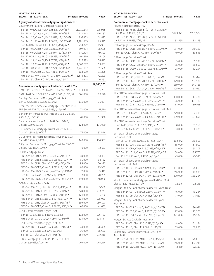| MORTGAGE-BACKED<br>SECURITIES (82.3%)* cont.                             | Principal amount | Value      |
|--------------------------------------------------------------------------|------------------|------------|
| Agency collateralized mortgage obligations cont.                         |                  |            |
| Government National Mortgage Association                                 |                  |            |
| Ser. 16-H03, Class AI, IO, 1.758%, 1/20/66 W                             | \$1,219,148      | \$75,985   |
| Ser. 15-H10, Class HI, IO, 1.752%, 4/20/65 W                             | 1,731,942        | 116,387    |
| Ser. 14-H25, Class BI, IO, 1.681%, 12/20/64 W                            | 897,403          | 51,497     |
| Ser. 14-H21, Class AI, IO, 1.667%, 10/20/64 W                            | 1,181,635        | 75,315     |
| Ser. 17-H16, Class HI, IO, 1.663%, 8/20/67 W                             | 710,842          | 45,387     |
| Ser. 16-H06, Class AI, IO, 1.631%, 2/20/66 W                             | 597,994          | 38,638     |
| Ser. 15-H04, Class AI, IO, 1.607%, 12/20/64 W                            | 870,714          | 49,323     |
| Ser. 17-H06, Class EI, IO, 1.586%, 2/20/67 W                             | 491,669          | 26,108     |
| Ser. 14-H18, Class CI, IO, 1.575%, 9/20/64 W                             | 827,533          | 56,615     |
| Ser. 16-H10, Class AI, IO, 1.552%, 4/20/66 W                             | 1,069,527        | 53,601     |
| Ser. 16-H04, Class KI, IO, 1.527%, 2/20/66 W                             | 1,240,787        | 62,560     |
| Ser. 16-H08, Class GI, IO, 1.421%, 4/20/66 W                             | 703,690          | 31,898     |
| FRB Ser. 11-H07, Class FI, IO, 1.23%, 2/20/61 W                          | 1,678,521        | 42,299     |
| Ser. 10-151, Class KO, PO, zero %, 6/16/37                               | 18,048           | 16,351     |
|                                                                          |                  | 17,045,929 |
| Commercial mortgage-backed securities (21.5%)                            |                  |            |
| BANK FRB Ser. 20-BN25, Class C, 3.468%, 1/15/63 W                        | 114,000          | 119,787    |
| BANK 144A Ser. 17-BNK9, Class D, 2.80%, 11/15/54                         | 101,000          | 90,520     |
| Barclays Commercial Mortgage Trust 144A                                  |                  |            |
| Ser. 19-C4, Class E, 3.25%, 8/15/52                                      | 111,000          | 96,007     |
| Bear Stearns Commercial Mortgage Securities Trust                        |                  |            |
| FRB Ser. 07-T26, Class AJ, 5.54%, 1/12/45 W                              | 71,000           | 57,510     |
| Benchmark Mortgage Trust FRB Ser. 18-B1, Class C,                        |                  |            |
| 4.251%, 1/15/51W                                                         | 47,000           | 51,338     |
| Benchmark Mortgage Trust 144A Ser. 19-B13,                               |                  |            |
| Class D, 2.50%, 8/15/57                                                  | 123,000          | 111,930    |
| CD Commercial Mortgage Trust FRB Ser. 17-CD4,                            |                  |            |
| Class C, 4.35%, 5/10/50 W                                                | 77,000           | 83,544     |
| CD Commercial Mortgage Trust 144A Ser. 17-CD3,                           |                  |            |
| Class D, 3.25%, 2/10/50                                                  | 140,000          | 116,357    |
| Citigroup Commercial Mortgage Trust Ser. 13-GC11,                        |                  |            |
| Class C, 4.134%, 4/10/46W                                                | 70,000           | 72,531     |
| COMM Mortgage Trust                                                      |                  |            |
| FRB Ser. 12-CR1, Class C, 5.533%, 5/15/45 W                              | 68,000           | 58,421     |
| FRB Ser. 14-UBS2, Class C, 5.138%, 3/10/47 W                             | 61,000           | 63,732     |
| FRB Ser. 14-CR16, Class C, 5.09%, 4/10/47 W                              | 95,000           | 100,322    |
| FRB Ser. 18-COR3, Class C, 4.712%, 5/10/51 W                             | 67,000           | 73,960     |
| FRB Ser. 15-CR23, Class C, 4.433%, 5/10/48 W                             | 72,000           | 77,411     |
| Ser. 13-LC6, Class C, 4.242%, 1/10/46 W                                  | 117,000          | 120,295    |
| FRB Ser. 15-CR26, Class D, 3.625%, 10/10/48 W                            | 149,000          | 148,066    |
|                                                                          |                  |            |
| COMM Mortgage Trust 144A<br>FRB Ser. 13-LC13, Class D, 5.437%, 8/10/46 W |                  |            |
|                                                                          | 101,000          | 95,996     |
| FRB Ser. 14-CR17, Class D, 5.01%, 5/10/47 W                              | 228,000          | 214,747    |
| FRB Ser. 14-CR17, Class E, 5.01%, 5/10/47 W                              | 124,000          | 96,720     |
| FRB Ser. 14-UBS3, Class D, 4.927%, 6/10/47 W                             | 104,000          | 105,089    |
| FRB Ser. 13-CR6, Class D, 4.225%, 3/10/46 W                              | 160,000          | 150,190    |
| FRB Ser. 18-COR3, Class D, 2.962%, 5/10/51 W                             | 47,000           | 41,630     |
| CSAIL Commercial Mortgage Trust                                          |                  |            |
| Ser. 19-C15, Class B, 4.476%, 3/15/52                                    | 112,000          | 126,483    |
| FRB Ser. 15-C1, Class C, 4.405%, 4/15/50 W                               | 124,000          | 118,777    |
| CSAIL Commercial Mortgage Trust 144A                                     |                  |            |
| FRB Ser. 18-C14, Class D, 5.053%, 11/15/51 W                             | 73,000           | 76,358     |
| Ser. 20-C19, Class D, 2.50%, 3/15/53                                     | 96,000           | 85,689     |
| Ser. 19-C17, Class D, 2.50%, 9/15/52                                     | 154,000          | 137,918    |
| DBUBS Mortgage Trust 144A FRB Ser. 11-LC3A,                              |                  |            |
| Class D, 5.605%, 8/10/44W                                                | 167,000          | 164,914    |
|                                                                          |                  |            |

| SECURITIES (82.3%)* cont.                                                                                                                             | <b>Principal amount</b> | Value              |
|-------------------------------------------------------------------------------------------------------------------------------------------------------|-------------------------|--------------------|
| Commercial mortgage-backed securities cont.                                                                                                           |                         |                    |
| FREMF Mortgage Trust 144A<br>FRB Ser. 19-KF65, Class B, (1 Month US LIBOR<br>+2.40%), 2.486%, 7/25/29<br>FRB Ser. 19-KF66, Class B, (1 Month US LIBOR | \$229,371               | \$231,577          |
| +2.40%), 2.486%, 7/25/29                                                                                                                              | 82,555                  | 83,149             |
| GS Mortgage Securities Corp., II 144A                                                                                                                 |                         |                    |
| FRB Ser. 13-GC10, Class D, 4.548%, 2/10/46 W<br>Ser. 13-GC10, Class C, 4.285%, 2/10/46 W                                                              | 154,000<br>49,000       | 140,320<br>50,543  |
| GS Mortgage Securities Trust                                                                                                                          |                         |                    |
| FRB Ser. 14-GC18, Class C, 5.155%, 1/10/47 W                                                                                                          | 155,000                 | 99,200             |
| FRB Ser. 14-GC22, Class C, 4.846%, 6/10/47 W                                                                                                          | 85,000                  | 88,853             |
| FRB Ser. 15-GC30, Class C, 4.209%, 5/10/50 W                                                                                                          | 78,000                  | 82,204             |
| GS Mortgage Securities Trust 144A                                                                                                                     |                         |                    |
| FRB Ser. 12-GC6, Class C, 5.86%, 1/10/45 W                                                                                                            | 62,000                  | 61,874             |
| FRB Ser. 14-GC24, Class D, 4.669%, 9/10/47 W                                                                                                          | 329,000                 | 203,980            |
| Ser. 12-GCJ9, Class C, 4.448%, 11/10/45 W<br>FRB Ser. 13-GC13, Class D, 4.221%, 7/10/46 W                                                             | 139,000                 | 141,713            |
|                                                                                                                                                       | 105,000                 | 54,691             |
| JPMBB Commercial Mortgage Securities Trust<br>FRB Ser. 14-C18, Class C, 4.96%, 2/15/47 W                                                              | 110,000                 | 113,480            |
| FRB Ser. 14-C22, Class C, 4.705%, 9/15/47 W                                                                                                           | 125,000                 | 117,489            |
| FRB Ser. 13-C12, Class C, 4.235%, 7/15/45 W                                                                                                           | 87,000                  | 89,518             |
| JPMBB Commercial Mortgage Securities Trust 144A                                                                                                       |                         |                    |
| FRB Ser. C14, Class D, 4.723%, 8/15/46 W                                                                                                              | 229,000                 | 162,309            |
| FRB Ser. 14-C25, Class D, 4.095%, 11/15/47 W                                                                                                          | 139,000                 | 104,898            |
| JPMDB Commercial Mortgage Securities Trust                                                                                                            |                         |                    |
| Ser. 17-C5, Class C, 4.512%, 3/15/50 W                                                                                                                | 88,000                  | 85,358             |
| FRB Ser. 17-C7, Class C, 4.302%, 10/15/50 W                                                                                                           | 93,000                  | 100,285            |
| JPMorgan Chase Commercial Mortgage<br>Securities Trust                                                                                                |                         |                    |
| Ser. 06-LDP9, Class AMS, 5.337%, 5/15/47                                                                                                              | 162,242                 | 140,096            |
| FRB Ser. 13-C16, Class C, 5.189%, 12/15/46 W                                                                                                          | 55,000                  | 57,902             |
| FRB Ser. 12-CBX, Class B, 5.019%, 6/15/45 W                                                                                                           | 148,000                 | 150,303            |
| FRB Ser. 13-LC11, Class D, 4.305%, 4/15/46 W                                                                                                          | 168,000                 | 135,757            |
| Ser. 13-LC11, Class B, 3.499%, 4/15/46                                                                                                                | 49,000                  | 49,921             |
| JPMorgan Chase Commercial Mortgage<br>Securities Trust 144A                                                                                           |                         |                    |
| FRB Ser. 10-C2, Class D, 5.874%, 11/15/43 W                                                                                                           | 131,000                 | 128,053            |
| FRB Ser. 11-C3, Class D, 5.707%, 2/15/46 W<br>FRB Ser. 12-C8, Class C, 4.777%, 10/15/45 W                                                             | 245,000<br>200,000      | 148,585<br>186,254 |
| ML-CFC Commercial Mortgage Trust FRB Ser. 06-4,                                                                                                       |                         |                    |
| Class C, 5.324%, 12/12/49W                                                                                                                            | 12,146                  | 12,146             |
| Morgan Stanley Bank of America Merrill Lynch Trust                                                                                                    |                         |                    |
| FRB Ser. 14-C14, Class C, 5.218%, 2/15/47 W                                                                                                           | 46,000                  | 49,284             |
| FRB Ser. 13-C9, Class C, 4.16%, 5/15/46 W                                                                                                             | 77,000                  | 78,610             |
| Morgan Stanley Bank of America Merrill Lynch<br>Trust 144A                                                                                            |                         |                    |
| FRB Ser. 14-C15, Class D, 5.063%, 4/15/47 W                                                                                                           | 180,000                 | 186,926            |
| FRB Ser. 15-C23, Class D, 4.282%, 7/15/50 W<br>FRB Ser. 13-C10, Class F, 4.217%, 7/15/46 W                                                            | 122,000<br>141,000      | 123,303<br>45,134  |
| Morgan Stanley Capital I Trust 144A                                                                                                                   |                         |                    |
| FRB Ser. 11-C3, Class E, 5.475%, 7/15/49 W                                                                                                            | 148,000                 | 121,164            |
| FRB Ser. 19-L3, Class E, 2.50%, 11/15/52                                                                                                              | 69,000                  | 56,890             |
| Multifamily Connecticut Avenue Securities                                                                                                             |                         |                    |
| Trust 144A                                                                                                                                            |                         |                    |
| FRB Ser. 20-01, Class M10, 3.842%, 3/25/50                                                                                                            | 171,000                 | 178,053            |
| FRB Ser. 19-01, Class M10, 3.342%, 10/15/49                                                                                                           | 446,000                 | 452,218            |
| FRB Ser. 19-01, Class M7, 1.792%, 10/15/49                                                                                                            | 72,459                  | 72,119             |
|                                                                                                                                                       |                         |                    |

**MORTGAGE-BACKED**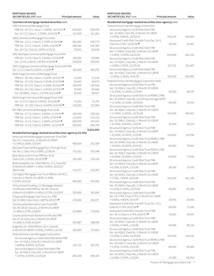| MORTGAGE-BACKED<br>SECURITIES (82.3%)* cont.                                                                                                                                       | Principal amount   | Value              |
|------------------------------------------------------------------------------------------------------------------------------------------------------------------------------------|--------------------|--------------------|
| Commercial mortgage-backed securities cont.<br>UBS Commercial Mortgage Trust                                                                                                       |                    |                    |
| FRB Ser. 18-C13, Class C, 5.099%, 10/15/51 W                                                                                                                                       | \$54,000           | \$58,474           |
| Ser. 19-C17, Class C, 3.758%, 10/15/52 W                                                                                                                                           | 151,000            | 151,365            |
| UBS Commercial Mortgage Trust 144A                                                                                                                                                 |                    |                    |
| FRB Ser. 12-C1, Class D, 5.754%, 5/10/45 W                                                                                                                                         | 281,000            | 258,773            |
| FRB Ser. 12-C1, Class E, 5.00%, 5/10/45 W                                                                                                                                          | 289,000            | 106,369            |
| Ser. 18-C10, Class D, 3.00%, 5/15/51                                                                                                                                               | 70,000             | 60,928             |
| UBS-Barclays Commercial Mortgage Trust 144A                                                                                                                                        |                    |                    |
| FRB Ser. 12-C4, Class D, 4.616%, 12/10/45 W                                                                                                                                        | 109,000            | 69,080             |
| Ser. 13-C6, Class B, 3.875%, 4/10/46 W                                                                                                                                             | 138,000            | 140,405            |
| UBS-Citigroup Commercial Mortgage Trust 144A FRB<br>Ser. 11-C1, Class D, 6.282%, 1/10/45 W                                                                                         | 181,000            | 169,295            |
| Wells Fargo Commercial Mortgage Trust                                                                                                                                              |                    |                    |
| FRB Ser. 18-C46, Class C, 5.144%, 8/15/51 W                                                                                                                                        | 51,000             | 57,230             |
| FRB Ser. 15-C29, Class D, 4.354%, 6/15/48 W                                                                                                                                        | 56,000             | 56,675             |
| FRB Ser. 20-C57, Class C, 4.158%, 8/15/53 W                                                                                                                                        | 109,000            | 120,526            |
| FRB Ser. 20-C56, Class C, 3.871%, 6/15/53 W                                                                                                                                        | 76,000             | 80,666             |
| Ser. 16-BNK1, Class C, 3.071%, 8/15/49 W                                                                                                                                           | 87,000             | 80,527             |
| Wells Fargo Commercial Mortgage Trust 144A                                                                                                                                         |                    |                    |
| Ser. 12-LC5, Class D, 4.916%, 10/15/45 W                                                                                                                                           | 71,000             | 72,374             |
| FRB Ser. 15-C30, Class D, 4.648%, 9/15/58 W                                                                                                                                        | 133,000            | 137,284            |
| WF-RBS Commercial Mortgage Trust 144A                                                                                                                                              |                    |                    |
| FRB Ser. 11-C5, Class C, 5.901%, 11/15/44 W                                                                                                                                        | 158,000            | 158,314            |
| FRB Ser. 12-C6, Class C, 5.85%, 4/15/45 W                                                                                                                                          | 113,000            | 115,155            |
| FRB Ser. 11-C4, Class C, 5.266%, 6/15/44 W<br>FRB Ser. 12-C9, Class D, 4.969%, 11/15/45 W                                                                                          | 208,000<br>290,000 | 207,415<br>280,794 |
|                                                                                                                                                                                    |                    | 9,622,050          |
| Residential mortgage-backed securities (non-agency) (22.8%)<br>American Home Mortgage Investment Trust FRB<br>Ser. 07-1, Class GA1C, (1 Month US LIBOR<br>+0.19%), 0.282%, 5/25/47 | 469,034            | 251,569            |
| Bayview Financial Mortgage Pass-Through Trust                                                                                                                                      |                    | 376,598            |
| Ser. 06-C, Class 1A3, 6.528%, 11/28/36<br>Bear Stearns Alt-A Trust FRB Ser. 05-8,                                                                                                  | 372,351            |                    |
| Class 21A1, 2.555%, 10/25/35W                                                                                                                                                      | 140,360            | 124,124            |
| Bellemeade Re, Ltd. 144A FRB Ser. 17-1, Class M2,<br>(1 Month US LIBOR + 3.35%), 3.442%, 10/25/27<br>(Bermuda)                                                                     | 123,377            | 124,597            |
| Carrington Mortgage Loan Trust FRB Ser. 06-NC2,                                                                                                                                    |                    |                    |
| Class A4, (1 Month US LIBOR + 0.24%),                                                                                                                                              |                    |                    |
| 0.332%, 6/25/36                                                                                                                                                                    | 490,000            | 475,469            |
| Chevy Chase Funding, LLC Mortgage-Backed                                                                                                                                           |                    |                    |
| Certificates 144A FRB Ser. 06-4A, Class A2,<br>(1 Month US LIBOR + 0.18%), 0.272%, 11/25/47                                                                                        | 202,696            | 161,045            |
| Citigroup Mortgage Loan Trust, Inc. FRB<br>Ser. 07-AR5, Class 1A1A, 2.887%, 4/25/37W                                                                                               |                    |                    |
| Countrywide Alternative Loan Trust FRB                                                                                                                                             | 229,650            | 229,477            |
| Ser. 06-OA19, Class A1, (1 Month US LIBOR<br>+0.18%), 0.273%, 2/20/47                                                                                                              | 223,884            | 174,458            |
| Countrywide Asset-Backed Certificates FRB                                                                                                                                          |                    |                    |
| Ser. 07-10, Class 1A1, (1 Month US LIBOR                                                                                                                                           |                    |                    |
| +0.18%), 0.272%, 6/25/47                                                                                                                                                           | 303,087            | 288,976            |
| Eagle Re, Ltd. 144A FRB Ser. 20-1, Class B1,<br>(1 Month US LIBOR + 2.85%), 2.942%, 1/25/30                                                                                        | 182,000            | 172,815            |
| Federal Home Loan Mortgage Corporation                                                                                                                                             |                    |                    |
| Structured Agency Credit Risk Debt Notes FRB                                                                                                                                       |                    |                    |
| Ser. 15-HQA1, Class B, (1 Month US LIBOR                                                                                                                                           |                    |                    |
| + 8.80%), 8.892%, 3/25/28                                                                                                                                                          | 247,133            | 267,741            |
| Structured Agency Credit Risk Debt FRN                                                                                                                                             |                    |                    |
| Ser. 16-DNA3, Class M3, (1 Month US LIBOR<br>+ 5.00%), 5.092%, 12/25/28                                                                                                            | 283,266            | 298,106            |

| MORTGAGE-BACKED<br>SECURITIES (82.3%)* cont.                                         | <b>Principal amount</b> | Value    |
|--------------------------------------------------------------------------------------|-------------------------|----------|
| Residential mortgage-backed securities (non-agency) cont.                            |                         |          |
| Federal Home Loan Mortgage Corporation                                               |                         |          |
| Structured Agency Credit Risk Debt FRN<br>Ser. 14-HQ3, Class M3, (1 Month US LIBOR   |                         |          |
| +4.75%), 4.842%, 10/25/24<br>Seasoned Credit Risk Transfer Trust Ser. 19-3,          | \$42,574                | \$43,009 |
| Class M, 4.75%, 10/25/58 W<br>Structured Agency Credit Risk Debt FRN                 | 50,000                  | 52,602   |
| Ser. 17-DNA2, Class M2, (1 Month US LIBOR                                            |                         |          |
| + 3.45%), 3.542%, 10/25/29<br>Structured Agency Credit Risk Debt FRN                 | 250,000                 | 261,152  |
| Ser. 17-HQA2, Class M2, (1 Month US LIBOR                                            |                         |          |
| +2.65%), 2.742%, 12/25/29                                                            | 227,761                 | 231,687  |
| Structured Agency Credit Risk Debt FRN<br>Ser. 18-HQA1, Class M2, (1 Month US LIBOR  |                         |          |
| + 2.30%), 2.392%, 9/25/30                                                            | 203,433                 | 206,096  |
| Federal Home Loan Mortgage Corporation 144A                                          |                         |          |
| Structured Agency Credit Risk Trust FRB                                              |                         |          |
| Ser. 19-HQA1, Class B2, (1 Month US LIBOR                                            |                         |          |
| +12.25%), 12.342%, 2/25/49                                                           | 50,000                  | 58,076   |
| Structured Agency Credit Risk Trust REMICs FRB                                       |                         |          |
| Ser. 20-DNA5, Class B2, (US 30 Day Average SOFR<br>+11.50%), 11.518%, 10/25/50       | 56,000                  | 75,040   |
| Structured Agency Credit Risk Trust FRB                                              |                         |          |
| Ser. 18-HQA2, Class B2, (1 Month US LIBOR                                            |                         |          |
| +11.00%), 11.092%, 10/25/48                                                          | 413,000                 | 490,451  |
| Structured Agency Credit Risk Trust FRB                                              |                         |          |
| Ser. 19-DNA1, Class B2, (1 Month US LIBOR<br>+10.75%), 10.842%, 1/25/49              | 32,000                  | 36,514   |
| Structured Agency Credit Risk Trust FRB                                              |                         |          |
| Ser. 19-DNA2, Class B2, (1 Month US LIBOR                                            |                         |          |
| +10.50%), 10.592%, 3/25/49                                                           | 114,000                 | 129,748  |
| Structured Agency Credit Risk Trust REMICs FRB                                       |                         |          |
| Ser. 20-DNA4, Class B2, (1 Month US LIBOR<br>+10.00%), 10.092%, 8/25/50              |                         |          |
| Structured Agency Credit Risk Trust REMICs FRB                                       | 65,000                  | 79,950   |
| Ser. 20-HQA3, Class B2, (1 Month US LIBOR                                            |                         |          |
| +10.00%), 10.092%, 7/25/50                                                           | 64,000                  | 77,440   |
| Structured Agency Credit Risk Trust FRB                                              |                         |          |
| Ser. 19-DNA3, Class B2, (1 Month US LIBOR<br>+ 8.15%), 8.242%, 7/25/49               | 34,000                  | 37,476   |
| Structured Agency Credit Risk Trust FRB                                              |                         |          |
| Ser. 18-DNA3, Class B2, (1 Month US LIBOR                                            |                         |          |
| +7.75%), 7.842%, 9/25/48                                                             | 431,000                 | 461,226  |
| Structured Agency Credit Risk Trust FRB                                              |                         |          |
| Ser. 19-DNA4, Class B2, (1 Month US LIBOR<br>+6.25%), 6.342%, 10/25/49               | 90,000                  | 93,396   |
| Structured Agency Credit Risk Trust FRB                                              |                         |          |
| Ser. 19-FTR3, Class FTR3, (1 Month US LIBOR                                          |                         |          |
| +4.80%), 4.892%, 9/25/47                                                             | 29,000                  | 29,000   |
| Seasoned Credit Risk Transfer Trust Ser. 19-2,                                       |                         |          |
| Class M, 4.75%, 8/25/58 W<br>Seasoned Credit Risk Transfer Trust FRB                 | 69,000                  | 73,106   |
| Ser. 18-3, Class 3, 4.75%, 8/25/57 W                                                 | 70,000                  | 74,044   |
| Structured Agency Credit Risk Trust FRB                                              |                         |          |
| Ser. 19-DNA1, Class B1, (1 Month US LIBOR                                            |                         |          |
| + 4.65%), 4.742%, 1/25/49                                                            | 95,000                  | 98,210   |
| Structured Agency Credit Risk Trust FRB<br>Ser. 18-HQA2, Class B1, (1 Month US LIBOR |                         |          |
| +4.25%), 4.342%, 10/25/48                                                            | 144,000                 | 150,120  |
| Structured Agency Credit Risk Trust REMICs FRB                                       |                         |          |
| Ser. 20-HQA2, Class M2, (1 Month US LIBOR                                            |                         |          |
| +3.10%), 3.192%, 3/25/50                                                             | 66,000                  | 66,986   |
| Structured Agency Credit Risk Trust FRB<br>Ser. 19-DNA1, Class M2, (1 Month US LIBOR |                         |          |
| + 2.65%), 2.742%, 1/25/49                                                            | 67,389                  | 68,354   |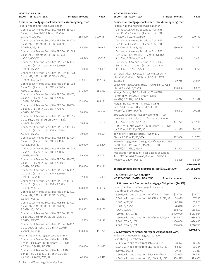| MORTGAGE-BACKED<br>SECURITIES (82.3%)* cont.                                                                                       | <b>Principal amount</b> | Value     |
|------------------------------------------------------------------------------------------------------------------------------------|-------------------------|-----------|
| Residential mortgage-backed securities (non-agency) cont.<br>Federal National Mortgage Association                                 |                         |           |
| Connecticut Avenue Securities FRB Ser. 16-C03,<br>Class 1B, (1 Month US LIBOR + 11.75%),                                           |                         |           |
| 11.842%,10/25/28<br>Connecticut Avenue Securities FRB Ser. 16-C02,<br>Class 1M2, (1 Month US LIBOR + 6.00%),                       | \$155,009               | \$190,837 |
| 6.092%,9/25/28<br>Connecticut Avenue Securities FRB Ser. 15-C04,                                                                   | 63,456                  | 66,945    |
| Class 1M2, (1 Month US LIBOR + 5.70%),<br>5.792%, 4/25/28<br>Connecticut Avenue Securities FRB Ser. 17-C02,                        | 40,825                  | 43,250    |
| Class 2B1, (1 Month US LIBOR + 5.50%),<br>5.592%, 9/25/29                                                                          | 74,000                  | 80,459    |
| Connecticut Avenue Securities FRB Ser. 16-C03,<br>Class 1M2, (1 Month US LIBOR + 5.30%),<br>5.392%, 10/25/28                       | 173,137                 | 182,100   |
| Connecticut Avenue Securities FRB Ser. 18-C04,<br>Class 2B1, (1 Month US LIBOR + 4.50%),                                           |                         |           |
| 4.592%, 12/25/30<br>Connecticut Avenue Securities FRB Ser. 17-C07,<br>Class 2B1, (1 Month US LIBOR + 4.45%),                       | 371,000                 | 386,931   |
| 4.542%, 5/25/30<br>Connecticut Avenue Securities FRB Ser. 17-C06,                                                                  | 158,000                 | 164,181   |
| Class 2B1, (1 Month US LIBOR + 4.45%),<br>4.542%, 2/25/30<br>Connecticut Avenue Securities FRB Ser. 16-C05,                        | 60,000                  | 62,250    |
| Class 2M2, (1 Month US LIBOR + 4.45%),<br>4.542%, 1/25/29                                                                          | 16,406                  | 17,151    |
| Connecticut Avenue Securities FRB Ser. 18-C05,<br>Class 1B1, (1 Month US LIBOR + 4.25%),<br>4.342%, 1/25/31                        | 90,000                  | 94,074    |
| Connecticut Avenue Securities FRB Ser. 17-C06,<br>Class 1B1, (1 Month US LIBOR + 4.15%),<br>4.242%, 2/25/30                        | 200,000                 | 206,424   |
| Connecticut Avenue Securities FRB Ser. 18-C06,<br>Class 2B1, (1 Month US LIBOR + 4.10%),                                           |                         |           |
| 4.192%, 3/25/31<br>Connecticut Avenue Securities FRB Ser. 17-C07.<br>Class 1B1, (1 Month US LIBOR + 4.00%),                        | 59,000                  | 60,750    |
| 4.092%, 5/25/30<br>Connecticut Avenue Securities FRB Ser. 17-C05,                                                                  | 220,000                 | 229,111   |
| Class 1B1, (1 Month US LIBOR + 3.60%),<br>3.692%, 1/25/30<br>Connecticut Avenue Securities FRB Ser. 18-C01,                        | 92,000                  | 95,931    |
| Class 1B1, (1 Month US LIBOR + 3.55%),<br>3.642%, 7/25/30                                                                          | 108,000                 | 110,700   |
| Connecticut Avenue Securities FRB Ser. 17-C01,<br>Class 1M2, (1 Month US LIBOR + 3.55%),<br>3.642%, 7/25/29                        | 134,246                 | 139,419   |
| Connecticut Avenue Securities FRB Ser. 17-C03,<br>Class 1M2, (1 Month US LIBOR + 3.00%),                                           |                         |           |
| 3.092%, 10/25/29<br>Connecticut Avenue Securities FRB Ser. 18-C01,<br>Class 1M2, (1 Month US LIBOR + 2.25%),                       | 152,422                 | 157,103   |
| 2.342%, 7/25/30<br>Connecticut Avenue Securities FRB Ser. 17-C05,                                                                  | 17,909                  | 18,146    |
| Class 1M2C, (1 Month US LIBOR + 2.20%),<br>2.292%, 1/25/30                                                                         | 130,000                 | 131,722   |
| Federal National Mortgage Association 144A<br>Connecticut Avenue Securities Trust FRB<br>Ser. 19-R04, Class 2B1, (1 Month US LIBOR |                         |           |
| + 5.25%), 5.342%, 6/25/39<br>Connecticut Avenue Securities Trust FRB                                                               | 420,000                 | 432,075   |
| Ser. 19-R01, Class 2B1, (1 Month US LIBOR<br>+4.35%), 4.442%, 7/25/31<br>am VT Mortgage Socurities Fund                            | 47,000                  | 48,410    |

| SECURITIES (82.3%)* cont.                                                             | <b>Principal amount</b>                      | Value        |
|---------------------------------------------------------------------------------------|----------------------------------------------|--------------|
| Residential mortgage-backed securities (non-agency) cont.                             |                                              |              |
| Federal National Mortgage Association 144A                                            |                                              |              |
| Connecticut Avenue Securities Trust FRB                                               |                                              |              |
| Ser. 19-R05, Class 1B1, (1 Month US LIBOR                                             |                                              |              |
| +4.10%), 4.192%, 7/25/39                                                              | \$98,000                                     | \$99,770     |
| Connecticut Avenue Securities Trust FRB                                               |                                              |              |
| Ser. 19-R03, Class 1B1, (1 Month US LIBOR                                             |                                              |              |
| +4.10%), 4.192%, 9/25/31                                                              | 236,000                                      | 242,771      |
| Connecticut Avenue Securities Trust FRB<br>Ser. 20-SBT1, Class 1M2, (1 Month US LIBOR |                                              |              |
| + 3.65%), 3.742%, 2/25/40                                                             | 79,000                                       | 81,483       |
| Connecticut Avenue Securities Trust FRB                                               |                                              |              |
| Ser. 20-R02, Class 2B1, (1 Month US LIBOR                                             |                                              |              |
| +3.00%), 3.092%, 1/25/40                                                              | 35,000                                       | 34,774       |
| JPMorgan Alternative Loan Trust FRB Ser. 06-A6,                                       |                                              |              |
| Class 1A1, (1 Month US LIBOR + 0.32%), 0.412%,                                        |                                              |              |
| 11/25/36                                                                              | 99,965                                       | 94,994       |
| Legacy Mortgage Asset Trust 144A FRB Ser. 19-GS2,                                     |                                              |              |
| Class A2, 4.25%, 1/25/59                                                              | 100,000                                      | 100,000      |
| Morgan Stanley ABS Capital I, Inc. Trust FRB                                          |                                              |              |
| Ser. 04-HE9, Class M2, (1 Month US LIBOR<br>+0.93%), 1.022%, 11/25/34                 | 31,794                                       | 31,379       |
| Morgan Stanley Re-REMIC Trust 144A FRB                                                |                                              |              |
| Ser. 10-R4, Class 4B, (1 Month US LIBOR                                               |                                              |              |
| +0.23%), 0.648%, 2/26/37                                                              | 94,242                                       | 90,288       |
| Structured Asset Mortgage Investments II Trust                                        |                                              |              |
| FRB Ser. 07-AR7, Class 1A1, (1 Month US LIBOR                                         |                                              |              |
| + 0.85%), 0.942%, 5/25/47                                                             | 441,272                                      | 389,504      |
| FRB Ser. 06-AR7, Class A1BG, (1 Month US LIBOR                                        |                                              |              |
| + 0.12%), 0.212%, 8/25/36                                                             | 41,325                                       | 39,213       |
| Towd Point Mortgage Trust 144A Ser. 19-2,                                             |                                              |              |
| Class A2, 3.75%, 12/25/58W                                                            | 102,000                                      | 110,701      |
| WaMu Mortgage Pass-Through Certificates Trust FRB                                     |                                              |              |
| Ser. 05-AR8, Class 2AC2, (1 Month US LIBOR<br>+0.92%), 1.012%, 7/25/45                | 83,508                                       | 80,740       |
| Wells Fargo Home Equity Asset-Backed Securities                                       |                                              |              |
| Trust FRB Ser. 07-2, Class A3, (1 Month US LIBOR                                      |                                              |              |
| +0.23%), 0.322%, 4/25/37                                                              | 65,429                                       | 63,974       |
|                                                                                       |                                              | 10,216,218   |
| Total mortgage-backed securities (cost \$38,230,300)                                  |                                              | \$36,884,197 |
|                                                                                       |                                              |              |
| <b>U.S. GOVERNMENT AND AGENCY</b><br>MORTGAGE OBLIGATIONS (70.2%)*                    | <b>Principal amount</b>                      | Value        |
| U.S. Government Guaranteed Mortgage Obligations (14.5%)                               |                                              |              |
| Government National Mortgage Association                                              |                                              |              |
| Pass-Through Certificates                                                             |                                              |              |
| 6.50%, with due dates from 4/15/28 to 7/20/36                                         | \$22,754                                     | \$26,707     |
| 6.00%, with due dates from 4/15/28 to 11/20/38                                        | 58,025                                       | 67,225       |
| 5.50%, 4/20/38                                                                        | 83,176                                       | 95,863       |
| 5.00%, 3/20/50                                                                        | 20,848                                       | 23,130       |
| 4.70%, 8/20/67                                                                        | 103,702                                      | 116,893      |
| 4.50%, TBA, 7/1/51                                                                    | 2,000,000                                    | 2,131,934    |
| 4.50%, with due dates from 2/20/34 to 5/20/48                                         | 847,027                                      | 934,605      |
| 3.00%, TBA, 7/1/51                                                                    | 2,000,000                                    | 2,086,447    |
| 2.00%, TBA, 7/1/51                                                                    | 1,000,000                                    | 1,018,775    |
| U.S. Government Agency Mortgage Obligations (55.7%)                                   |                                              | 6,501,579    |
| Federal Home Loan Mortgage Corporation                                                |                                              |              |
| Pass-Through Certificates                                                             |                                              |              |
| 7.50%, with due dates from 9/1/30 to 7/1/31                                           | 8,872                                        | 10,342       |
| 7.00%, with due dates from 11/1/26 to 4/1/32                                          | 52,374                                       | 60,384       |
| 5.50%, 12/1/33                                                                        | 10,337                                       | 11,817       |
| 4.50%, with due dates from 7/1/44 to 8/1/44                                           | 108,005                                      | 119,534      |
|                                                                                       | 4.00%, with due dates from 12/1/44 to 9/1/45 |              |

**MORTGAGE-BACKED** 

8 Putnam VT Mortgage Securities Fund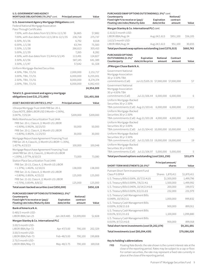### **U.S. Government Agency Mortgage Obligations** *cont.* Federal National Mortgage Association Pass-Through Certificates 7.50%, with due dates from  $9/1/30$  to  $11/1/30$  \$6,865 \$7,882 7.00%, with due dates from 12/1/28 to 12/1/35 236,718 275,737 6.50%, 9/1/36 6,792 8,018 6.00%, 1/1/38 63,744 75,583 5.50%, 1/1/38 266,613 305,410 5.00%, 2/1/39 7,265 8,282 4.50%, with due dates from 7/1/44 to 5/1/45 113,491 124,827 3.50%, 6/1/56 587,145 641,389 3.50%, 1/1/47 57,642 61,328 Uniform Mortgage-Backed Securities 4.50%, TBA, 7/1/51 2,000,000 2,151,717 3.00%, TBA, 7/1/51 6,000,000 6,255,001 2.50%, TBA, 7/1/51 8,000,000 8,274,374 2.00%, TBA, 7/1/51 6,000,000 6,062,433 **24,954,009 Total U.S. government and agency mortgage obligations (cost \$31,272,800) \$31,455,588 ASSET-BACKED SECURITIES (1.9%)\* Principal amount Value** 1Sharpe Mortgage Trust 144A FRB Ser. 20-1, Class NOTE, (BBA LIBOR USD 3 Month + 2.90%), 3.047%, 7/25/24 \$209,000 \$209,000 Mello Warehouse Securitization Trust 144A FRB Ser. 20-1, Class A, (1 Month US LIBOR + 0.90%), 0.992%, 10/25/53 50,000 50,000 FRB Ser. 20-2, Class A, (1 Month US LIBOR + 0.80%), 0.892%, 11/25/53 30,000 30,000 Mortgage Repurchase Agreement Financing Trust FRB Ser. 20-4, Class A1, (1 Month US LIBOR + 1.35%), 1.427%, 4/23/23 100,000 100,048 Mortgage Repurchase Agreement Financing Trust 144A FRB Ser. 20-5, Class A1, (1 Month US LIBOR + 1.00%), 1.077%, 8/10/23 73,000 73,080 Station Place Securitization Trust 144A FRB Ser. 20-15, Class A, (1 Month US LIBOR + 1.37%), 1.461%, 12/10/21 138,000 138,000 FRB Ser. 21-6, Class A, (1 Month US LIBOR + 0.80%), 0.891%, 4/25/22 125,000 125,000 FRB Ser. 21-10, Class A, (1 Month US LIBOR + 0.75%), 0.854%, 8/8/22 125,000 125,000 **Total asset-backed securities (cost \$850,000) \$850,128 PURCHASED SWAP OPTIONS OUTSTANDING(1.5%)\* Counterparty Notional/ Fixed right % to receive or (pay)/ Expiration contract Floating rate index/Maturity date date/strike amount Value Bank of America N.A.** 0.485/3 month USD-LIBOR-BBA/Jan-25 Jan-24/0.485 \$3,009,000 \$2,828 **Morgan Stanley & Co. International PLC** 3.00/3 month USD-**U.S. GOVERNMENT AND AGENCY MORTGAGE OBLIGATIONS (70.2%)\*** *cont.* **Principal amount Value**

| LIBOR-BBA/Apr-72  | Apr-47/3.00 | 790.100 | 202.329 |
|-------------------|-------------|---------|---------|
| 3.00/3 month USD- |             |         |         |
| LIBOR-BBA/Feb-73  | Feb-48/3.00 | 790.100 | 199,808 |
| 2.75/3 month USD- |             |         |         |
| LIBOR-BBA/May-73  | May-48/2.75 | 790,100 | 169,018 |
|                   |             |         |         |

| PURCHASED SWAP OPTIONS OUTSTANDING(1.5%)* cont.                                         |                                         |                           |                                 |               |
|-----------------------------------------------------------------------------------------|-----------------------------------------|---------------------------|---------------------------------|---------------|
| Counterparty<br>Fixed right % to receive or (pay)/<br>Floating rate index/Maturity date |                                         | Expiration<br>date/strike | Notional/<br>contract<br>amount | Value         |
| Morgan Stanley & Co. International PLC cont.                                            |                                         |                           |                                 |               |
| (1.613)/3 month USD-<br>LIBOR-BBA/Aug-34                                                |                                         | Aug-24/1.613              | \$951,100                       | \$56,105      |
| 1.613/3 month USD-<br>LIBOR-BBA/Aug-34                                                  |                                         | Aug-24/1.613              | 951,100                         | 30,655        |
| Total purchased swap options outstanding (cost \$378,015)                               |                                         |                           |                                 | \$660,743     |
| <b>PURCHASED OPTIONS</b><br>OUTSTANDING (0.1%)*<br>Counterparty                         | Expiration<br>date/strike price         | Notional<br>amount        | Contract<br>amount              | Value         |
| JPMorgan Chase Bank N.A.                                                                |                                         |                           |                                 |               |
| Government National<br>Mortgage Association<br>30 yr 3.50% TBA                          |                                         |                           |                                 |               |
| commitments (Call)                                                                      | Jul-21/\$105.31 \$7,000,000 \$7,000,000 |                           |                                 | \$7           |
| Government National<br>Mortgage Association<br>30 yr 4.00% TBA<br>commitments (Call)    | Jul-21/106.44                           | 6,000,000                 | 6,000,000                       | 6             |
| Uniform Mortgage-Backed                                                                 |                                         |                           |                                 |               |
| Securities 30 yr 2.50%<br>TBA commitments (Call) Aug-21/103.41                          |                                         | 6,000,000                 | 6,000,000                       | 17,412        |
| Uniform Mortgage-Backed<br>Securities 30 yr 2.50%                                       |                                         |                           |                                 |               |
| TBA commitments (Call) Aug-21/103.28                                                    |                                         | 4,000,000                 | 4,000,000                       | 14,440        |
| Uniform Mortgage-Backed<br>Securities 30 yr 3.00%<br>TBA commitments (Call)             | Jul-21/104.42 10,000,000 10,000,000     |                           |                                 | 1,790         |
| Uniform Mortgage-Backed<br>Securities 30 yr 3.50%                                       |                                         |                           |                                 |               |
| TBA commitments (Call)                                                                  | Jul-21/105.53 19,000,000 19,000,000     |                           |                                 | 19            |
| Uniform Mortgage-Backed<br>Securities 30 yr 4.00%                                       |                                         |                           | 5,000,000                       |               |
| TBA commitments (Call)<br>Total purchased options outstanding (cost \$161,250)          | Jul-21/106.97 5,000,000                 |                           |                                 | 5<br>\$33,679 |
|                                                                                         |                                         |                           |                                 |               |

|                                                 | Principal amount/ |              |
|-------------------------------------------------|-------------------|--------------|
| SHORT-TERM INVESTMENTS (20.5%)*                 | shares            | Value        |
| Putnam Short Term Investment Fund               |                   |              |
| Class P 0.09% L                                 | Shares 1,870,411  | \$1,870,411  |
| U.S. Treasury Bills 0.016%, 10/7/21 # ∆§        | \$1,500,000       | 1,499,796    |
| U.S. Treasury Bills 0.009%, $7/6/21 \# \Delta$  | 1,500,000         | 1,499,992    |
| U.S. Treasury Bills 0.046%, 10/14/21 # △§       | 200,000           | 199,972      |
| U.S. Treasury Bills 0.010%, 9/2/21 ∆§           | 232,000           | 231,979      |
| U.S. Treasury Cash Management Bills             |                   |              |
| $0.048\%, 10/19/21\Delta$                       | 1,000,000         | 999,832      |
| U.S. Treasury Cash Management Bills             |                   |              |
| 0.020%, 9/28/21 4 \$                            | 900,000           | 899,911      |
| U.S. Treasury Cash Management Bills             |                   |              |
| $0.011\%, 9/21/21 \triangle \$                  | 1,100,000         | 1,099,880    |
| U.S. Treasury Cash Management Bills             |                   |              |
| $0.015\%, 9/7/21\#\Delta$ §                     | 900,000           | 899,918      |
| Total short-term investments (cost \$9,202,074) |                   | \$9,201,691  |
| Total investments (cost \$80,094,439)           |                   | \$79,086,026 |

#### **Key to holding's abbreviations**

FRB Floating Rate Bonds: the rate shown is the current interest rate at the close of the reporting period. Rates may be subject to a cap or floor. For certain securities, the rate may represent a fixed rate currently in place at the close of the reporting period.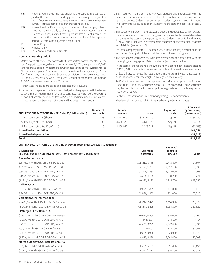- FRN Floating Rate Notes: the rate shown is the current interest rate or yield at the close of the reporting period. Rates may be subject to a cap or floor. For certain securities, the rate may represent a fixed rate currently in place at the close of the reporting period.
- IFB Inverse Floating Rate Bonds, which are securities that pay interest rates that vary inversely to changes in the market interest rates. As interest rates rise, inverse floaters produce less current income. The rate shown is the current interest rate at the close of the reporting period. Rates may be subject to a cap or floor.
- IO Interest Only
- PO Principal Only
- TBA To Be Announced Commitments

#### **Notes to the fund's portfolio**

Unless noted otherwise, the notes to the fund's portfolio are for the close of the fund's reporting period, which ran from January 1, 2021 through June 30, 2021 (the reporting period). Within the following notes to the portfolio, references to "Putnam Management" represent Putnam Investment Management, LLC, the fund's manager, an indirect wholly-owned subsidiary of Putnam Investments, LLC and references to "ASC 820" represent Accounting Standards Codification 820 *Fair Value Measurements and Disclosures*.

- \* Percentages indicated are based on net assets of \$44,805,281.
- # This security, in part or in entirety, was pledged and segregated with the broker to cover margin requirements for futures contracts at the close of the reporting period. Collateral at period end totaled \$204,979 and is included in Investments in securities on the Statement of assets and liabilities (Notes 1 and 8).
- ∆ This security, in part or in entirety, was pledged and segregated with the custodian for collateral on certain derivative contracts at the close of the reporting period. Collateral at period end totaled \$6,228,404 and is included in Investments in securities on the Statement of assets and liabilities (Notes 1 and 8).
- § This security, in part or in entirety, was pledged and segregated with the custodian for collateral on the initial margin on certain centrally cleared derivative contracts at the close of the reporting period. Collateral at period end totaled \$721,924 and is included in Investments in securities on the Statement of assets and liabilities (Notes 1 and 8).
- **<sup>L</sup>** Affiliated company (Note 5). The rate quoted in the security description is the annualized 7-day yield of the fund at the close of the reporting period.
- **<sup>W</sup>** The rate shown represents the weighted average coupon associated with the underlying mortgage pools. Rates may be subject to a cap or floor.

At the close of the reporting period, the fund maintained liquid assets totaling \$33,273,098 to cover certain derivative contracts and delayed delivery securities.

Unless otherwise noted, the rates quoted in Short-term investments security descriptions represent the weighted average yield to maturity.

144A after the name of an issuer represents securities exempt from registration under Rule 144A of the Securities Act of 1933, as amended. These securities may be resold in transactions exempt from registration, normally to qualified institutional buyers.

**Unrealized**

See Note 1 to the financial statements regarding TBA commitments.

The dates shown on debt obligations are the original maturity dates.

| FUTURES CONTRACTS OUTSTANDING at 6/30/21 (Unaudited) | <b>Number of</b><br>contracts | Notional<br>amount | Value        | Expiration<br>date | unreauzed<br>appreciation/<br>(depreciation) |
|------------------------------------------------------|-------------------------------|--------------------|--------------|--------------------|----------------------------------------------|
| U.S. Treasury Note 2 yr (Short)                      | 353                           | \$77,773,070       | \$77,773,070 | $Sep-21$           | \$134,190                                    |
| U.S. Treasury Note 5 yr (Short)                      | 38                            | 4,690,328          | 4,690,328    | $Sep-21$           | 14,164                                       |
| U.S. Treasury Note Ultra 10 yr (Short)               | 15                            | 2,208,047          | 2,208,047    | Sep-21             | (32, 518)                                    |
| Unrealized appreciation                              |                               |                    |              |                    | 148,354                                      |
| Unrealized (depreciation)                            |                               |                    |              |                    | (32, 518)                                    |
| Total                                                |                               |                    |              |                    | \$115,836                                    |

#### **WRITTEN SWAP OPTIONS OUTSTANDING at 6/30/21 (premiums \$2,485,795) (Unaudited)**

|                                                                           |               | Notional/   |         |
|---------------------------------------------------------------------------|---------------|-------------|---------|
| Counterparty                                                              | Expiration    | contract    |         |
| Fixed Obligation % to receive or (pay)/ Floating rate index/Maturity date | date/strike   | amount      | Value   |
| Bank of America N.A.                                                      |               |             |         |
| 1.8775/3 month USD-LIBOR-BBA/Sep-31                                       | Sep-21/1.8775 | \$2,778,800 | \$4,807 |
| 1.897/3 month USD-LIBOR-BBA/Sep-31                                        | Sep-21/1.897  | 4,632,100   | 7,597   |
| 0.985/3 month USD-LIBOR-BBA/Jan-25                                        | Jan-24/0.985  | 3,009,000   | 17,603  |
| 3.195/3 month USD-LIBOR-BBA/Nov-55                                        | Nov-25/3.195  | 1,981,700   | 63,771  |
| (3.195)/3 month USD-LIBOR-BBA/Nov-55                                      | Nov-25/3.195  | 1,981,700   | 643,656 |
| Citibank, N.A.                                                            |               |             |         |
| (1.865)/3 month USD-LIBOR-BBA/Oct-39                                      | Oct-29/1.865  | 721,000     | 38,415  |
| 1.865/3 month USD-LIBOR-BBA/Oct-39                                        | Oct-29/1.865  | 721,000     | 50,520  |
| Goldman Sachs International                                               |               |             |         |
| 2.9425/3 month USD-LIBOR-BBA/Feb-34                                       | Feb-24/2.9425 | 2,064,300   | 25,577  |
| (2.9425)/3 month USD-LIBOR-BBA/Feb-34                                     | Feb-24/2.9425 | 2,064,300   | 230,520 |
| JPMorgan Chase Bank N.A.                                                  |               |             |         |
| (0.968)/3 month USD-LIBOR-BBA/Mar-35                                      | Mar-25/0.968  | 320,000     | 5,165   |
| (1.07)/3 month USD-LIBOR-BBA/Mar-32                                       | Mar-27/1.07   | 574,100     | 7,417   |
| 3.229/3 month USD-LIBOR-BBA/Nov-33                                        | Nov-23/3.229  | 2,042,400   | 16,339  |
| 1.07/3 month USD-LIBOR-BBA/Mar-32                                         | Mar-27/1.07   | 574,100     | 31,007  |
| 0.968/3 month USD-LIBOR-BBA/Mar-35                                        | Mar-25/0.968  | 320,000     | 33,373  |
| (3.229)/3 month USD-LIBOR-BBA/Nov-33                                      | Nov-23/3.229  | 2,042,400   | 277,603 |
| Morgan Stanley & Co. International PLC                                    |               |             |         |
| 3.01/3 month USD-LIBOR-BBA/Feb-36                                         | Feb-26/3.01   | 891,000     | 20,190  |
| (1.512)/3 month USD-LIBOR-BBA/Aug-32                                      | Aug-22/1.512  | 951,100     | 20,629  |
|                                                                           |               |             |         |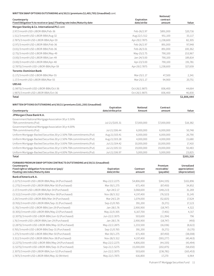### **WRITTEN SWAP OPTIONS OUTSTANDING at 6/30/21 (premiums \$2,485,795) (Unaudited)** *cont.*

|                                                                          |               | Notional/ |             |  |
|--------------------------------------------------------------------------|---------------|-----------|-------------|--|
| Counterparty                                                             | Expiration    | contract  |             |  |
| Fixed Obligation % to receive or (pay)/Floating rate index/Maturity date | date/strike   | amount    | Value       |  |
| Morgan Stanley & Co. International PLC cont.                             |               |           |             |  |
| 2.97/3 month USD-LIBOR-BBA/Feb-36                                        | Feb-26/2.97   | \$891,000 | \$20,716    |  |
| 1.512/3 month USD-LIBOR-BBA/Aug-32                                       | Aug-22/1.512  | 951,100   | 33,117      |  |
| 2.7875/3 month USD-LIBOR-BBA/Apr-59                                      | Apr-29/2.7875 | 1,238,600 | 82,305      |  |
| (2.97)/3 month USD-LIBOR-BBA/Feb-36                                      | Feb-26/2.97   | 891,000   | 97,948      |  |
| (3.01)/3 month USD-LIBOR-BBA/Feb-36                                      | Feb-26/3.01   | 891,000   | 100,362     |  |
| (2.75)/3 month USD-LIBOR-BBA/May-49                                      | May-25/2.75   | 790,100   | 153,967     |  |
| (3.00)/3 month USD-LIBOR-BBA/Jan-49                                      | Jan-24/3.00   | 790,100   | 189,814     |  |
| (3.00)/3 month USD-LIBOR-BBA/Apr-48                                      | Apr-23/3.00   | 790,100   | 191,781     |  |
| (2.7875)/3 month USD-LIBOR-BBA/Apr-59                                    | Apr-29/2.7875 | 1,238,600 | 327,659     |  |
| <b>Toronto-Dominion Bank</b>                                             |               |           |             |  |
| (1.17)/3 month USD-LIBOR-BBA/Mar-55                                      | Mar-25/1.17   | 47,500    | 2,341       |  |
| 1.17/3 month USD-LIBOR-BBA/Mar-55                                        | Mar-25/1.17   | 94,900    | 20,751      |  |
| <b>UBSAG</b>                                                             |               |           |             |  |
| (1.9875)/3 month USD-LIBOR-BBA/Oct-36                                    | Oct-26/1.9875 | 836,400   | 44,664      |  |
| 1.9875/3 month USD-LIBOR-BBA/Oct-36                                      | Oct-26/1.9875 | 836,400   | 46,830      |  |
| Total                                                                    |               |           | \$2,806,444 |  |

### **WRITTEN OPTIONS OUTSTANDING at 6/30/21 (premiums \$161,250) (Unaudited)**

|                                                                      | Expiration        | <b>Notional</b> | Contract    |           |
|----------------------------------------------------------------------|-------------------|-----------------|-------------|-----------|
| Counterparty                                                         | date/strike price | Amount          | amount      | Value     |
| JPMorgan Chase Bank N.A.                                             |                   |                 |             |           |
| Government National Mortgage Association 30 yr 3.50%                 |                   |                 |             |           |
| TBA commitments (Put)                                                | Jul-21/\$105.31   | \$7,000,000     | \$7,000,000 | \$18,382  |
| Government National Mortgage Association 30 yr 4.00%                 |                   |                 |             |           |
| TBA commitments (Put)                                                | Jul-21/106.44     | 6,000,000       | 6,000,000   | 50,748    |
| Uniform Mortgage-Backed Securities 30 yr 2.50% TBA commitments (Put) | Aug-21/103.41     | 6,000,000       | 6,000,000   | 26,790    |
| Uniform Mortgage-Backed Securities 30 yr 2.50% TBA commitments (Put) | Aug-21/103.28     | 4,000,000       | 4,000,000   | 15,680    |
| Uniform Mortgage-Backed Securities 30 yr 3.00% TBA commitments (Put) | Jul-21/104.42     | 10,000,000      | 10,000,000  | 17,410    |
| Uniform Mortgage-Backed Securities 30 yr 3.50% TBA commitments (Put) | Jul-21/105.53     | 19,000,000      | 19,000,000  | 50,483    |
| Uniform Mortgage-Backed Securities 30 yr 4.00% TBA commitments (Put) | Jul-21/106.97     | 5,000,000       | 5,000,000   | 23,825    |
| Total                                                                |                   |                 |             | \$203,318 |

#### **FORWARD PREMIUM SWAP OPTION CONTRACTS OUTSTANDING at 6/30/21 (Unaudited) Counterparty**

| Counterparty<br>Fixed right or obligation % to receive or (pay)/<br>Floating rate index/Maturity date | Expiration<br>date/strike | Contract<br>amount | Premium<br>receivable/<br>(payable) | Unrealized<br>appreciation/<br>(depreciation) |
|-------------------------------------------------------------------------------------------------------|---------------------------|--------------------|-------------------------------------|-----------------------------------------------|
| Bank of America N.A.                                                                                  |                           |                    |                                     |                                               |
| 2.2275/3 month USD-LIBOR-BBA/May-24 (Purchased)                                                       | May-22/2.2275             | \$4,806,000        | $\frac{\binom{6}{44,335}}{2}$       | \$102,896                                     |
| (1.275)/3 month USD-LIBOR-BBA/Mar-50 (Purchased)                                                      | Mar-30/1.275              | 671,400            | (87, 450)                           | 34,852                                        |
| 2.17/3 month USD-LIBOR-BBA/Apr-34 (Purchased)                                                         | Apr-24/2.17               | 3,068,600          | (148, 213)                          | 31,269                                        |
| (3.312)/3 month USD-LIBOR-BBA/Nov-38 (Purchased)                                                      | Nov-28/3.312              | 4,197,400          | (76, 523)                           | 31,145                                        |
| 2.29/3 month USD-LIBOR-BBA/Mar-34 (Purchased)                                                         | Mar-24/2.29               | 1,074,000          | (52, 825)                           | 17,624                                        |
| (0.765)/3 month USD-LIBOR-BBA/Sep-31 (Purchased)                                                      | Sep-21/0.765              | 391,200            | (9,271)                             | 17,123                                        |
| (1.76)/3 month USD-LIBOR-BBA/Jan-29 (Purchased)                                                       | Jan-28/1.76               | 2,900,900          | (18, 747)                           | 4,322                                         |
| (0.305)/3 month USD-LIBOR-BBA/May-23 (Purchased)                                                      | May-22/0.305              | 6,167,700          | (7,401)                             | 4,317                                         |
| (2.3075)/3 month USD-LIBOR-BBA/Jun-52 (Purchased)                                                     | Jun-22/2.3075             | 503,600            | (11, 394)                           | 796                                           |
| 1.76/3 month USD-LIBOR-BBA/Jan-29 (Purchased)                                                         | Jan-28/1.76               | 2,900,900          | (18, 747)                           | (493)                                         |
| (2.2875)/3 month USD-LIBOR-BBA/May-32 (Purchased)                                                     | May-22/2.2875             | 1,233,500          | (16,036)                            | (8,622)                                       |
| 0.765/3 month USD-LIBOR-BBA/Sep-31 (Purchased)                                                        | Sep-21/0.765              | 391,200            | (9,271)                             | (9,170)                                       |
| 1.275/3 month USD-LIBOR-BBA/Mar-50 (Purchased)                                                        | Mar-30/1.275              | 671,400            | (87,450)                            | (38,008)                                      |
| 3.312/3 month USD-LIBOR-BBA/Nov-38 (Purchased)                                                        | Nov-28/3.312              | 4,197,400          | (593, 277)                          | (40, 463)                                     |
| (2.2275)/3 month USD-LIBOR-BBA/May-24 (Purchased)                                                     | May-22/2.2275             | 4,806,000          | (44, 335)                           | (43, 494)                                     |
| (1.5275)/3 month USD-LIBOR-BBA/Sep-31 (Purchased)                                                     | Sep-21/1.5275             | 15,000,000         | (202, 875)                          | (58, 650)                                     |
| 2.3075/3 month USD-LIBOR-BBA/Jun-52 (Purchased)                                                       | Jun-22/2.3075             | 503,600            | (236, 781)                          | (165, 453)                                    |
| 1.7875/3 month USD-LIBOR-BBA/May-32 (Written)                                                         | May-22/1.7875             | 616,800            | 17,270                              | 6,964                                         |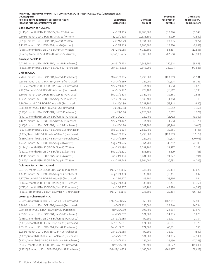### **FORWARD PREMIUM SWAP OPTION CONTRACTS OUTSTANDING at 6/30/21 (Unaudited)** *cont.*

| Counterparty<br>Fixed right or obligation % to receive or (pay)/<br>Floating rate index/Maturity date | Expiration<br>date/strike | Contract<br>amount | Premium<br>receivable/<br>(payable) | Unrealized<br>appreciation/<br>(depreciation) |
|-------------------------------------------------------------------------------------------------------|---------------------------|--------------------|-------------------------------------|-----------------------------------------------|
| Bank of America N.A. cont.                                                                            |                           |                    |                                     |                                               |
| (1.115)/3 month USD-LIBOR-BBA/Jan-26 (Written)                                                        | Jan-25/1.115              | \$2,900,900        | \$12,220                            | \$3,249                                       |
| 0.805/3 month USD-LIBOR-BBA/May-23 (Written)                                                          | May-22/0.805              | 12,335,300         | 4,009                               | (1,850)                                       |
| (1.29)/3 month USD-LIBOR-BBA/Mar-34 (Written)                                                         | Mar-24/1.29               | 1,534,300          | 23,935                              | (7,027)                                       |
| 1.115/3 month USD-LIBOR-BBA/Jan-26 (Written)                                                          | Jan-25/1.115              | 2,900,900          | 12,220                              | (9,689)                                       |
| (1.085)/3 month USD-LIBOR-BBA/Apr-34 (Written)                                                        | Apr-24/1.085              | 6,137,300          | 84,234                              | (11, 538)                                     |
| (1.5275)/3 month USD-LIBOR-BBA/Sep-31 (Written)                                                       | Sep-21/1.5275             | 15,000,000         | 202,500                             | (27,000)                                      |
| <b>Barclays Bank PLC</b>                                                                              |                           |                    |                                     |                                               |
| 2.232/3 month USD-LIBOR-BBA/Jun-51 (Purchased)                                                        | Jun-31/2.232              | 2,648,900          | (320, 914)                          | 59,653                                        |
| (2.232)/3 month USD-LIBOR-BBA/Jun-51 (Purchased)                                                      | Jun-31/2.232              | 2,648,900          | (320, 914)                          | (41, 826)                                     |
| Citibank, N.A.                                                                                        |                           |                    |                                     |                                               |
| 2.285/3 month USD-LIBOR-BBA/Mar-51 (Purchased)                                                        | Mar-41/2.285              | 1,433,800          | (123,809)                           | 22,941                                        |
| 2.689/3 month USD-LIBOR-BBA/Nov-49 (Purchased)                                                        | Nov-24/2.689              | 237,000            | (30, 514)                           | 15,159                                        |
| (1.102)/3 month USD-LIBOR-BBA/Nov-32 (Purchased)                                                      | Nov-22/1.102              | 144,400            | (4,588)                             | 4,878                                         |
| 2.427/3 month USD-LIBOR-BBA/Jun-41 (Purchased)                                                        | Jun-31/2.427              | 229,400            | (16, 712)                           | 3,533                                         |
| 1.504/3 month USD-LIBOR-BBA/Sep-31 (Purchased)                                                        | Sep-21/1.504              | 2,857,400          | (39, 361)                           | 2,886                                         |
| 1.026/3 month USD-LIBOR-BBA/Sep-22 (Purchased)                                                        |                           |                    |                                     | 10                                            |
|                                                                                                       | Sep-21/1.026              | 5,138,400          | (4,368)                             |                                               |
| 1.90/3 month USD-LIBOR-BBA/Jun-28 (Purchased)<br>0.98/3 month USD-LIBOR-BBA/Jul-26 (Purchased)        | Jun-26/1.90               | 3,281,900          | (43, 748)                           | (820)                                         |
|                                                                                                       | Jul-21/0.98               | 4,826,600          | (16, 652)                           | (1,158)                                       |
| (0.98)/3 month USD-LIBOR-BBA/Jul-26 (Purchased)                                                       | Jul-21/0.98               | 4,826,600          | (16, 652)                           | (1,979)                                       |
| (2.427)/3 month USD-LIBOR-BBA/Jun-41 (Purchased)                                                      | Jun-31/2.427              | 229,400            | (16, 712)                           | (3,060)                                       |
| 1.102/3 month USD-LIBOR-BBA/Nov-32 (Purchased)                                                        | Nov-22/1.102              | 144,400            | (4,588)                             | (3,123)                                       |
| (1.90)/3 month USD-LIBOR-BBA/Jun-28 (Purchased)                                                       | Jun-26/1.90               | 3,281,900          | (43, 748)                           | (3,610)                                       |
| (1.504)/3 month USD-LIBOR-BBA/Sep-31 (Purchased)                                                      | Sep-21/1.504              | 2,857,400          | (39, 361)                           | (4, 743)                                      |
| (2.285)/3 month USD-LIBOR-BBA/Mar-51 (Purchased)                                                      | Mar-41/2.285              | 1,433,800          | (123, 809)                          | (17, 779)                                     |
| (2.689)/3 month USD-LIBOR-BBA/Nov-49 (Purchased)                                                      | Nov-24/2.689              | 237,000            | (30, 514)                           | (20, 076)                                     |
| 1.245/3 month USD-LIBOR-BBA/Aug-24 (Written)                                                          | Aug-22/1.245              | 3,364,200          | 30,782                              | 22,708                                        |
| (1.194)/3 month USD-LIBOR-BBA/Jun-25 (Written)                                                        | Jun-23/1.194              | 3,281,900          | 24,877                              | 2,133                                         |
| (1.321)/3 month USD-LIBOR-BBA/Sep-31 (Written)                                                        | Sep-21/1.321              | 586,300            | 4,229                               | (66)                                          |
| 1.194/3 month USD-LIBOR-BBA/Jun-25 (Written)                                                          | Jun-23/1.194              | 3,281,900          | 24,877                              | (1,214)                                       |
| (1.245)/3 month USD-LIBOR-BBA/Aug-24 (Written)                                                        | Aug-22/1.245              | 3,364,200          | 30,782                              | (4,205)                                       |
| Goldman Sachs International                                                                           |                           |                    |                                     |                                               |
| 2.8175/3 month USD-LIBOR-BBA/Mar-47 (Purchased)                                                       | Mar-27/2.8175             | 233,300            | (29, 454)                           | 13,620                                        |
| 1.473/3 month USD-LIBOR-BBA/Aug-31 (Purchased)                                                        | Aug-21/1.473              | 1,735,100          | (16, 431)                           | 642                                           |
| 1.727/3 month USD-LIBOR-BBA/Jan-55 (Purchased)                                                        | Jan-25/1.727              | 313,700            | (28, 766)                           | 524                                           |
| (1.473)/3 month USD-LIBOR-BBA/Aug-31 (Purchased)                                                      | Aug-21/1.473              | 1,735,100          | (16, 431)                           | (3,366)                                       |
| (1.727)/3 month USD-LIBOR-BBA/Jan-55 (Purchased)                                                      | Jan-25/1.727              | 313,700            | (46,898)                            | (4, 345)                                      |
| (2.8175)/3 month USD-LIBOR-BBA/Mar-47 (Purchased)                                                     | Mar-27/2.8175             | 233,300            | (29, 454)                           | (16, 732)                                     |
| JPMorgan Chase Bank N.A.                                                                              |                           |                    |                                     |                                               |
| 2.8325/3 month USD-LIBOR-BBA/Feb-52 (Purchased)                                                       | Feb-22/2.8325             | 1,166,600          | (162, 887)                          | 132,806                                       |
| 2.902/3 month USD-LIBOR-BBA/Nov-49 (Purchased)                                                        | Nov-24/2.902              | 237,000            | (36, 640)                           | 16,754                                        |
| 2.50/3 month USD-LIBOR-BBA/Nov-39 (Purchased)                                                         | Nov-29/2.50               | 395,400            | (22, 854)                           | 11,676                                        |
| 2.032/3 month USD-LIBOR-BBA/Jan-55 (Purchased)                                                        | Jan-25/2.032              | 301,600            | (34, 835)                           | 3,870                                         |
| (1.985)/3 month USD-LIBOR-BBA/Jan-41 (Purchased)                                                      | Jan-31/1.985              | 479,700            | (32,907)                            | 2,734                                         |
| (2.031)/3 month USD-LIBOR-BBA/Feb-41 (Purchased)                                                      | Feb-31/2.031              | 671,500            | (45, 931)                           | 2,726                                         |
| 2.031/3 month USD-LIBOR-BBA/Feb-41 (Purchased)                                                        | Feb-31/2.031              | 671,500            | (45, 931)                           | 530                                           |
| 1.985/3 month USD-LIBOR-BBA/Jan-41 (Purchased)                                                        | Jan-31/1.985              | 479,700            | (32,907)                            | (580)                                         |
| (2.032)/3 month USD-LIBOR-BBA/Jan-55 (Purchased)                                                      | Jan-25/2.032              | 301,600            | (34, 835)                           | (4,949)                                       |
| (2.902)/3 month USD-LIBOR-BBA/Nov-49 (Purchased)                                                      | Nov-24/2.902              | 237,000            | (25, 430)                           | (17,258)                                      |
| (2.50)/3 month USD-LIBOR-BBA/Nov-39 (Purchased)                                                       | Nov-29/2.50               | 395,400            | (41, 122)                           | (19,039)                                      |
| (2.8325)/3 month USD-LIBOR-BBA/Feb-52 (Purchased)                                                     | Feb-22/2.8325             | 1,166,600          | (162, 887)                          | (158, 623)                                    |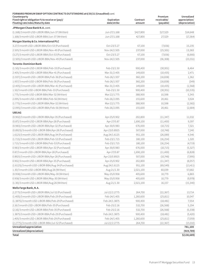### **FORWARD PREMIUM SWAP OPTION CONTRACTS OUTSTANDING at 6/30/21 (Unaudited)** *cont.*

| Counterparty<br>Fixed right or obligation % to receive or (pay)/<br>Floating rate index/Maturity date | Expiration<br>date/strike | Contract<br>amount | Premium<br>receivable/<br>(payable) | Unrealized<br>appreciation/<br>(depreciation) |
|-------------------------------------------------------------------------------------------------------|---------------------------|--------------------|-------------------------------------|-----------------------------------------------|
| JPMorgan Chase Bank N.A. cont.                                                                        |                           |                    |                                     |                                               |
| (1.168)/3 month USD-LIBOR-BBA/Jun-37 (Written)                                                        | Jun-27/1.168              | \$427,800          | \$27,529                            | \$14,648                                      |
| 1.168/3 month USD-LIBOR-BBA/Jun-37 (Written)                                                          | Jun-27/1.168              | 427,800            | 27,529                              | (17, 364)                                     |
| Morgan Stanley & Co. International PLC                                                                |                           |                    |                                     |                                               |
| 3.27/3 month USD-LIBOR-BBA/Oct-53 (Purchased)                                                         | Oct-23/3.27               | 67,100             | (7,656)                             | 15,235                                        |
| 2.505/3 month USD-LIBOR-BBA/Nov-49 (Purchased)                                                        | Nov-24/2.505              | 237,000            | (25, 501)                           | 13,383                                        |
| (3.27)/3 month USD-LIBOR-BBA/Oct-53 (Purchased)                                                       | Oct-23/3.27               | 67,100             | (7,656)                             | (6,666)                                       |
| (2.505)/3 month USD-LIBOR-BBA/Nov-49 (Purchased)                                                      | Nov-24/2.505              | 237,000            | (36, 308)                           | (23, 551)                                     |
| <b>Toronto-Dominion Bank</b>                                                                          |                           |                    |                                     |                                               |
| (1.50)/3 month USD-LIBOR-BBA/Feb-33 (Purchased)                                                       | Feb-23/1.50               | 900,400            | (30, 951)                           | 8,464                                         |
| 2.405/3 month USD-LIBOR-BBA/Mar-41 (Purchased)                                                        | Mar-31/2.405              | 149,600            | (10, 435)                           | 2,471                                         |
| (1.937)/3 month USD-LIBOR-BBA/Feb-36 (Purchased)                                                      | Feb-26/1.937              | 360,200            | (18, 838)                           | 1,362                                         |
| 1.937/3 month USD-LIBOR-BBA/Feb-36 (Purchased)                                                        | Feb-26/1.937              | 360,200            | (18, 838)                           | (349)                                         |
| (2.405)/3 month USD-LIBOR-BBA/Mar-41 (Purchased)                                                      | Mar-31/2.405              | 149,600            | (10, 435)                           | (1, 568)                                      |
| 1.50/3 month USD-LIBOR-BBA/Feb-33 (Purchased)                                                         | Feb-23/1.50               | 900,400            | (30, 951)                           | (10, 535)                                     |
| 1.775/3 month USD-LIBOR-BBA/Mar-32 (Written)                                                          | Mar-22/1.775              | 388,900            | 10,598                              | 5,343                                         |
| 2.095/3 month USD-LIBOR-BBA/Feb-56 (Written)                                                          | Feb-26/2.095              | 155,600            | 20,461                              | 3,924                                         |
| (1.775)/3 month USD-LIBOR-BBA/Mar-32 (Written)                                                        | Mar-22/1.775              | 388,900            | 10,598                              | (2, 582)                                      |
| (2.095)/3 month USD-LIBOR-BBA/Feb-56 (Written)                                                        | Feb-26/2.095              | 155,600            | 20,461                              | (2,684)                                       |
| <b>UBSAG</b>                                                                                          |                           |                    |                                     |                                               |
| (0.902)/3 month USD-LIBOR-BBA/Apr-35 (Purchased)                                                      | Apr-25/0.902              | 202,800            | (11, 347)                           | 11,032                                        |
| (0.87)/3 month USD-LIBOR-BBA/Apr-28 (Purchased)                                                       | Apr-27/0.87               | 1,690,100          | (11,400)                            | 9,397                                         |
| (0.983)/3 month USD-LIBOR-BBA/Apr-32 (Purchased)                                                      | Apr-30/0.983              | 676,000            | (10, 715)                           | 7,321                                         |
| (0.8925)/3 month USD-LIBOR-BBA/Apr-28 (Purchased)                                                     | Apr-23/0.8925             | 507,000            | (10, 748)                           | 7,240                                         |
| 1.6125/3 month USD-LIBOR-BBA/Aug-34 (Purchased)                                                       | Aug-24/1.6125             | 951,100            | (26,089)                            | 4,546                                         |
| (1.715)/3 month USD-LIBOR-BBA/Feb-53 (Purchased)                                                      | Feb-23/1.715              | 180,100            | (16, 254)                           | 1,320                                         |
| 1.715/3 month USD-LIBOR-BBA/Feb-53 (Purchased)                                                        | Feb-23/1.715              | 180,100            | (16, 254)                           | (4, 719)                                      |
| 0.983/3 month USD-LIBOR-BBA/Apr-32 (Purchased)                                                        | Apr-30/0.983              | 676,000            | (10, 715)                           | (5, 327)                                      |
| 0.87/3 month USD-LIBOR-BBA/Apr-28 (Purchased)                                                         | Apr-27/0.87               | 1,690,100          | (11,400)                            | (6,828)                                       |
| 0.8925/3 month USD-LIBOR-BBA/Apr-28 (Purchased)                                                       | Apr-23/0.8925             | 507,000            | (10,748)                            | (7,995)                                       |
| 0.902/3 month USD-LIBOR-BBA/Apr-35 (Purchased)                                                        | Apr-25/0.902              | 202,800            | (11, 347)                           | (8,057)                                       |
| (1.6125)/3 month USD-LIBOR-BBA/Aug-34 (Purchased)                                                     | Aug-24/1.6125             | 951,100            | (69, 549)                           | (13, 411)                                     |
| 1.30/3 month USD-LIBOR-BBA/Aug-26 (Written)                                                           | Aug-21/1.30               | 2,021,100          | 60,039                              | 57,682                                        |
| (0.958)/3 month USD-LIBOR-BBA/May-30 (Written)                                                        | May-25/0.958              | 405,600            | 10,779                              | 6,883                                         |
| 0.958/3 month USD-LIBOR-BBA/May-30 (Written)                                                          | May-25/0.958              | 405,600            | 10,779                              | (9,978)                                       |
| (1.30)/3 month USD-LIBOR-BBA/Aug-26 (Written)                                                         | Aug-21/1.30               | 2,021,100          | 16,157                              | (15, 340)                                     |
| Wells Fargo Bank, N.A.                                                                                |                           |                    |                                     |                                               |
| 2.2775/3 month USD-LIBOR-BBA/Jul-52 (Purchased)                                                       | Jul-22/2.2775             | 264,700            | (22, 367)                           | 13,714                                        |
| (1.405)/3 month USD-LIBOR-BBA/Feb-29 (Purchased)                                                      | Feb-24/1.405              | 1,260,600          | (25, 811)                           | 10,047                                        |
| (1.3875)/3 month USD-LIBOR-BBA/Feb-29 (Purchased)                                                     | Feb-24/1.3875             | 900,400            | (18, 481)                           | 7,554                                         |
| 2.16/3 month USD-LIBOR-BBA/Feb-35 (Purchased)                                                         | Feb-25/2.16               | 532,700            | (26, 568)                           | 5,194                                         |
| (2.16)/3 month USD-LIBOR-BBA/Feb-35 (Purchased)                                                       | Feb-25/2.16               | 532,700            | (26, 568)                           | (5, 338)                                      |
| 1.3875/3 month USD-LIBOR-BBA/Feb-29 (Purchased)                                                       | Feb-24/1.3875             | 900,400            | (18, 481)                           | (5,420)                                       |
| 1.405/3 month USD-LIBOR-BBA/Feb-29 (Purchased)                                                        | Feb-24/1.405              | 1,260,600          | (25, 811)                           | (7,059)                                       |
| (2.2775)/3 month USD-LIBOR-BBA/Jul-52 (Purchased)                                                     | Jul-22/2.2775             | 264,700            | (22, 367)                           | (15,010)                                      |
| Unrealized appreciation                                                                               |                           |                    |                                     | 781,100                                       |
| Unrealized (depreciation)                                                                             |                           |                    |                                     | (919, 789)                                    |
| Total                                                                                                 |                           |                    |                                     | \$(138, 689)                                  |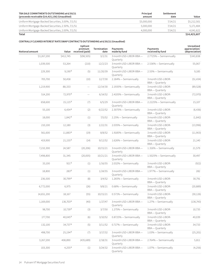| TBA SALE COMMITMENTS OUTSTANDING at 6/30/21<br>(proceeds receivable \$14,415,156) (Unaudited) | Principal<br>amount | Settlement<br>date | Value        |
|-----------------------------------------------------------------------------------------------|---------------------|--------------------|--------------|
| Uniform Mortgage-Backed Securities, 3.00%, 7/1/51                                             | \$5,000,000         | 7/14/21            | \$5,212,501  |
| Uniform Mortgage-Backed Securities, 2.50%, 7/1/51                                             | 5,000,000           | 7/14/21            | 5,171,484    |
| Uniform Mortgage-Backed Securities, 2.00%, 7/1/51                                             | 4.000.000           | 7/14/21            | 4,041,622    |
| Total                                                                                         |                     |                    | \$14,425,607 |

### **CENTRALLY CLEARED INTEREST RATE SWAP CONTRACTS OUTSTANDING at 6/30/21 (Unaudited)**

| Notional amount | Value               | <b>Upfront</b><br>premium<br>received (paid) | Termination<br>date | Payments<br>made by fund            | Payments<br>received by fund               | Unrealized<br>appreciation/<br>(depreciation) |
|-----------------|---------------------|----------------------------------------------|---------------------|-------------------------------------|--------------------------------------------|-----------------------------------------------|
| \$3,267,200     | \$412,745           | \$ (98, 505)                                 | 3/2/31              | 3 month USD-LIBOR-BBA-<br>Quarterly | 2.7725% - Semiannually                     | \$343,838                                     |
| 1,039,500       | 53,264              | (210)                                        | 12/2/23             | 3 month USD-LIBOR-BBA-<br>Quarterly | 2.536% - Semiannually                      | 55,067                                        |
| 229,300         | 9,190E              | (5)                                          | 11/20/39            | 3 month USD-LIBOR-BBA-<br>Quarterly | 2.55% - Semiannually                       | 9,185                                         |
| 705,700         | 50,458              | (10)                                         | 12/7/30             | 2.184% - Semiannually               | 3 month USD-LIBOR-<br><b>BBA-Quarterly</b> | (51, 434)                                     |
| 1,219,900       | 88,333              | $\qquad \qquad -$                            | 12/14/30            | 2.1935% - Semiannually              | 3 month USD-LIBOR-<br><b>BBA-Quarterly</b> | (89, 528)                                     |
| 514,200         | 72,970 <sup>E</sup> | $\overline{\phantom{0}}$                     | 6/14/52             | 2.4105% - Semiannually              | 3 month USD-LIBOR-<br><b>BBA-Quarterly</b> | (72, 970)                                     |
| 658,600         | 15,115E             | (7)                                          | 6/5/29              | 3 month USD-LIBOR-BBA-<br>Quarterly | 2.2225% - Semiannually                     | 15,107                                        |
| 55,100          | 6,434E              | (2)                                          | 6/22/52             | 2.3075% - Semiannually              | 3 month USD-LIBOR-<br><b>BBA-Quarterly</b> | (6, 436)                                      |
| 18,000          | 1,842E              | (1)                                          | 7/5/52              | 2.25% - Semiannually                | 3 month USD-LIBOR-<br>BBA-Quarterly        | (1, 842)                                      |
| 210,100         | 12,180              | (3)                                          | 1/22/31             | 2.035% - Semiannually               | 3 month USD-LIBOR-<br><b>BBA-Ouarterly</b> | (13,996)                                      |
| 561,600         | 11,883 <sup>E</sup> | (19)                                         | 8/8/52              | 1.9185% - Semiannually              | 3 month USD-LIBOR-<br><b>BBA-Quarterly</b> | (11,903)                                      |
| 419,900         | 21,155E             | (14)                                         | 9/12/52             | 1.626% - Semiannually               | 3 month USD-LIBOR-<br><b>BBA-Quarterly</b> | 21,140                                        |
| 7,210,300       | 24,587              | (20, 206)                                    | 10/15/21            | 3 month USD-LIBOR-BBA-<br>Quarterly | 1.316% - Semiannually                      | 21,579                                        |
| 7,498,800       | 31,345              | (20,005)                                     | 10/21/21            | 3 month USD-LIBOR-BBA-<br>Quarterly | 1.5025% - Semiannually                     | 30,497                                        |
| 33,100          | 921 <sup>E</sup>    | (1)                                          | 1/16/55             | 2.032% - Semiannually               | 3 month USD-LIBOR-<br>BBA-Quarterly        | (922)                                         |
| 18,800          | 283 <sup>E</sup>    | (1)                                          | 1/24/55             | 3 month USD-LIBOR-BBA-<br>Quarterly | 1.977% - Semiannually                      | 282                                           |
| 236,500         | 30,799E             | (8)                                          | 3/4/52              | 1.265% - Semiannually               | 3 month USD-LIBOR-<br><b>BBA-Quarterly</b> | 30,791                                        |
| 6,772,000       | 6,975               | (26)                                         | 9/8/21              | 0.68% - Semiannually                | 3 month USD-LIBOR-<br>BBA-Quarterly        | (20, 889)                                     |
| 14,651,200      | 18,167              | (55)                                         | 10/15/21            | 0.571% - Semiannually               | 3 month USD-LIBOR-<br><b>BBA-Quarterly</b> | (30, 126)                                     |
| 1,169,000       | 136,703E            | (40)                                         | 1/27/47             | 3 month USD-LIBOR-BBA-<br>Quarterly | 1.27% - Semiannually                       | (136, 743)                                    |
| 98,700          | 10,739 <sup>E</sup> | (3)                                          | 3/7/50              | 1.275% - Semiannually               | 3 month USD-LIBOR-<br>BBA-Quarterly        | 10,735                                        |
| 177,700         | 40,045 <sup>E</sup> | (6)                                          | 3/10/52             | 0.8725% - Semiannually              | 3 month USD-LIBOR-<br><b>BBA-Quarterly</b> | 40,039                                        |
| 132,100         | 34,737E             | (5)                                          | 3/11/52             | 0.717% - Semiannually               | 3 month USD-LIBOR-<br><b>BBA-Quarterly</b> | 34,733                                        |
| 498,700         | 25,194 <sup>E</sup> | (7)                                          | 3/17/32             | 3 month USD-LIBOR-BBA-<br>Quarterly | 1.03% - Semiannually                       | (25, 201)                                     |
| 3,267,200       | 408,890             | (435,689)                                    | 2/18/31             | 3 month USD-LIBOR-BBA-<br>Quarterly | 2.764% - Semiannually                      | 5,811                                         |
| 103,300         | 4,255E              | (1)                                          | 3/24/32             | 3 month USD-LIBOR-BBA-<br>Quarterly | 1.07% - Semiannually                       | (4,256)                                       |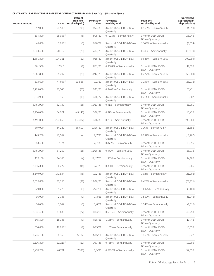### **CENTRALLY CLEARED INTEREST RATE SWAP CONTRACTS OUTSTANDING at 6/30/21 (Unaudited)** *cont.*

| <b>Notional amount</b> | Value                | Upfront<br>premium<br>received (paid) | Termination<br>date | Payments<br>made by fund            | Payments<br>received by fund               | Unrealized<br>appreciation/<br>(depreciation) |
|------------------------|----------------------|---------------------------------------|---------------------|-------------------------------------|--------------------------------------------|-----------------------------------------------|
| \$52,000               | \$4,589 <sup>E</sup> | $\zeta(1)$                            | 3/24/35             | 3 month USD-LIBOR-BBA-<br>Quarterly | 0.968% - Semiannually                      | \$(4,590)                                     |
| 334,800                | 25.053 <sup>E</sup>  | (5)                                   | 4/25/32             | 0.7925% - Semiannually              | 3 month USD-LIBOR-<br><b>BBA-Quarterly</b> | 25,048                                        |
| 40,600                 | 3,053E               | (1)                                   | 6/28/37             | 3 month USD-LIBOR-BBA-<br>Quarterly | 1.168% - Semiannually                      | (3,054)                                       |
| 3,600,400              | 70,712               | (29)                                  | 7/14/25             | 3 month USD-LIBOR-BBA-<br>Quarterly | 0.30% - Semiannually                       | (67, 179)                                     |
| 1,661,800              | 104,361              | (22)                                  | 7/15/30             | 3 month USD-LIBOR-BBA-<br>Quarterly | 0.645% - Semiannually                      | (100, 094)                                    |
| 861,900                | 17,910               | (8)                                   | 8/31/25             | 0.3084% - Semiannually              | 3 month USD-LIBOR-<br><b>BBA-Quarterly</b> | 17,096                                        |
| 2,561,800              | 55,207               | (21)                                  | 8/12/25             | 3 month USD-LIBOR-BBA-<br>Quarterly | 0.277% - Semiannually                      | (53,084)                                      |
| 303,600                | 47,097 <sup>E</sup>  | 23,885                                | 9/2/52              | 3 month USD-LIBOR-BBA-<br>Quarterly | 1.188% - Semiannually                      | (23, 213)                                     |
| 3,275,000              | 68,546               | (31)                                  | 10/13/25            | 0.344% - Semiannually               | 3 month USD-LIBOR-<br><b>BBA-Quarterly</b> | 67,421                                        |
| 3,574,900              | 965                  | (13)                                  | 9/16/22             | 3 month USD-LIBOR-BBA-<br>Quarterly | 0.214% - Semiannually                      | 3,007                                         |
| 3,461,900              | 62,730               | (28)                                  | 10/13/25            | 0.41% - Semiannually                | 3 month USD-LIBOR-<br><b>BBA-Quarterly</b> | 61,051                                        |
| 3,264,000              | 64,921               | (49,140)                              | 10/16/25            | 0.37% - Semiannually                | 3 month USD-LIBOR-<br>BBA-Quarterly        | 15,426                                        |
| 4,491,000              | 254,056              | (54, 382)                             | 10/16/30            | 0.75% - Semiannually                | 3 month USD-LIBOR-<br><b>BBA-Quarterly</b> | 195,060                                       |
| 307,000                | 44,229               | 55,607                                | 10/16/50            | 3 month USD-LIBOR-BBA-<br>Quarterly | $1.16\%$ - Semiannually                    | 11,552                                        |
| 443,200                | 18,504               |                                       | 12/7/30             | 3 month USD-LIBOR-BBA-<br>Quarterly | 0.932% - Semiannually                      | (18, 267)                                     |
| 363,400                | 17,174               |                                       | 12/7/30             | 0.871% - Semiannually               | 3 month USD-LIBOR-<br><b>BBA-Quarterly</b> | 16,995                                        |
| 3,461,900              | 57,260               | (28)                                  | 11/16/25            | 0.471% - Semiannually               | 3 month USD-LIBOR-<br><b>BBA-Quarterly</b> | 55,913                                        |
| 129,100                | 14,166               | (4)                                   | 12/17/50            | 1.305% - Semiannually               | 3 month USD-LIBOR-<br>BBA-Quarterly        | 14,102                                        |
| 2,155,300              | 6,272                | (14)                                  | 12/2/23             | 0.300% - Semiannually               | 3 month USD-LIBOR-<br><b>BBA-Quarterly</b> | 5,966                                         |
| 2,340,000              | 142,834              | (45)                                  | 12/2/33             | 3 month USD-LIBOR-BBA-<br>Quarterly | 1.02% - Semiannually                       | (141, 203)                                    |
| 3,539,600              | 68,350               | (29)                                  | 12/16/25            | 3 month USD-LIBOR-BBA-<br>Quarterly | 0.428% - Semiannually                      | (67, 921)                                     |
| 229,000                | 9,226                | (3)                                   | 6/22/31             | 3 month USD-LIBOR-BBA-<br>Quarterly | 1.0025% - Semiannually                     | (9,180)                                       |
| 36,000                 | 2,186                | (1)                                   | 1/8/51              | 3 month USD-LIBOR-BBA-<br>Quarterly | 1.509% - Semiannually                      | (1,943)                                       |
| 36,000                 | 1,864                | (1)                                   | 1/8/51              | 3 month USD-LIBOR-BBA-<br>Quarterly | 1.546% - Semiannually                      | (1,615)                                       |
| 3,331,400              | 47,639               | (27)                                  | 1/13/26             | 0.5615% - Semiannually              | 3 month USD-LIBOR-<br><b>BBA-Quarterly</b> | 40,253                                        |
| 645,500                | 15,085               | (9)                                   | 4/15/31             | 1.165% - Semiannually               | 3 month USD-LIBOR-<br><b>BBA-Quarterly</b> | 13,742                                        |
| 624,600                | 16,058E              | (9)                                   | 7/15/31             | $1.165\%$ - Semiannually            | 3 month USD-LIBOR-<br><b>BBA-Quarterly</b> | 16,050                                        |
| 1,735,100              | 8,155                | 5,182                                 | 4/15/31             | 3 month USD-LIBOR-BBA-<br>Quarterly | 1.465% - Semiannually                      | 18,022                                        |
| 2,106,300              | 12,217E              | (12)                                  | 1/31/25             | 0.735% - Semiannually               | 3 month USD-LIBOR-<br><b>BBA-Quarterly</b> | 12,205                                        |
| 3,470,200              | 48,791               | (7,923)                               | 3/9/26              | 0.5996% - Semiannually              | 3 month USD-LIBOR-<br>BBA-Quarterly        | 34,656                                        |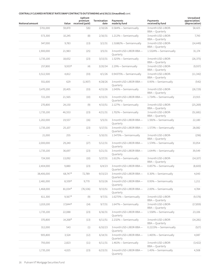### **CENTRALLY CLEARED INTEREST RATE SWAP CONTRACTS OUTSTANDING at 6/30/21 (Unaudited)** *cont.*

| Notional amount | Value               | Upfront<br>premium<br>received (paid) | <b>Termination</b><br>date | Payments<br>made by fund             | Payments<br>received by fund               | Unrealized<br>appreciation/<br>(depreciation) |
|-----------------|---------------------|---------------------------------------|----------------------------|--------------------------------------|--------------------------------------------|-----------------------------------------------|
| \$701,000       | \$9,870             | \$(6)                                 | 2/10/26                    | 0.584% - Semiannually                | 3 month USD-LIBOR-<br><b>BBA-Quarterly</b> | \$8,425                                       |
| 573,300         | 10,245              | (8)                                   | 2/16/31                    | 1.212% - Semiannually                | 3 month USD-LIBOR-<br><b>BBA-Quarterly</b> | 7,743                                         |
| 947,000         | 9,783               | (13)                                  | 3/2/31                     | 1.51882% - Semiannually              | 3 month USD-LIBOR-<br><b>BBA-Quarterly</b> | (14, 449)                                     |
| 1,900,000       | 21,983              | (25)                                  | 3/5/31                     | 3 month USD-LIBOR-BBA-<br>Quarterly  | 1.5324% - Semiannually                     | 31,174                                        |
| 1,735,100       | 18,652              | (23)                                  | 3/15/31                    | 1.525% - Semiannually                | 3 month USD-LIBOR-<br><b>BBA-Quarterly</b> | (26, 375)                                     |
| 257,800         | 9,933 <sup>E</sup>  | (4)                                   | 3/20/34                    | 2.29% - Semiannually                 | 3 month USD-LIBOR-<br><b>BBA-Quarterly</b> | (9,937)                                       |
| 3,512,500       | 4,812               | (33)                                  | 4/1/26                     | 0.94375% - Semiannually              | 3 month USD-LIBOR-<br><b>BBA-Quarterly</b> | (11, 342)                                     |
| 551,600         | 629                 | (1,907)                               | 4/28/26                    | 3 month USD-LIBOR-BBA-<br>Quarterly  | 0.95% - Semiannually                       | (542)                                         |
| 3,470,200       | 20,405              | (33)                                  | 4/15/26                    | 1.045% - Semiannually                | 3 month USD-LIBOR-<br><b>BBA-Quarterly</b> | (26, 729)                                     |
| 722,200         | 21,565              | (10)                                  | 4/15/31                    | 3 month USD-LIBOR-BBA-<br>Ouarterly  | 1.734% - Semiannually                      | 23,915                                        |
| 270,800         | 24,150              | (9)                                   | 4/15/51                    | 2.127% - Semiannually                | 3 month USD-LIBOR-<br><b>BBA-Quarterly</b> | (25, 269)                                     |
| 1,735,100       | 46,553              | (23)                                  | 4/21/31                    | 1.702% - Semiannually                | 3 month USD-LIBOR-<br><b>BBA-Quarterly</b> | (51,681)                                      |
| 1,202,000       | 19,557              | (16)                                  | 5/5/31                     | 3 month USD-LIBOR-BBA-<br>Quarterly  | 1.591% - Semiannually                      | 22,180                                        |
| 1,735,100       | 25,107              | (23)                                  | 5/17/31                    | 3 month USD-LIBOR-BBA-<br>Quarterly  | 1.573% - Semiannually                      | 28,082                                        |
| 21,000          | 255                 |                                       | 5/10/31                    | 1.5475% - Semiannually               | 3 month USD-LIBOR-<br><b>BBA-Quarterly</b> |                                               |
| 2,000,000       | 29,240              | (27)                                  | 5/12/31                    | 3 month USD-LIBOR-BBA-<br>Quarterly  | 1.574% - Semiannually                      | 33,054                                        |
| 1,735,100       | 36,697              | (23)                                  | 5/21/31                    | 3 month USD-LIBOR-BBA-<br>Quarterly  | 1.644% - Semiannually                      | 39,549                                        |
| 724,500         | 13,092              | (10)                                  | 5/27/31                    | 1.612% - Semiannually                | 3 month USD-LIBOR-<br><b>BBA-Quarterly</b> | (14, 107)                                     |
| 2,404,000       | 9,880               | (23)                                  | 6/4/23                     | 3 month USD-LIBOR-BBA-<br>Quarterly  | 0.857% - Semiannually                      | (8,600)                                       |
| 38,406,000      | 68,747 <sup>E</sup> | 72,789                                | 9/15/23                    | 3 month USD-LIBOR-BBA -<br>Quarterly | 0.30% - Semiannually                       | 4,043                                         |
| 2,481,000       | 8,559E              | 9,770                                 | 9/15/26                    | 3 month USD-LIBOR-BBA-<br>Quarterly  | 0.95% - Semiannually                       | 1,211                                         |
| 1,468,000       | 81,034 <sup>E</sup> | (76, 536)                             | 9/15/51                    | 3 month USD-LIBOR-BBA-<br>Quarterly  | 2.00% - Semiannually                       | 4,784                                         |
| 611,300         | 9,567E              | (9)                                   | 9/7/31                     | 1.6275% - Semiannually               | 3 month USD-LIBOR-<br><b>BBA-Quarterly</b> | (9,576)                                       |
| 1,019,100       | 17,844 <sup>E</sup> | (14)                                  | 9/7/31                     | 1.647% - Semiannually                | 3 month USD-LIBOR-<br><b>BBA-Quarterly</b> | (17, 859)                                     |
| 1,735,100       | 22,088              | (23)                                  | 6/16/31                    | 3 month USD-LIBOR-BBA-<br>Quarterly  | 1.558% - Semiannually                      | 23,106                                        |
| 370,800         | 14,268E             | (13)                                  | 6/11/51                    | 2.232% - Semiannually                | 3 month USD-LIBOR-<br><b>BBA-Quarterly</b> | (14, 281)                                     |
| 312,000         | 543                 | (1)                                   | 6/10/23                    | 3 month USD-LIBOR-BBA-<br>Quarterly  | $0.2215%$ - Semiannually                   | (527)                                         |
| 905,800         | 3,524               | (12)                                  | 6/14/31                    | 3 month USD-LIBOR-BBA-<br>Quarterly  | 1.465% - Semiannually                      | 4,087                                         |
| 793,000         | 2,823               | (11)                                  | 6/11/31                    | 1.461% - Semiannually                | 3 month USD-LIBOR-<br><b>BBA-Quarterly</b> | (3,422)                                       |
| 1,735,100       | 4,025               | (23)                                  | 6/23/31                    | 3 month USD-LIBOR-BBA-<br>Quarterly  | 1.45% - Semiannually                       | 4,508                                         |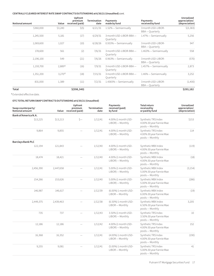### **CENTRALLY CLEARED INTEREST RATE SWAP CONTRACTS OUTSTANDING at 6/30/21 (Unaudited)** *cont.*

| Notional amount | Value   | Upfront<br>premium<br>received (paid) | <b>Termination</b><br>date | Payments<br>made by fund            | Payments<br>received by fund               | Unrealized<br>appreciation/<br>(depreciation) |
|-----------------|---------|---------------------------------------|----------------------------|-------------------------------------|--------------------------------------------|-----------------------------------------------|
| \$360,000       | \$3,240 | $\zeta(5)$                            | 6/21/31                    | 1.52% - Semiannually                | 3 month USD-LIBOR-<br><b>BBA-Quarterly</b> | \$ (3,383)                                    |
| 1,245,500       | 5,181   | (17)                                  | 6/29/31                    | 3 month USD-LIBOR-BBA-<br>Ouarterly | 1.47% - Semiannually                       |                                               |
| 1,069,600       | 1,027   | (10)                                  | 6/28/26                    | 0.933% - Semiannually               | 3 month USD-LIBOR-<br><b>BBA-Ouarterly</b> |                                               |
| 178,600         | 561     | (2)                                   | 7/6/31                     | 3 month USD-LIBOR-BBA-<br>Quarterly | 1.463% - Semiannually                      | 558                                           |
| 2,196,100       | 549     | (21)                                  | 7/6/26                     | 0.963% - Semiannually               | 3 month USD-LIBOR-<br><b>BBA-Quarterly</b> | (570)                                         |
| 1,193,700       | 2,889E  | (16)                                  | 7/9/31                     | 3 month USD-LIBOR-BBA-<br>Quarterly | 1.457% - Semiannually                      | 2,873                                         |
| 1,351,200       | 3,270E  | (18)                                  | 7/15/31                    | 3 month USD-LIBOR-BBA-<br>Quarterly | $1.46\%$ - Semiannually                    |                                               |
| 831,000         | 1,389   | (11)                                  | 7/2/31                     | 1.4365% - Semiannually              | 3 month USD-LIBOR-<br><b>BBA-Ouarterly</b> | (1,400)                                       |
| Total           |         | \$ (598, 340)                         |                            |                                     |                                            | \$293,182                                     |

<sup>E</sup> Extended effective date.

### **OTC TOTAL RETURN SWAP CONTRACTS OUTSTANDING at 6/30/21 (Unaudited)**

| Swap counterparty/<br>Notional amount | Value     | Upfront<br>premium<br>received (paid) | Termination<br>date                                                                                                         | Payments<br>received (paid)<br>by fund     | <b>Total return</b><br>received by<br>or paid by fund              | Unrealized<br>appreciation/<br>(depreciation) |
|---------------------------------------|-----------|---------------------------------------|-----------------------------------------------------------------------------------------------------------------------------|--------------------------------------------|--------------------------------------------------------------------|-----------------------------------------------|
| Bank of America N.A.                  |           |                                       |                                                                                                                             |                                            |                                                                    |                                               |
| \$13,225                              | \$13,213  | $S-$                                  | 1/12/41                                                                                                                     | 4.00% (1 month USD-<br>$LIBOR$ ) - Monthly | Synthetic TRS Index<br>4.00% 30 year Fannie Mae<br>pools - Monthly | \$153                                         |
| 9,864                                 | 9,855     |                                       | 1/12/41                                                                                                                     | 4.00% (1 month USD-<br>LIBOR) - Monthly    | Synthetic TRS Index<br>4.00% 30 year Fannie Mae<br>pools-Monthly   |                                               |
| <b>Barclays Bank PLC</b>              |           |                                       |                                                                                                                             |                                            |                                                                    |                                               |
| 122,194                               | 121,843   |                                       | 4.00% (1 month USD-<br>Synthetic MBX Index<br>1/12/40<br>$LIBOR$ ) - Monthly<br>4.00% 30 year Fannie Mae<br>pools - Monthly |                                            |                                                                    | (119)                                         |
| 18,474                                | 18,421    |                                       | 1/12/40                                                                                                                     | 4.00% (1 month USD-<br>LIBOR) - Monthly    | Synthetic MBX Index<br>4.00% 30 year Fannie Mae<br>pools - Monthly | (18)                                          |
| 2,456,390                             | 2,447,658 |                                       | 1/12/41                                                                                                                     | 5.00% (1 month USD-<br>$LIBOR$ ) - Monthly | Synthetic MBX Index<br>5.00% 30 year Fannie Mae<br>pools-Monthly   | (3, 154)                                      |
| 154,266                               | 153,626   |                                       | 1/12/40                                                                                                                     | 5.00% (1 month USD-<br>LIBOR) - Monthly    | Synthetic MBX Index<br>5.00% 30 year Fannie Mae<br>pools - Monthly | (286)                                         |
| 146,987                               | 146,617   |                                       | 1/12/39                                                                                                                     | (6.00%) 1 month USD-<br>LIBOR-Monthly      | Synthetic MBX Index<br>6.00% 30 year Fannie Mae<br>pools - Monthly | (19)                                          |
| 2,449,375                             | 2,439,463 |                                       | 1/12/38                                                                                                                     | (6.50%) 1 month USD-<br>LIBOR-Monthly      | Synthetic MBX Index<br>6.50% 30 year Fannie Mae<br>pools - Monthly | 3,205                                         |
| 735                                   | 737       | $\overline{\phantom{0}}$              | 1/12/43                                                                                                                     | 3.50% (1 month USD-<br>LIBOR) - Monthly    | Synthetic TRS Index<br>3.50% 30 year Fannie Mae<br>pools - Monthly | 10                                            |
| 12,186                                | 12,186    |                                       | 1/12/42                                                                                                                     | 4.00% (1 month USD-<br>$LIBOR$ ) - Monthly | Synthetic TRS Index<br>4.00% 30 year Fannie Mae<br>pools-Monthly   | 152                                           |
| 16,368                                | 16,352    | $\overline{\phantom{0}}$              | 1/12/41                                                                                                                     | (4.00%) 1 month USD-<br>LIBOR - Monthly    | Synthetic TRS Index<br>4.00% 30 year Fannie Mae<br>pools - Monthly | (190)                                         |
| 9,255                                 | 9,081     |                                       | 1/12/41                                                                                                                     | (5.00%) 1 month USD-<br>LIBOR-Monthly      | Synthetic TRS Index<br>5.00% 30 year Fannie Mae<br>pools - Monthly | 41                                            |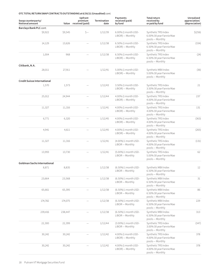### **OTC TOTAL RETURN SWAP CONTRACTS OUTSTANDING at 6/30/21 (Unaudited)** *cont.*

| Swap counterparty/<br>Notional amount |         | Upfront<br>premium<br>Value received (paid) | Termination<br>date | Payments<br>received (paid)<br>by fund     | <b>Total return</b><br>received by<br>or paid by fund              | Unrealized<br>appreciation/<br>(depreciation) |
|---------------------------------------|---------|---------------------------------------------|---------------------|--------------------------------------------|--------------------------------------------------------------------|-----------------------------------------------|
| Barclays Bank PLC cont.               |         |                                             |                     |                                            |                                                                    |                                               |
| \$9,922                               | \$9,545 | $s-$                                        | 1/12/39             | 6.00% (1 month USD-<br>$LIBOR$ ) - Monthly | Synthetic TRS Index<br>6.00% 30 year Fannie Mae<br>pools - Monthly | $$^{(256)}$                                   |
| 14,129                                | 13,626  |                                             | 1/12/38             | 6.50% (1 month USD-<br>LIBOR) - Monthly    | Synthetic TRS Index<br>6.50% 30 year Fannie Mae<br>pools-Monthly   | (334)                                         |
| 1,004                                 | 968     | $\equiv$                                    | 1/12/38             | 6.50% (1 month USD-<br>LIBOR) — Monthly    | Synthetic TRS Index<br>6.50% 30 year Fannie Mae<br>pools - Monthly | (24)                                          |
| Citibank, N.A.                        |         |                                             |                     |                                            |                                                                    |                                               |
| 28,011                                | 27,911  |                                             | 1/12/41             | 5.00% (1 month USD-<br>$LIBOR$ ) - Monthly | Synthetic MBX Index<br>5.00% 30 year Fannie Mae<br>pools - Monthly | (36)                                          |
| <b>Credit Suisse International</b>    |         |                                             |                     |                                            |                                                                    |                                               |
| 1,570                                 | 1,573   |                                             | 1/12/43             | 3.50% (1 month USD-<br>LIBOR) - Monthly    | Synthetic TRS Index<br>3.50% 30 year Fannie Mae<br>pools-Monthly   | 21                                            |
| 25,012                                | 24,944  |                                             | 1/12/44             | 4.00% (1 month USD-<br>LIBOR) — Monthly    | Synthetic TRS Index<br>4.00% 30 year Fannie Mae<br>pools - Monthly | 237                                           |
| 11,327                                | 11,316  |                                             | 1/12/41             | 4.00% (1 month USD-<br>$LIBOR$ ) - Monthly | Synthetic TRS Index<br>4.00% 30 year Fannie Mae<br>pools - Monthly | 131                                           |
| 6,771                                 | 6,320   |                                             | 1/12/45             | 4.00% (1 month USD-<br>LIBOR) - Monthly    | Synthetic TRS Index<br>4.00% 30 year Fannie Mae<br>pools - Monthly | (363)                                         |
| 4,941                                 | 4,611   | $\overline{\phantom{0}}$                    | 1/12/45             | 4.00% (1 month USD-<br>LIBOR) — Monthly    | Synthetic TRS Index<br>4.00% 30 year Fannie Mae<br>pools - Monthly | (265)                                         |
| 11,327                                | 11,316  | $\overline{\phantom{0}}$                    | 1/12/41             | (4.00%) 1 month USD-<br>LIBOR - Monthly    | Synthetic TRS Index<br>4.00% 30 year Fannie Mae<br>pools - Monthly | (131)                                         |
| 13,993                                | 13,730  |                                             | 1/12/41             | (5.00%) 1 month USD-<br>LIBOR-Monthly      | Synthetic TRS Index<br>5.00% 30 year Fannie Mae<br>pools-Monthly   | 62                                            |
| Goldman Sachs International           |         |                                             |                     |                                            |                                                                    |                                               |
| 8,871                                 | 8,835   |                                             | 1/12/38             | (6.50%) 1 month USD-<br>LIBOR - Monthly    | Synthetic MBX Index<br>6.50% 30 year Fannie Mae<br>pools - Monthly | 12                                            |
| 23,664                                | 23,568  |                                             | 1/12/38             | (6.50%) 1 month USD-<br>LIBOR-Monthly      | Synthetic MBX Index<br>6.50% 30 year Fannie Mae<br>pools - Monthly | 31                                            |
| 65,661                                | 65,395  |                                             | 1/12/38             | (6.50%) 1 month USD-<br>LIBOR-Monthly      | Synthetic MBX Index<br>6.50% 30 year Fannie Mae<br>pools - Monthly | 86                                            |
| 174,782                               | 174,075 |                                             | 1/12/38             | (6.50%) 1 month USD-<br>LIBOR-Monthly      | Synthetic MBX Index<br>6.50% 30 year Fannie Mae<br>pools - Monthly | 229                                           |
| 239,416                               | 238,447 |                                             | 1/12/38             | (6.50%) 1 month USD-<br>LIBOR-Monthly      | Synthetic MBX Index<br>6.50% 30 year Fannie Mae<br>pools - Monthly | 313                                           |
| 22,300                                | 22,399  |                                             | 1/12/44             | (3.00%) 1 month USD-<br>LIBOR-Monthly      | Synthetic TRS Index<br>3.00% 30 year Fannie Mae<br>pools - Monthly | (347)                                         |
| 30,242                                | 30,242  |                                             | 1/12/42             | 4.00% (1 month USD-<br>$LIBOR$ ) - Monthly | Synthetic TRS Index<br>4.00% 30 year Fannie Mae<br>pools - Monthly | 378                                           |
| 30,242                                | 30,242  |                                             | 1/12/42             | 4.00% (1 month USD-<br>$LIBOR$ ) - Monthly | Synthetic TRS Index<br>4.00% 30 year Fannie Mae<br>pools-Monthly   | 378                                           |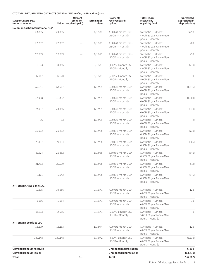### **OTC TOTAL RETURN SWAP CONTRACTS OUTSTANDING at 6/30/21 (Unaudited)** *cont.*

| Swap counterparty/<br>Notional amount |          | Upfront<br>premium<br>Value received (paid) | Termination<br>date | Payments<br>received (paid)<br>by fund     | <b>Total return</b><br>received by<br>or paid by fund              | Unrealized<br>appreciation/<br>(depreciation) |
|---------------------------------------|----------|---------------------------------------------|---------------------|--------------------------------------------|--------------------------------------------------------------------|-----------------------------------------------|
| Goldman Sachs International cont.     |          |                                             |                     |                                            |                                                                    |                                               |
| \$23,885                              | \$23,885 | \$—                                         | 1/12/42             | 4.00% (1 month USD-<br>$LIBOR$ ) - Monthly | Synthetic TRS Index<br>4.00% 30 year Fannie Mae<br>pools - Monthly | \$298                                         |
| 22,382                                | 22,382   |                                             | 1/12/42             | 4.00% (1 month USD-<br>LIBOR) - Monthly    | Synthetic TRS Index<br>4.00% 30 year Fannie Mae<br>pools - Monthly | 280                                           |
| 20,209                                | 20,209   | $\overline{\phantom{0}}$                    | 1/12/42             | 4.00% (1 month USD-<br>$LIBOR$ ) - Monthly | Synthetic TRS Index<br>4.00% 30 year Fannie Mae<br>pools - Monthly | 253                                           |
| 18,873                                | 18,855   |                                             | 1/12/41             | (4.00%) 1 month USD-<br>LIBOR-Monthly      | Synthetic TRS Index<br>4.00% 30 year Fannie Mae<br>pools - Monthly | (219)                                         |
| 17,907                                | 17,570   |                                             | 1/12/41             | (5.00%) 1 month USD-<br>LIBOR - Monthly    | Synthetic TRS Index<br>5.00% 30 year Fannie Mae<br>pools - Monthly | 79                                            |
| 59,841                                | 57,567   | $\overline{\phantom{0}}$                    | 1/12/39             | 6.00% (1 month USD-<br>$LIBOR$ ) - Monthly | Synthetic TRS Index<br>6.00% 30 year Fannie Mae<br>pools - Monthly | (1, 545)                                      |
| 42,008                                | 40,412   | $\qquad \qquad -$                           | 1/12/39             | 6.00% (1 month USD-<br>LIBOR) - Monthly    | Synthetic TRS Index<br>6.00% 30 year Fannie Mae<br>pools - Monthly | (1,084)                                       |
| 24,797                                | 23,855   |                                             | 1/12/39             | 6.00% (1 month USD-<br>$LIBOR$ ) — Monthly | Synthetic TRS Index<br>6.00% 30 year Fannie Mae<br>pools - Monthly | (640)                                         |
| 96                                    | 93       |                                             | 1/12/39             | 6.00% (1 month USD-<br>$LIBOR$ ) — Monthly | Synthetic TRS Index<br>6.00% 30 year Fannie Mae<br>pools - Monthly | (2)                                           |
| 30,902                                | 29,802   | $\overline{\phantom{0}}$                    | 1/12/38             | 6.50% (1 month USD-<br>LIBOR) - Monthly    | Synthetic TRS Index<br>6.50% 30 year Fannie Mae<br>pools - Monthly | (730)                                         |
| 28,197                                | 27,194   | $\overline{\phantom{0}}$                    | 1/12/38             | 6.50% (1 month USD-<br>$LIBOR$ ) - Monthly | Synthetic TRS Index<br>6.50% 30 year Fannie Mae<br>pools - Monthly | (666)                                         |
| 27,324                                | 26,352   |                                             | 1/12/38             | 6.50% (1 month USD-<br>$LIBOR$ ) — Monthly | Synthetic TRS Index<br>6.50% 30 year Fannie Mae<br>pools - Monthly | (645)                                         |
| 21,753                                | 20,979   |                                             | 1/12/38             | 6.50% (1 month USD-<br>$LIBOR$ ) — Monthly | Synthetic TRS Index<br>6.50% 30 year Fannie Mae<br>pools - Monthly | (514)                                         |
| 6,161                                 | 5,942    |                                             | 1/12/38             | 6.50% (1 month USD-<br>LIBOR) - Monthly    | Synthetic TRS Index<br>6.50% 30 year Fannie Mae<br>pools - Monthly | (145)                                         |
| JPMorgan Chase Bank N.A.              |          |                                             |                     |                                            |                                                                    |                                               |
| 10,595                                | 10,586   |                                             | 1/12/41             | 4.00% (1 month USD-<br>LIBOR) - Monthly    | Synthetic TRS Index<br>4.00% 30 year Fannie Mae<br>pools - Monthly | 123                                           |
| 1,556                                 | 1,554    |                                             | 1/12/41             | 4.00% (1 month USD-<br>$LIBOR$ ) - Monthly | Synthetic TRS Index<br>4.00% 30 year Fannie Mae<br>pools - Monthly | 18                                            |
| 17,893                                | 17,556   |                                             | 1/12/41             | (5.00%) 1 month USD-<br>LIBOR-Monthly      | Synthetic TRS Index<br>5.00% 30 year Fannie Mae<br>pools - Monthly | 79                                            |
| JPMorgan Securities LLC               |          |                                             |                     |                                            |                                                                    |                                               |
| 13,199                                | 13,163   |                                             | 1/12/44             | 4.00% (1 month USD-<br>$LIBOR$ ) - Monthly | Synthetic TRS Index<br>4.00% 30 year Fannie Mae<br>pools - Monthly | 125                                           |
| 139,148                               | 139,148  |                                             | 1/12/42             | (4.00%) 1 month USD-<br>LIBOR-Monthly      | Synthetic TRS Index<br>4.00% 30 year Fannie Mae<br>pools-Monthly   | (1,738)                                       |
| Upfront premium received              |          | $\overline{\phantom{0}}$                    |                     | Unrealized appreciation                    |                                                                    | 6,808                                         |
| Upfront premium (paid)                |          | $\overline{\phantom{0}}$                    |                     | Unrealized (depreciation)                  |                                                                    | (13, 470)                                     |
| Total                                 |          | \$—                                         |                     | Total                                      |                                                                    | \$(6,662)                                     |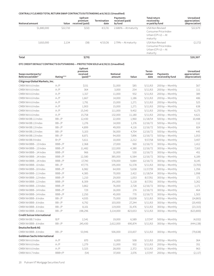### **CENTRALLY CLEARED TOTAL RETURN SWAP CONTRACTS OUTSTANDING at 6/30/21 (Unaudited)**

| <b>Notional amount</b> | Value    | Upfront<br>premium<br>received (paid) | Termination<br>date | Payments<br>received (paid)<br>by fund | Total return<br>received by<br>or paid by fund                               | Unrealized<br>appreciation/<br>(depreciation) |
|------------------------|----------|---------------------------------------|---------------------|----------------------------------------|------------------------------------------------------------------------------|-----------------------------------------------|
| \$1,880,000            | \$22,710 | \$ (32)                               | 4/1/31              | $2.686\%$ - At maturity                | USA Non Revised<br>Consumer Price Index-<br>Urban (CPI-U) $-$ At<br>maturity | \$22,679                                      |
| 3,810,000              | 2.134    | (38)                                  | 4/15/26             | 2.79% - At maturity                    | USA Non Revised<br>Consumer Price Index-<br>Urban (CPI-U) $-$ At<br>maturity | (2,172)                                       |
| Total                  |          | \$(70)                                |                     |                                        |                                                                              | \$20,507                                      |

### **OTC CREDIT DEFAULT CONTRACTS OUTSTANDING — PROTECTION SOLD at 6/30/21 (Unaudited)**

| Swap counterparty/<br>Referenced debt* | Rating*** | Upfront<br>premium<br>received<br>$(path**$ | Notional<br>amount | Value   | Termi-<br>nation<br>date | Payments<br>received by fund | Unrealized<br>appreciation/<br>(depreciation) |
|----------------------------------------|-----------|---------------------------------------------|--------------------|---------|--------------------------|------------------------------|-----------------------------------------------|
| Citigroup Global Markets, Inc.         |           |                                             |                    |         |                          |                              |                                               |
| CMBX NAA.6 Index                       | $A$ -/P   | \$151                                       | \$1,000            | \$85    | 5/11/63                  | $200bp - Monthly$            | \$67                                          |
| CMBX NAA.6 Index                       | $A$ -/P   | 364                                         | 3,000              | 254     | 5/11/63                  | 200 bp - Monthly             | 111                                           |
| CMBX NAA.6 Index                       | $A$ -/P   | 1,317                                       | 11,000             | 932     | 5/11/63                  | $200bp - Monthly$            | 389                                           |
| CMBX NAA.6 Index                       | $A$ -/P   | 1,667                                       | 14,000             | 1,186   | 5/11/63                  | 200 bp - Monthly             | 486                                           |
| CMBX NAA.6 Index                       | $A$ -/P   | 1,791                                       | 15,000             | 1,271   | 5/11/63                  | 200 bp - Monthly             | 525                                           |
| CMBX NAA.6 Index                       | $A$ -/P   | 1,903                                       | 15,000             | 1,271   | 5/11/63                  | 200 bp - Monthly             | 638                                           |
| CMBX NAA.6 Index                       | $A$ -/P   | 15,540                                      | 111,000            | 9,402   | 5/11/63                  | 200 bp - Monthly             | 6,175                                         |
| CMBX NAA.6 Index                       | $A$ -/P   | 15,758                                      | 132,000            | 11,180  | 5/11/63                  | $200bp - Monthly$            | 4,621                                         |
| CMBX NA BB.11 Index                    | $BB-/P$   | 12,430                                      | 22,000             | 1,960   | 11/18/54                 | 500 bp - Monthly             | 10,488                                        |
| CMBX NA BB.13 Index                    | $BB-/P$   | 1,276                                       | 14,000             | 1,176   | 12/16/72                 | 500 bp - Monthly             | 112                                           |
| CMBX NA BB.13 Index                    | $BB-/P$   | 4,899                                       | 49,000             | 4,116   | 12/16/72                 | 500 bp-Monthly               | 824                                           |
| CMBX NA BB.13 Index                    | $BB-/P$   | 5,103                                       | 56,000             | 4,704   | 12/16/72                 | 500 bp - Monthly             | 445                                           |
| CMBX NA BB.13 Index                    | $BB-/P$   | 8,871                                       | 94,000             | 7,896   | 12/16/72                 | 500 bp - Monthly             | 1,053                                         |
| CMBX NA BB.9 Index                     | $B+/P$    | 5,611                                       | 10,000             | 2,212   | 9/17/58                  | 500 bp - Monthly             | 3,407                                         |
| CMBX NA BBB-.13 Index                  | $BBB-/P$  | 2,368                                       | 27,000             | 969     | 12/16/72                 | 300 bp — Monthly             | 1,412                                         |
| CMBX NA BBB-.13 Index                  | $BBB-/P$  | 11,482                                      | 122,000            | 4,380   | 12/16/72                 | 300 bp — Monthly             | 7,163                                         |
| CMBX NA BBB-.14 Index                  | $BBB-/P$  | 966                                         | 31,000             | 530     | 12/16/72                 | 300 bp — Monthly             | 451                                           |
| CMBX NA BBB-.14 Index                  | $BBB-/P$  | 12,580                                      | 385,000            | 6,584   | 12/16/72                 | 300 bp — Monthly             | 6,189                                         |
| CMBX NA BBB-.14 Index                  | $BBB-/P$  | 17,740                                      | 578,000            | 9,884   | 12/16/72                 | 300 bp — Monthly             | 8,145                                         |
| CMBX NA BBB-.6 Index                   | $BB-/P$   | 47,775                                      | 195,000            | 51,578  | 5/11/63                  | 300 bp — Monthly             | (3,705)                                       |
| CMBX NA BBB-.10 Index                  | $BBB-/P$  | 6,982                                       | 64,000             | 5,658   | 11/17/59                 | 300 bp — Monthly             | 1,356                                         |
| CMBX NA BBB-.11 Index                  | BBB-/P    | 4,385                                       | 70,000             | 2,422   | 11/18/54                 | 300 bp — Monthly             | 1,998                                         |
| CMBX NA BBB-.12 Index                  | $BBB-/P$  | 1,210                                       | 29,000             | 1,053   | 8/17/61                  | 300 bp — Monthly             | 171                                           |
| CMBX NA BBB-.12 Index                  | $BBB-/P$  | 8,309                                       | 141,000            | 5,118   | 8/17/61                  | 300 bp — Monthly             | 3,262                                         |
| CMBX NA BBB-.13 Index                  | BBB-/P    | 3,862                                       | 76,000             | 2,728   | 12/16/72                 | 300 bp — Monthly             | 1,171                                         |
| CMBX NA BBB-.14 Index                  | $BBB-/P$  | 729                                         | 16,000             | 274     | 12/16/72                 | 300 bp — Monthly             | 464                                           |
| CMBX NA BBB-.14 Index                  | $BBB-/P$  | 2,250                                       | 45,000             | 770     | 12/16/72                 | 300 bp — Monthly             | 1,503                                         |
| CMBX NA BBB-.6 Index                   | $BB-/P$   | 4,935                                       | 75,000             | 19,838  | 5/11/63                  | 300 bp — Monthly             | (14, 865)                                     |
| CMBX NA BBB-.6 Index                   | $BB-/P$   | 6,792                                       | 103,000            | 27,244  | 5/11/63                  | 300 bp — Monthly             | (20, 400)                                     |
| CMBX NA BBB-.6 Index                   | $BB-/P$   | 8,101                                       | 119,000            | 31,476  | 5/11/63                  | 300 bp — Monthly             | (23, 315)                                     |
| CMBX NA BBB-.6 Index                   | $BB-/P$   | 198,296                                     | 3,114,000          | 823,653 | 5/11/63                  | 300 bp - Monthly             | (623,800)                                     |
| Credit Suisse International            |           |                                             |                    |         |                          |                              |                                               |
| CMBX NA BB.7 Index                     | B/P       | 2,541                                       | 19,000             | 6,589   | 1/17/47                  | 500 bp — Monthly             | (4,032)                                       |
| CMBX NA BBB-.6 Index                   | $BB-/P$   | 245,430                                     | 2,612,000          | 690,874 | 5/11/63                  | 300 bp - Monthly             | (444, 138)                                    |
| Deutsche Bank AG                       |           |                                             |                    |         |                          |                              |                                               |
| CMBX NA BBB-.6 Index                   | $BB-/P$   | 53,946                                      | 506,000            | 133,837 | 5/11/63                  | 300 bp - Monthly             | (79, 638)                                     |
| Goldman Sachs International            |           |                                             |                    |         |                          |                              |                                               |
| CMBX NAA.6 Index                       | $A - /P$  | 870                                         | 6,000              | 508     | 5/11/63                  | 200 bp - Monthly             | 364                                           |
| CMBX NAA.6 Index                       | $A - /P$  | 1,279                                       | 11,000             | 932     | 5/11/63                  | 200 bp - Monthly             | 351                                           |
| CMBX NAA.6 Index                       | $A - /P$  | 3,325                                       | 28,000             | 2,372   | 5/11/63                  | 200 bp - Monthly             | 963                                           |
| CMBX NAA.7 Index                       | BBB+/P    | (54)                                        | 37,000             | 2,076   | 1/17/47                  | 200 bp - Monthly             | (2,117)                                       |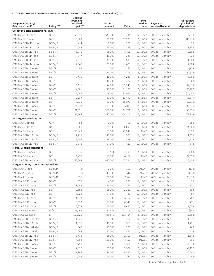### **OTC CREDIT DEFAULT CONTRACTS OUTSTANDING — PROTECTION SOLD at 6/30/21 (Unaudited)** *cont.*

| Swap counterparty/<br>Referenced debt* | Rating*** | Upfront<br>premium<br>received<br>$(paid)$ ** | Notional<br>amount | Value   | Termi-<br>nation<br>date | Payments<br>received by fund | Unrealized<br>appreciation/<br>(depreciation) |
|----------------------------------------|-----------|-----------------------------------------------|--------------------|---------|--------------------------|------------------------------|-----------------------------------------------|
| Goldman Sachs International cont.      |           |                                               |                    |         |                          |                              |                                               |
| CMBX NA BB.13 Index                    | BB-/P     | \$3,943                                       | \$41,000           | \$3,444 | 12/16/72                 | 500 bp - Monthly             | \$533                                         |
| CMBX NA BB.6 Index                     | $B - / P$ | 5,563                                         | 38,809             | 17,305  | 5/11/63                  | 500 bp - Monthly             | (11, 710)                                     |
| CMBX NA BBB-.13 Index                  | BBB-/P    | 414                                           | 9,000              | 323     | 12/16/72                 | 300 bp - Monthly             | 95                                            |
| CMBX NA BBB-.13 Index                  | BBB-/P    | 4,242                                         | 66,000             | 2,369   | 12/16/72                 | 300 bp - Monthly             | 1,906                                         |
| CMBX NA BBB-.13 Index                  | BBB-/P    | 5,971                                         | 95,000             | 3,411   | 12/16/72                 | 300 bp - Monthly             | 2,608                                         |
| CMBX NA BBB-.14 Index                  | BBB-/P    | 547                                           | 19,000             | 325     | 12/16/72                 | 300 bp - Monthly             | 232                                           |
| CMBX NA BBB-.14 Index                  | BBB-/P    | 2,178                                         | 49,000             | 838     | 12/16/72                 | 300 bp - Monthly             | 1,364                                         |
| CMBX NA BBB-.14 Index                  | BBB-/P    | 4,547                                         | 99,000             | 1,693   | 12/16/72                 | 300 bp - Monthly             | 2,904                                         |
| CMBX NA BBB-.6 Index                   | $BB - /P$ | 142                                           | 1,000              | 265     | 5/11/63                  | 300 bp - Monthly             | (122)                                         |
| CMBX NA BBB-.6 Index                   | $BB - /P$ | 717                                           | 14,000             | 3,703   | 5/11/63                  | 300 bp - Monthly             | (2,979)                                       |
| CMBX NA BBB-.6 Index                   | $BB - /P$ | 1,416                                         | 16,000             | 4,232   | 5/11/63                  | 300 bp - Monthly             | (2,808)                                       |
| CMBX NA BBB-.6 Index                   | $BB - /P$ | 1,416                                         | 16,000             | 4,232   | 5/11/63                  | 300 bp - Monthly             | (2,808)                                       |
| CMBX NA BBB-.6 Index                   | $BB - /P$ | 2,017                                         | 24,000             | 6,348   | 5/11/63                  | 300 bp - Monthly             | (4, 319)                                      |
| CMBX NA BBB-.6 Index                   | $BB - /P$ | 4,881                                         | 42,000             | 11,109  | 5/11/63                  | 300 bp - Monthly             | (6,207)                                       |
| CMBX NA BBB-.6 Index                   | $BB - /P$ | 2,486                                         | 49,000             | 12,961  | 5/11/63                  | 300 bp - Monthly             | (10, 450)                                     |
| CMBX NA BBB-.6 Index                   | $BB - /P$ | 6,787                                         | 51,000             | 13,490  | 5/11/63                  | 300 bp - Monthly             | (6,677)                                       |
| CMBX NA BBB-.6 Index                   | $BB - /P$ | 3,030                                         | 60,000             | 15,870  | 5/11/63                  | 300 bp - Monthly             | (12, 810)                                     |
| CMBX NA BBB-.6 Index                   | $BB - /P$ | 24,037                                        | 208,000            | 55,016  | 5/11/63                  | 300 bp - Monthly             | (30, 875)                                     |
| CMBX NA BBB-.6 Index                   | $BB - /P$ | 31,021                                        | 309,000            | 81,731  | 5/11/63                  | 300 bp - Monthly             | (50, 555)                                     |
| CMBX NA BBB-.6 Index                   | $BB - /P$ | 50,168                                        | 470,000            | 124,315 | 5/11/63                  | 300 bp - Monthly             | (73, 912)                                     |
| JPMorgan Securities LLC                |           |                                               |                    |         |                          |                              |                                               |
| CMBX NAA.13 Index                      | $A - /P$  | 484                                           | 6,000              | 95      | 12/16/72                 | 200 bp - Monthly             | 580                                           |
| CMBX NA BB.10 Index                    | $B+/P$    | 2,006                                         | 25,000             | 6,095   | 5/11/63                  | 500 bp - Monthly             | (4,068)                                       |
| CMBX NA BB.7 Index                     | B/P       | 30,848                                        | 63,000             | 21,848  | 1/17/47                  | 500 bp - Monthly             | 9,052                                         |
| CMBX NA BBB-.13 Index                  | BBB-/P    | 2,215                                         | 11,000             | 395     | 12/16/72                 | 300 bp - Monthly             | 1,825                                         |
| CMBX NA BBB-.13 Index                  | BBB-/P    | 5,004                                         | 25,000             | 898     | 12/16/72                 | 300 bp - Monthly             | 4,119                                         |
| CMBX NA BBB-.13 Index                  | BBB-/P    | 1,175                                         | 17,000             | 610     | 12/16/72                 | 300 bp - Monthly             | 573                                           |
| Merrill Lynch International            |           |                                               |                    |         |                          |                              |                                               |
| CMBX NA BB.6 Index                     | $B$ -/P   | 335                                           | 2,911              | 1,298   | 5/11/63                  | 500 bp - Monthly             | (960)                                         |
| CMBX NA BB.7 Index                     | B/P       | 1,452                                         | 12,000             | 4,162   | 1/17/47                  | 500 bp - Monthly             | (2,699)                                       |
| CMBX NA BBB-.6 Index                   | $BB - /P$ | 267,292                                       | 992,000            | 262.384 | 5/11/63                  | 300 bp - Monthly             | 5,404                                         |
| Morgan Stanley & Co. International PLC |           |                                               |                    |         |                          |                              |                                               |
| CMBX NAA.7 Index                       | BBB+/P    | (2)                                           | 2,000              | 112     | 1/17/47                  | 200 bp - Monthly             | (113)                                         |
| CMBX NAA.7 Index                       | BBB+/P    | (5)                                           | 11,000             | 617     | 1/17/47                  | 200 bp - Monthly             | (619)                                         |
| CMBX NAA.7 Index                       | BBB+/P    | 656                                           | 135,000            | 7,574   | 1/17/47                  | 200 bp - Monthly             | (6,873)                                       |
| CMBX NA BB.13 Index                    | $BB-/P$   | 372                                           | 4,000              | 336     | 12/16/72                 | 500 bp - Monthly             | 39                                            |
| CMBX NA BB.13 Index                    | $BB-/P$   | 1,285                                         | 14,000             | 1,176   | 12/16/72                 | 500 bp - Monthly             | 121                                           |
| CMBX NA BB.13 Index                    | $BB-/P$   | 2,693                                         | 28,000             | 2,352   | 12/16/72                 | 500 bp - Monthly             | 364                                           |
| CMBX NA BB.13 Index                    | $BB-/P$   | 5,228                                         | 57,000             | 4,788   | 12/16/72                 | 500 bp - Monthly             | 487                                           |
| CMBX NA BB.13 Index                    | $BB-/P$   | 6,417                                         | 68,000             | 5,712   | 12/16/72                 | 500 bp - Monthly             | 762                                           |
| CMBX NA BB.13 Index                    | $BB-/P$   | 8,839                                         | 97,000             | 8,148   | 12/16/72                 | 500 bp - Monthly             | 771                                           |
| CMBX NA BB.13 Index                    | $BB-/P$   | 10,622                                        | 115,000            | 9,660   | 12/16/72                 | 500 bp - Monthly             | 1,058                                         |
| CMBX NA BB.6 Index                     | $B - / P$ | 36,496                                        | 83,439             | 37,205  | 5/11/63                  | 500 bp - Monthly             | (640)                                         |
| CMBX NA BB.6 Index                     | $B - / P$ | 197,820                                       | 456,973            | 203,764 | 5/11/63                  | 500 bp - Monthly             | (5, 563)                                      |
| CMBX NA BBB-.13 Index                  | BBB-/P    | 1,625                                         | 8,000              | 287     | 12/16/72                 | 300 bp - Monthly             | 1,342                                         |
| CMBX NA BBB-.13 Index                  | $BBB-/P$  | 1,575                                         | 10,000             | 359     | 12/16/72                 | 300 bp - Monthly             | 1,221                                         |
| CMBX NA BBB-.14 Index                  | $BBB-/P$  | 547                                           | 18,000             | 308     | 12/16/72                 | 300 bp - Monthly             | 248                                           |
| CMBX NA BBB-.14 Index                  | $BBB-/P$  | 1,748                                         | 62,000             | 1,060   | 12/16/72                 | 300 bp - Monthly             | 718                                           |
| CMBX NA BBB-.12 Index                  | BBB-/P    | 3,418                                         | 58,000             | 2,105   | 8/17/61                  | 300 bp - Monthly             | 1,342                                         |
| CMBX NA BBB-.12 Index                  | BBB-/P    | 4,852                                         | 113,000            | 4,102   | 8/17/61                  | 300 bp - Monthly             | 806                                           |
| CMBX NA BBB-.6 Index                   | $BB-/P$   | 752                                           | 9,000              | 2,381   | 5/11/63                  | 300 bp - Monthly             | (1,624)                                       |
| CMBX NA BBB-.6 Index                   | $BB-/P$   | 2,377                                         | 36,000             | 9,522   | 5/11/63                  | 300 bp - Monthly             | (7,127)                                       |
| CMBX NA BBB-.6 Index                   | $BB-/P$   | 2,364                                         | 36,000             | 9,522   | 5/11/63                  | 300 bp - Monthly             | (7,140)                                       |
| CMBX NA BBB-.6 Index                   | $BB-/P$   | 4,206                                         | 43,000             | 11,374  | 5/11/63                  | 300 bp - Monthly             | (7, 146)                                      |

Putnam VT Mortgage Securities Fund 21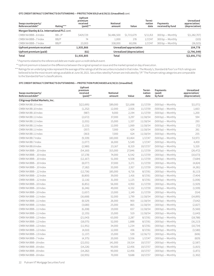### **OTC CREDIT DEFAULT CONTRACTS OUTSTANDING — PROTECTION SOLD at 6/30/21 (Unaudited)** *cont.*

| Swap counterparty/<br>Referenced debt*       | Rating*** | Upfront<br>premium<br>received<br>$(paid)**$ | Notional<br>amount | Value                     | Termi-<br>nation<br>date | Payments<br>received by fund | Unrealized<br>appreciation/<br>(depreciation) |
|----------------------------------------------|-----------|----------------------------------------------|--------------------|---------------------------|--------------------------|------------------------------|-----------------------------------------------|
| Morgan Stanley & Co. International PLC cont. |           |                                              |                    |                           |                          |                              |                                               |
| CMBX NA BBB-.6 Index                         | $BB-/P$   | \$429,729                                    | \$6,486,500        | \$1,715,679               | 5/11/63                  | $300$ bp $-$ Monthly         | \$(1, 282, 707)                               |
| CMBX NA BBB-7 Index                          | BB/P      | 74                                           | 1.000              | 178                       | 1/17/47                  | $300bp - Monthly$            | (103)                                         |
| CMBX NA BBB-7 Index                          | BB/P      | 23.003                                       | 338,000            | 60,096                    | 1/17/47                  | $300$ bp $-$ Monthly         | (36, 925)                                     |
| Upfront premium received                     |           | 1,935,866                                    |                    | Unrealized appreciation   |                          |                              | 104,778                                       |
| Upfront premium (paid)                       |           | (61)                                         |                    | Unrealized (depreciation) |                          |                              | (2,796,549)                                   |
| Total                                        |           | \$1,935,805                                  | Total              |                           |                          |                              | \$(2,691,771)                                 |

\* Payments related to the referenced debt are made upon a credit default event.

\*\* Upfront premium is based on the difference between the original spread on issue and the market spread on day of execution.

\*\*\* Ratings for an underlying index represent the average of the ratings of all the securities included in that index. The Moody's, Standard & Poor's or Fitch ratings are believed to be the most recent ratings available at June 30, 2021. Securities rated by Putnam are indicated by "/P." The Putnam rating categories are comparable to the Standard & Poor's classifications.

### **OTC CREDIT DEFAULT CONTRACTS OUTSTANDING — PROTECTION PURCHASED at 6/30/21 (Unaudited)**

| Swap counterparty/<br>Referenced debt* | Upfront<br>premium<br>received<br>$(paid)**$ | Notional<br>amount | Value    | Termi-<br>nation<br>date | Payments<br>(paid)<br>by fund | Unrealized<br>appreciation/<br>(depreciation) |
|----------------------------------------|----------------------------------------------|--------------------|----------|--------------------------|-------------------------------|-----------------------------------------------|
| Citigroup Global Markets, Inc.         |                                              |                    |          |                          |                               |                                               |
| CMBX NA BB.10 Index                    | \$(22,695)                                   | \$89,000           | \$21,698 | 11/17/59                 | $(500bp)$ – Monthly           | \$(1,071)                                     |
| CMBX NA BB.10 Index                    | (1,252)                                      | 12,000             | 2,926    | 11/17/59                 | $(500bp)$ – Monthly           | 1,663                                         |
| CMBX NA BB.10 Index                    | (987)                                        | 9,000              | 2,194    | 11/17/59                 | $(500bp)$ – Monthly           | 1,200                                         |
| CMBX NA BB.11 Index                    | (2,672)                                      | 37,000             | 3,297    | 11/18/54                 | $(500 bp)$ - Monthly          | 594                                           |
| CMBX NA BB.11 Index                    | (1,031)                                      | 15,000             | 1,337    | 11/18/54                 | $(500bp)$ - Monthly           | 293                                           |
| CMBX NA BB.11 Index                    | (1, 131)                                     | 12,000             | 1,069    | 11/18/54                 | $(500bp)$ - Monthly           | (72)                                          |
| CMBX NA BB.11 Index                    | (357)                                        | 7,000              | 624      | 11/18/54                 | $(500 bp)$ - Monthly          | 261                                           |
| CMBX NA BB.11 Index                    | (363)                                        | 7,000              | 624      | 11/18/54                 | $(500bp)$ – Monthly           | 255                                           |
| CMBX NA BB.7 Index                     | (9, 339)                                     | 183,000            | 63,464   | 1/17/47                  | $(500bp)$ – Monthly           | 53,973                                        |
| CMBX NA BB.7 Index                     | (1,077)                                      | 16,000             | 5,549    | 1/17/47                  | $(500bp)$ – Monthly           | 4,459                                         |
| CMBX NA BB.8 Index                     | (2,980)                                      | 23,167             | 8,319    | 10/17/57                 | $(500bp)$ - Monthly           | 5,320                                         |
| CMBX NA BBB-.10 Index                  | (54,160)                                     | 315,000            | 27,846   | 11/17/59                 | $(300bp)$ - Monthly           | (26, 472)                                     |
| CMBX NA BBB-.10 Index                  | (17, 178)                                    | 74,000             | 6,542    | 11/17/59                 | $(300bp)$ - Monthly           | (10, 673)                                     |
| CMBX NA BBB-.10 Index                  | (12, 167)                                    | 51,000             | 4,508    | 11/17/59                 | $(300bp)$ – Monthly           | (7,684)                                       |
| CMBX NA BBB-.10 Index                  | (8,077)                                      | 37,000             | 3,271    | 11/17/59                 | $(300bp)$ - Monthly           | (4,824)                                       |
| CMBX NA BBB-.10 Index                  | (7,182)                                      | 33,000             | 2,917    | 11/17/59                 | $(300bp)$ – Monthly           | (4,281)                                       |
| CMBX NA BBB-.12 Index                  | (12, 736)                                    | 185,000            | 6,716    | 8/17/61                  | $(300bp)$ – Monthly           | (6, 113)                                      |
| CMBX NA BBB-.12 Index                  | (8,800)                                      | 39,000             | 1,416    | 8/17/61                  | $(300bp)$ - Monthly           | (7,404)                                       |
| CMBX NA BBB-.12 Index                  | (2,116)                                      | 31,000             | 1,125    | 8/17/61                  | $(300bp)$ - Monthly           | (1,006)                                       |
| CMBX NA BBB-.10 Index                  | (6, 851)                                     | 56,000             | 4,950    | 11/17/59                 | $(300bp)$ - Monthly           | (1,929)                                       |
| CMBX NA BBB-.10 Index                  | (6, 246)                                     | 49,000             | 4,332    | 11/17/59                 | $(300bp)$ - Monthly           | (1,939)                                       |
| CMBX NA BBB-.10 Index                  | (1,657)                                      | 13,000             | 1,149    | 11/17/59                 | $(300bp)$ - Monthly           | (514)                                         |
| CMBX NA BBB-.11 Index                  | (16,668)                                     | 52,000             | 1,799    | 11/18/54                 | $(300bp)$ – Monthly           | (14,895)                                      |
| CMBX NA BBB-.11 Index                  | (8,529)                                      | 26,000             | 900      | 11/18/54                 | $(300bp)$ – Monthly           | (7,642)                                       |
| CMBX NA BBB-.11 Index                  | (3,680)                                      | 25,000             | 865      | 11/18/54                 | $(300bp)$ – Monthly           | (2,827)                                       |
| CMBX NA BBB-.11 Index                  | (6,208)                                      | 19,000             | 657      | 11/18/54                 | $(300bp)$ - Monthly           | (5,560)                                       |
| CMBX NA BBB-.11 Index                  | (2, 155)                                     | 15,000             | 519      | 11/18/54                 | $(300bp)$ - Monthly           | (1,643)                                       |
| CMBX NA BBB-.12 Index                  | (21, 043)                                    | 63,000             | 2,287    | 8/17/61                  | $(300bp)$ - Monthly           | (18, 788)                                     |
| CMBX NA BBB-.12 Index                  | (18,075)                                     | 52,000             | 1,888    | 8/17/61                  | $(300bp)$ - Monthly           | (16, 213)                                     |
| CMBX NA BBB-.12 Index                  | (11, 951)                                    | 34,000             | 1,234    | 8/17/61                  | $(300bp)$ – Monthly           | (10, 734)                                     |
| CMBX NA BBB-.12 Index                  | (4,010)                                      | 12,000             | 436      | 8/17/61                  | $(300bp)$ – Monthly           | (3,580)                                       |
| CMBX NA BBB-.13 Index                  | (1, 137)                                     | 15,000             | 539      | 12/16/72                 | $(300bp)$ – Monthly           | (606)                                         |
| CMBX NA BBB-.7 Index                   | (4, 375)                                     | 20,000             | 3,556    | 1/17/47                  | $(300bp)$ - Monthly           | (829)                                         |
| CMBX NA BBB-.8 Index                   | (22, 031)                                    | 141,000            | 19,514   | 10/17/57                 | $(300bp)$ – Monthly           | (2, 587)                                      |
| CMBX NA BBB-.8 Index                   | (14, 226)                                    | 90,000             | 12,456   | 10/17/57                 | $(300bp)$ - Monthly           | (1, 815)                                      |
| CMBX NA BBB-.8 Index                   | (14, 282)                                    | 90,000             | 12,456   | 10/17/57                 | $(300bp)$ - Monthly           | (1,871)                                       |
| CMBX NA BBB-.8 Index                   | (10, 955)                                    | 70,000             | 9.688    | 10/17/57                 | $(300 bp)$ – Monthly          | (1, 302)                                      |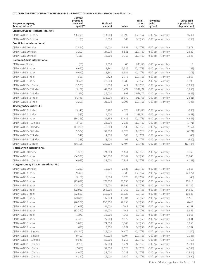### **OTC CREDIT DEFAULT CONTRACTS OUTSTANDING — PROTECTION PURCHASED at 6/30/21 (Unaudited)** *cont.*

|                                        | Upfront<br>premium   |                    |         | Termi-         | Payments             | Unrealized                      |
|----------------------------------------|----------------------|--------------------|---------|----------------|----------------------|---------------------------------|
| Swap counterparty/<br>Referenced debt* | received<br>(paid)** | Notional<br>amount | Value   | nation<br>date | (paid)<br>by fund    | appreciation/<br>(depreciation) |
| Citigroup Global Markets, Inc. cont.   |                      |                    |         |                |                      |                                 |
| CMBX NA BBB-.8 Index                   | \$(6, 298)           | \$44,000           | \$6,090 | 10/17/57       | $(300bp)$ - Monthly  | $$^{(230)}$                     |
| CMBX NA BBB-.9 Index                   | (1,183)              | 5,000              | 389     | 9/17/58        | $(300bp)$ – Monthly  | (796)                           |
| <b>Credit Suisse International</b>     |                      |                    |         |                |                      |                                 |
| CMBX NA BB.10 Index                    | (2,854)              | 24,000             | 5,851   | 11/17/59       | $(500 bp)$ – Monthly | 2,977                           |
| CMBX NA BB.10 Index                    | (3,202)              | 24,000             | 5,851   | 11/17/59       | $(500bp)$ - Monthly  | 2,629                           |
| CMBX NA BB.10 Index                    | (1,616)              | 13,000             | 3,169   | 11/17/59       | $(500 bp)$ – Monthly | 1,543                           |
| Goldman Sachs International            |                      |                    |         |                |                      |                                 |
| CMBX NAA.6 Index                       | (66)                 | 1,000              | 85      | 5/11/63        | $(200 bp)$ - Monthly | 18                              |
| CMBX NA BB.8 Index                     | (6,660)              | 18,341             | 6,586   | 10/17/57       | $(500bp)$ – Monthly  | (89)                            |
| CMBX NA BB.8 Index                     | (6,671)              | 18,341             | 6,586   | 10/17/57       | $(500bp)$ – Monthly  | (101)                           |
| CMBX NA BB.8 Index                     | (906)                | 7,722              | 2,773   | 10/17/57       | $(500 bp)$ – Monthly | 1,860                           |
| CMBX NA BB.9 Index                     | (3,674)              | 23,000             | 5,088   | 9/17/58        | $(500 bp)$ – Monthly | 1,395                           |
| CMBX NA BBB-.10 Index                  | (3,500)              | 16,000             | 1,414   | 11/17/59       | $(300 bp)$ – Monthly | (2,093)                         |
| CMBX NA BBB-.13 Index                  | (3,107)              | 41,000             | 1,472   | 12/16/72       | $(300bp)$ – Monthly  | (1,656)                         |
| CMBX NA BBB-.13 Index                  | (1, 524)             | 25,000             | 898     | 12/16/72       | $(300bp)$ - Monthly  | (639)                           |
| CMBX NA BBB-.6 Index                   | (90, 743)            | 333,000            | 88,079  | 5/11/63        | (300 bp) - Monthly   | (2,831)                         |
| CMBX NA BBB-.8 Index                   | (3,293)              | 21,000             | 2,906   | 10/17/57       | $(300bp)$ - Monthly  | (397)                           |
| JPMorgan Securities LLC                |                      |                    |         |                |                      |                                 |
| CMBX NA BB.11 Index                    | (5, 148)             | 9,702              | 4,326   | 5/11/63        | $(500 bp)$ – Monthly | (830)                           |
| CMBX NA BB.11 Index                    | (545)                | 1,000              | 89      | 11/18/54       | $(500bp)$ – Monthly  | (457)                           |
| CMBX NA BB.8 Index                     | (16, 356)            | 31,855             | 11,439  | 10/17/57       | $(500bp)$ – Monthly  | (4, 943)                        |
| CMBX NA BBB-.10 Index                  | (3,793)              | 23,000             | 2,033   | 11/17/59       | $(300bp)$ – Monthly  | (1,771)                         |
| CMBX NA BBB-.10 Index                  | (11, 268)            | 40,000             | 3,536   | 11/17/59       | $(300bp)$ - Monthly  | (7, 752)                        |
| CMBX NA BBB-.10 Index                  | (9,534)              | 32,000             | 2,829   | 11/17/59       | $(300bp)$ – Monthly  | (6, 721)                        |
| CMBX NA BBB-.12 Index                  | (547)                | 14,000             | 508     | 8/17/61        | $(300bp)$ - Monthly  | (46)                            |
| CMBX NA BBB-.12 Index                  | (1,048)              | 3,000              | 109     | 8/17/61        | (300 bp) - Monthly   | (940)                           |
| CMBX NA BBB-.7 Index                   | (56, 108)            | 239,000            | 42,494  | 1/17/47        | $(300bp)$ - Monthly  | (13, 734)                       |
| Merrill Lynch International            |                      |                    |         |                |                      |                                 |
| CMBX NA BB.10 Index                    | (1, 366)             | 24,000             | 5,851   | 11/17/59       | $(500 bp)$ – Monthly | 4,466                           |
| CMBX NA BB.9 Index                     | (14,998)             | 385,000            | 85,162  | 9/17/58        | $(500bp)$ - Monthly  | 69,843                          |
| CMBX NA BBB-.10 Index                  | (6,933)              | 32,000             | 2,829   | 11/17/59       | $(300bp)$ - Monthly  | (4,121)                         |
| Morgan Stanley & Co. International PLC |                      |                    |         |                |                      |                                 |
| CMBX NA BB.10 Index                    | (1,259)              | 12,000             | 2,926   | 11/17/59       | $(500 bp)$ — Monthly | 1,657                           |
| CMBX NA BB.8 Index                     | (9, 393)             | 18,341             | 6,586   | 10/17/57       | (500 bp) - Monthly   | (2,822)                         |
| CMBX NA BB.8 Index                     | (3,160)              | 8,688              | 3,120   | 10/17/57       | $(500bp)$ – Monthly  | (48)                            |
| CMBX NA BB.9 Index                     | (23, 827)            | 179,000            | 39,595  | 9/17/58        | (500 bp) - Monthly   | 15,619                          |
| CMBX NA BB.9 Index                     | (24, 315)            | 179,000            | 39,595  | 9/17/58        | $(500bp)$ - Monthly  | 15,130                          |
| CMBX NA BB.9 Index                     | (22,969)             | 168,000            | 37,162  | 9/17/58        | $(500bp)$ – Monthly  | 14,052                          |
| CMBX NA BB.9 Index                     | (22,860)             | 152,000            | 33,622  | 9/17/58        | (500 bp) - Monthly   | 10,636                          |
| CMBX NA BB.9 Index                     | (20, 671)            | 137,000            | 30,304  | 9/17/58        | $(500bp)$ - Monthly  | 9,519                           |
| CMBX NA BB.9 Index                     | (20, 232)            | 130,000            | 28,756  | 9/17/58        | $(500bp)$ – Monthly  | 8,416                           |
| CMBX NA BB.9 Index                     | (11,669)             | 81,000             | 17,917  | 9/17/58        | $(500bp)$ - Monthly  | 6,181                           |
| CMBX NA BB.9 Index                     | (12, 260)            | 81,000             | 17,917  | 9/17/58        | $(500bp)$ – Monthly  | 5,589                           |
| CMBX NA BB.9 Index                     | (1,270)              | 36,000             | 7,963   | 9/17/58        | $(500bp)$ - Monthly  | 6,663                           |
| CMBX NA BB.9 Index                     | (2,309)              | 27,000             | 5,972   | 9/17/58        | $(500bp)$ – Monthly  | 3,641                           |
| CMBX NA BB.9 Index                     | (3,633)              | 24,000             | 5,309   | 9/17/58        | $(500 bp)$ – Monthly | 1,656                           |
| CMBX NA BB.9 Index                     | (676)                | 9,000              | 1,991   | 9/17/58        | $(500bp)$ – Monthly  | 1,307                           |
| CMBX NA BBB-.8 Index                   | (18, 512)            | 119,000            | 16,470  | 10/17/57       | $(300bp)$ – Monthly  | (2,102)                         |
| CMBX NA BBB-.8 Index                   | (9,409)              | 60,000             | 8,304   | 10/17/57       | $(300bp)$ – Monthly  | (1, 135)                        |
| CMBX NA BBB-.10 Index                  | (9,946)              | 59,000             | 5,216   | 11/17/59       | $(300bp)$ – Monthly  | (4,760)                         |
| CMBX NA BBB-.10 Index                  | (8, 751)             | 37,000             | 3,271   | 11/17/59       | $(300bp)$ – Monthly  | (5,499)                         |
| CMBX NA BBB-.10 Index                  | (7,801)              | 32,000             | 2,829   | 11/17/59       | $(300bp)$ – Monthly  | (4,989)                         |
| CMBX NA BBB-.10 Index                  | (4,005)              | 23,000             | 2,033   | 11/17/59       | (300 bp) - Monthly   | (1,984)                         |
| CMBX NA BBB-.10 Index                  | (4, 362)             | 19,000             | 1,680   | 11/17/59       | (300 bp) - Monthly   | (2,692)                         |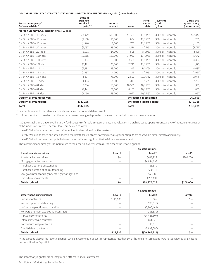### **OTC CREDIT DEFAULT CONTRACTS OUTSTANDING — PROTECTION PURCHASED at 6/30/21 (Unaudited)** *cont.*

| Swap counterparty/<br>Referenced debt*       | Upfront<br>premium<br>received<br>(paid)** | <b>Notional</b><br>amount | Value   | Termi-<br>nation<br>date  | Payments<br>(paid)<br>by fund | Unrealized<br>appreciation/<br>(depreciation) |
|----------------------------------------------|--------------------------------------------|---------------------------|---------|---------------------------|-------------------------------|-----------------------------------------------|
| Morgan Stanley & Co. International PLC cont. |                                            |                           |         |                           |                               |                                               |
| CMBX NA BBB-.10 Index                        | \$ (3,929)                                 | \$18,000                  | \$1,591 | 11/17/59                  | (300 bp) — Monthly            | \$(2, 347)                                    |
| CMBX NA BBB-.10 Index                        | (2,168)                                    | 10,000                    | 884     | 11/17/59                  | (300 bp) — Monthly            | (1,289)                                       |
| CMBX NA BBB-.10 Index                        | (1,946)                                    | 9,000                     | 796     | 11/17/59                  | (300 bp) — Monthly            | (1, 155)                                      |
| CMBX NA BBB-.12 Index                        | (5,797)                                    | 28,000                    | 1,016   | 8/17/61                   | (300 bp) — Monthly            | (4,795)                                       |
| CMBX NA BBB-.12 Index                        | (2,921)                                    | 14,000                    | 508     | 8/17/61                   | (300 bp) — Monthly            | (2,420)                                       |
| CMBX NA BBB-.10 Index                        | (19, 618)                                  | 159,000                   | 14,056  | 11/17/59                  | (300 bp) — Monthly            | (5,642)                                       |
| CMBX NA BBB-.10 Index                        | (11,034)                                   | 87,000                    | 7,691   | 11/17/59                  | (300 bp) — Monthly            | (3,387)                                       |
| CMBX NA BBB-.10 Index                        | (3,171)                                    | 25,000                    | 2,210   | 11/17/59                  | (300 bp) — Monthly            | (973)                                         |
| CMBX NA BBB-.11 Index                        | (5,981)                                    | 38,000                    | 1,315   | 11/18/54                  | (300 bp) — Monthly            | (4,685)                                       |
| CMBX NA BBB-.12 Index                        | (1,237)                                    | 4,000                     | 145     | 8/17/61                   | (300 bp) — Monthly            | (1,093)                                       |
| CMBX NA BBB-.13 Index                        | (4,807)                                    | 78,000                    | 2,800   | 12/16/72                  | (300 bp) — Monthly            | (2,046)                                       |
| CMBX NA BBB-7 Index                          | (4,063)                                    | 64,000                    | 11,379  | 1/17/47                   | (300 bp) — Monthly            | 7,284                                         |
| CMBX NA BBB-8 Index                          | (10, 734)                                  | 75,000                    | 10,380  | 10/17/57                  | $(300bp)$ - Monthly           | (392)                                         |
| CMBX NA BBB-.8 Index                         | (9,141)                                    | 59,000                    | 8,166   | 10/17/57                  | (300 bp) — Monthly            | (1,005)                                       |
| CMBX NA BBB-.8 Index                         | (9,069)                                    | 58,000                    | 8,027   | 10/17/57                  | (300 bp) — Monthly            | (1,057)                                       |
| Upfront premium received                     | —                                          |                           |         | Unrealized appreciation   |                               | 260,099                                       |
| Upfront premium (paid)                       | (942, 225)                                 |                           |         | Unrealized (depreciation) |                               | (273, 338)                                    |
| Total                                        | \$ (942, 225)                              |                           | Total   |                           |                               | \$(13, 239)                                   |

\* Payments related to the referenced debt are made upon a credit default event.

\*\* Upfront premium is based on the difference between the original spread on issue and the market spread on day of execution.

ASC 820 establishes a three-level hierarchy for disclosure of fair value measurements. The valuation hierarchy is based upon the transparency of inputs to the valuation of the fund's investments. The three levels are defined as follows:

Level 1: Valuations based on quoted prices for identical securities in active markets.

Level 2: Valuations based on quoted prices in markets that are not active or for which all significant inputs are observable, either directly or indirectly.

Level 3: Valuations based on inputs that are unobservable and significant to the fair value measurement.

The following is a summary of the inputs used to value the fund's net assets as of the close of the reporting period:

|                                                 |         | <b>Valuation inputs</b> |           |
|-------------------------------------------------|---------|-------------------------|-----------|
| Investments in securities:                      | Level 1 | Level 2                 | Level 3   |
| Asset-backed securities                         | $S-$    | \$641,128               | \$209,000 |
| Mortgage-backed securities                      | __      | 36,884,197              |           |
| Purchased options outstanding                   |         | 33,679                  |           |
| Purchased swap options outstanding              |         | 660,743                 |           |
| U.S. government and agency mortgage obligations |         | 31,455,588              |           |
| Short-term investments                          |         | 9,201,691               |           |
| <b>Totals by level</b>                          | s—      | \$78,877,026            | \$209,000 |

|                                       |           | Valuation inputs |         |
|---------------------------------------|-----------|------------------|---------|
| Other financial instruments:          | Level 1   | Level 2          | Level 3 |
| Futures contracts                     | \$115,836 | $s-$             | $S-$    |
| Written options outstanding           |           | (203, 318)       |         |
| Written swap options outstanding      |           | (2,806,444)      |         |
| Forward premium swap option contracts |           | (138, 689)       |         |
| TBA sale commitments                  |           | (14, 425, 607)   |         |
| Interest rate swap contracts          |           | 891,522          |         |
| Total return swap contracts           |           | 13,915           |         |
| Credit default contracts              |           | (3,698,590)      |         |
| Totals by level                       | \$115,836 | \$(20, 367, 211) |         |

At the start and close of the reporting period, Level 3 investments in securities represented less than 1% of the fund's net assets and were not considered a significant portion of the fund's portfolio.

The accompanying notes are an integral part of these financial statements.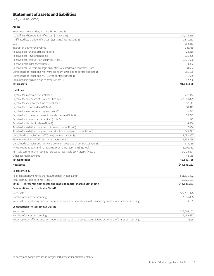### **Statement of assets and liabilities**

6/30/21 (Unaudited)

### **Assets**

| Investment in securities, at value (Notes 1 and 8):                          |              |
|------------------------------------------------------------------------------|--------------|
| Unaffiliated issuers (identified cost \$78,224,028)                          | \$77,215,615 |
| Affiliated issuers (identified cost \$1,870,411) (Notes 1 and 5)             | 1,870,411    |
| Cash                                                                         | 288,261      |
| Interest and other receivables                                               | 347,759      |
| Receivable for shares of the fund sold                                       | 25,610       |
| Receivable for investments sold                                              | 235,205      |
| Receivable for sales of TBA securities (Note 1)                              | 9,331,660    |
| Receivable from Manager (Note 2)                                             | 10,852       |
| Receivable for variation margin on centrally cleared swap contracts (Note 1) | 188,562      |
| Unrealized appreciation on forward premium swap option contracts (Note 1)    | 781,100      |
| Unrealized appreciation on OTC swap contracts (Note 1)                       | 371,685      |
| Premium paid on OTC swap contracts (Note 1)                                  | 942,286      |
| <b>Total assets</b>                                                          | 91,609,006   |

### **Liabilities**

| Payable for investments purchased                                          | 228,142        |
|----------------------------------------------------------------------------|----------------|
| Payable for purchases of TBA securities (Note 1)                           | 22,864,825     |
| Payable for shares of the fund repurchased                                 | 32,611         |
| Payable for custodian fees (Note 2)                                        | 31,412         |
| Payable for investor servicing fees (Note 2)                               | 5,341          |
| Payable for Trustee compensation and expenses (Note 2)                     | 58,772         |
| Payable for administrative services (Note 2)                               | 149            |
| Payable for distribution fees (Note 2)                                     | 4,666          |
| Payable for variation margin on futures contracts (Note 1)                 | 17,856         |
| Payable for variation margin on centrally cleared swap contracts (Note 1)  | 143,511        |
| Unrealized depreciation on OTC swap contracts (Note 1)                     | 3,083,357      |
| Premium received on OTC swap contracts (Note 1)                            | 1,935,866      |
| Unrealized depreciation on forward premium swap option contracts (Note 1)  | 919,789        |
| Written options outstanding, at value (premiums \$2,647,045) (Note 1)      | 3,009,762      |
| TBA sale commitments, at value (proceeds receivable \$14,415,156) (Note 1) | 14,425,607     |
| Other accrued expenses                                                     | 42,059         |
| <b>Total liabilities</b>                                                   | 46,803,725     |
| Net assets                                                                 | \$44,805,281   |
| Represented by                                                             |                |
| Paid-in capital (Unlimited shares authorized) (Notes 1 and 4)              | \$61,331,402   |
| Total distributable earnings (Note 1)                                      | (16, 526, 121) |
| Total - Representing net assets applicable to capital shares outstanding   | \$44,805,281   |
| Computation of net asset value Class IA                                    |                |

| Net assets                                                                                                          | \$22,513,178 |
|---------------------------------------------------------------------------------------------------------------------|--------------|
| Number of shares outstanding                                                                                        | 2.504.888    |
| Net asset value, offering price and redemption price per share (net assets divided by number of shares outstanding) | \$8.99       |
| Computation of net asset value Class IB                                                                             |              |

| Net assets                                                                                                          | \$22,292,103 |
|---------------------------------------------------------------------------------------------------------------------|--------------|
| Number of shares outstanding                                                                                        | 2.489.672    |
| Net asset value, offering price and redemption price per share (net assets divided by number of shares outstanding) | S8.95        |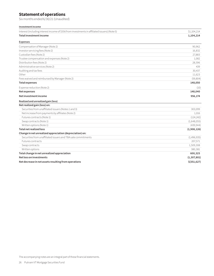### **Statement of operations**

Six months ended 6/30/21 (Unaudited)

| <b>Investment income</b>                                                                      |               |
|-----------------------------------------------------------------------------------------------|---------------|
| Interest (including interest income of \$556 from investments in affiliated issuers) (Note 5) | \$1,104,214   |
| Total investment income                                                                       | 1,104,214     |
| <b>Expenses</b>                                                                               |               |
| Compensation of Manager (Note 2)                                                              | 90,962        |
| Investor servicing fees (Note 2)                                                              | 16,832        |
| Custodian fees (Note 2)                                                                       | 27,883        |
| Trustee compensation and expenses (Note 2)                                                    | 1,082         |
| Distribution fees (Note 2)                                                                    | 28,596        |
| Administrative services (Note 2)                                                              | 439           |
| Auditing and tax fees                                                                         | 30,437        |
| Other                                                                                         | 11,623        |
| Fees waived and reimbursed by Manager (Note 2)                                                | (59,804)      |
| <b>Total expenses</b>                                                                         | 148,050       |
| Expense reduction (Note 2)                                                                    | (10)          |
| Net expenses                                                                                  | 148,040       |
| Net investment income                                                                         | 956,174       |
| Realized and unrealized gain (loss)                                                           |               |
| Net realized gain (loss) on:                                                                  |               |
| Securities from unaffiliated issuers (Notes 1 and 3)                                          | 303,099       |
| Net increase from payments by affiliates (Note 2)                                             | 1,016         |
| Futures contracts (Note 1)                                                                    | (124, 242)    |
| Swap contracts (Note 1)                                                                       | (1,648,055)   |
| Written options (Note 1)                                                                      | (439, 944)    |
| Total net realized loss                                                                       | (1,908,126)   |
| Change in net unrealized appreciation (depreciation) on:                                      |               |
| Securities from unaffiliated issuers and TBA sale commitments                                 | (1,496,935)   |
| Futures contracts                                                                             | 207,571       |
| Swap contracts                                                                                | 1,509,308     |
| Written options                                                                               | 380,381       |
| Total change in net unrealized appreciation                                                   | 600,325       |
| Net loss on investments                                                                       | (1, 307, 801) |
| Net decrease in net assets resulting from operations                                          | \$(351, 627)  |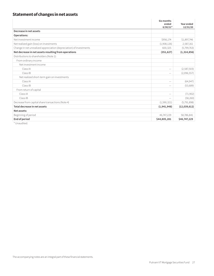### **Statement of changes in net assets**

|                                                                     | Six months<br>ended<br>$6/30/21*$ | Year ended<br>12/31/20 |
|---------------------------------------------------------------------|-----------------------------------|------------------------|
| Decrease in net assets                                              |                                   |                        |
| Operations:                                                         |                                   |                        |
| Net investment income                                               | \$956,174                         | \$1,897,746            |
| Net realized gain (loss) on investments                             | (1,908,126)                       | 2,587,161              |
| Change in net unrealized appreciation (depreciation) of investments | 600,325                           | (5,799,763)            |
| Net decrease in net assets resulting from operations                | (351, 627)                        | (1, 314, 856)          |
| Distributions to shareholders (Note 1):                             |                                   |                        |
| From ordinary income                                                |                                   |                        |
| Net investment income                                               |                                   |                        |
| Class IA                                                            | $\overline{\phantom{a}}$          | (2,587,503)            |
| Class IB                                                            | $\overline{\phantom{a}}$          | (2,096,557)            |
| Net realized short-term gain on investments                         |                                   |                        |
| Class IA                                                            | $\hspace{0.1mm}-\hspace{0.1mm}$   | (64, 947)              |
| Class IB                                                            | $\overline{\phantom{a}}$          | (53,689)               |
| From return of capital                                              |                                   |                        |
| Class IA                                                            | $\overline{\phantom{a}}$          | (71, 902)              |
| Class IB                                                            |                                   | (58, 260)              |
| Decrease from capital share transactions (Note 4)                   | (1,590,321)                       | (5,791,898)            |
| Total decrease in net assets                                        | (1,941,948)                       | (12,039,612)           |
| Net assets:                                                         |                                   |                        |
| Beginning of period                                                 | 46,747,229                        | 58,786,841             |
| End of period                                                       | \$44,805,281                      | \$46,747,229           |

\* Unaudited.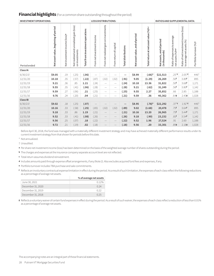### **Financial highlights** (For a common share outstanding throughout the period)

| <b>INVESTMENT OPERATIONS:</b> |                                      |                                           |                                                           |                                  |                            | <b>LESS DISTRIBUTIONS:</b>               |                                 |                            |                                |                                       | RATIOS AND SUPPLEMENTAL DATA:               |                                                  |                                                                    |                        |
|-------------------------------|--------------------------------------|-------------------------------------------|-----------------------------------------------------------|----------------------------------|----------------------------|------------------------------------------|---------------------------------|----------------------------|--------------------------------|---------------------------------------|---------------------------------------------|--------------------------------------------------|--------------------------------------------------------------------|------------------------|
| Period ended                  | Net asset value, beginning of period | Net investment income (loss) <sup>a</sup> | Net realized and unrealized gain (loss)<br>on investments | Total from investment operations | From net investment income | on investments<br>From net realized gain | From return of capital          | <b>Total distributions</b> | Net asset value, end of period | Total return at net assetvalue (%)b,c | Net assets, end of period<br>(in thousands) | Ratio of expenses to average<br>netassets (%)b,d | Ratio of net investment income (loss)<br>to average net assets (%) | Portfolio turnover (%) |
| Class IA                      |                                      |                                           |                                                           |                                  |                            |                                          |                                 |                            |                                |                                       |                                             |                                                  |                                                                    |                        |
| 6/30/21                       | \$9.05                               | .19                                       | (.25)                                                     | (.06)                            | $\overline{\phantom{0}}$   | $\qquad \qquad$                          |                                 | -                          | \$8.99                         | $(.66)^*$                             | \$22,513                                    | $.25*f$                                          | $2.05*f$                                                           | $446*$                 |
| 12/31/20                      | 10.18                                | .35                                       | (.57)                                                     | (.22)                            | (.87)                      | (.02)                                    | (.02)                           | (.91)                      | 9.05                           | (1.29)                                | 26,269                                      | .50f                                             | 3.89f                                                              | 895                    |
| 12/31/19                      | 9.21                                 | .36                                       | .85                                                       | 1.21                             | (.24)                      |                                          |                                 | (.24)                      | 10.18                          | 13.36                                 | 31,822                                      | .50 <sup>f</sup>                                 | 3.68f                                                              | 1,171                  |
| 12/31/18                      | 9.55                                 | .35                                       | (.41)                                                     | (.06)                            | (.28)                      | $\qquad \qquad$                          | $\overline{\phantom{0}}$        | (.28)                      | 9.21                           | (.62)                                 | 31,249                                      | .56f                                             | 3.80f                                                              | 1,142                  |
| 12/31/17                      | 9.59                                 | .27                                       | (.06)                                                     | .21                              | (.25)                      | $\qquad \qquad$                          | $\qquad \qquad$                 | (.25)                      | 9.55                           | 2.27                                  | 35,852                                      | .66                                              | 2.85                                                               | 1,188                  |
| 12/31/16                      | 9.76                                 | .24                                       | (.20)                                                     | .04                              | (.21)                      |                                          | $\overline{\phantom{0}}$        | (.21)                      | 9.59                           | .36                                   | 40,362                                      | $.64$ g                                          | 2.438                                                              | 1,028                  |
| Class IB                      |                                      |                                           |                                                           |                                  |                            |                                          |                                 |                            |                                |                                       |                                             |                                                  |                                                                    |                        |
| 6/30/21                       | \$9.02                               | .18                                       | (.25)                                                     | (.07)                            |                            |                                          |                                 | $\overline{\phantom{0}}$   | \$8.95                         | $(.78)$ *                             | \$22,292                                    | $.37*f$                                          | $1.92*f$                                                           | $446*$                 |
| 12/31/20                      | 10.16                                | .33                                       | (.58)                                                     | (.25)                            | (.85)                      | (.02)                                    | (.02)                           | (.89)                      | 9.02                           | (1.68)                                | 20,478                                      | .75f                                             | 3.64f                                                              | 895                    |
| 12/31/19                      | 9.18                                 | .33                                       | .86                                                       | 1.19                             | (.21)                      | $\hspace{0.1mm}-\hspace{0.1mm}$          | $\hspace{0.1mm}-\hspace{0.1mm}$ | (.21)                      | 10.16                          | 13.20                                 | 26,965                                      | .75f                                             | 3.44f                                                              | 1,171                  |
| 12/31/18                      | 9.52                                 | .33                                       | (.41)                                                     | (.08)                            | (.26)                      | $\overline{\phantom{m}}$                 | $\qquad \qquad -$               | (.26)                      | 9.18                           | (.90)                                 | 23,232                                      | .81f                                             | 3.54f                                                              | 1,142                  |
| 12/31/17                      | 9.56                                 | .25                                       | (.07)                                                     | .18                              | (.22)                      | $\overline{\phantom{m}}$                 | $\qquad \qquad -$               | (.22)                      | 9.52                           | 1.96                                  | 27,524                                      | .91                                              | 2.60                                                               | 1,188                  |
| 12/31/16                      | 9.72                                 | .21                                       | (.19)                                                     | .02                              | (.18)                      | $\qquad \qquad -$                        |                                 | (.18)                      | 9.56                           | .20                                   | 33,301                                      | $.89$ g                                          | 2.188                                                              | 1,028                  |

Before April 30, 2018, the fund was managed with a materially different investment strategy and may have achieved materially different performance results under its current investment strategy from that shown for periods before this date.

\* Not annualized.

† Unaudited.

**<sup>a</sup>** Per share net investment income (loss) has been determined on the basis of the weighted average number of shares outstanding during the period.

**<sup>b</sup>** The charges and expenses at the insurance company separate account level are not reflected.

**<sup>c</sup>** Total return assumes dividend reinvestment.

**<sup>d</sup>** Includes amounts paid through expense offset arrangements, if any (Note 2). Also excludes acquired fund fees and expenses, if any.

**<sup>e</sup>** Portfolio turnover includes TBA purchase and sale commitments.

**<sup>f</sup>** Reflects an involuntary contractual expense limitation in effect during the period. As a result of such limitation, the expenses of each class reflect the following reductions as a percentage of average net assets.

|                   | % of average net assets |
|-------------------|-------------------------|
| June 30, 2021     | 0.12%                   |
| December 31, 2020 | O 24                    |
| December 31, 2019 | 0.22                    |
| December 31, 2018 | 025                     |

**<sup>g</sup>** Reflects a voluntary waiver of certain fund expenses in effect during the period. As a result of such waiver, the expenses of each class reflect a reduction of less than 0.01% as a percentage of average net assets.

The accompanying notes are an integral part of these financial statements.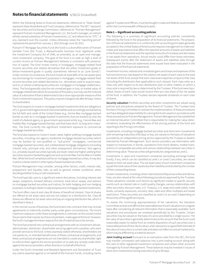### **Notes to financial statements** 6/30/21 (Unaudited)

Within the following Notes to financial statements, references to "State Street" represent State Street Bank and Trust Company, references to "the SEC" represent the Securities and Exchange Commission, references to "Putnam Management" represent Putnam Investment Management, LLC, the fund's manager, an indirect wholly-owned subsidiary of Putnam Investments, LLC and references to "OTC", if any, represent over-the-counter. Unless otherwise noted, the "reporting period" represents the period from January 1, 2021 through June 30, 2021.

Putnam VT Mortgage Securities Fund (the fund) is a diversified series of Putnam Variable Trust (the Trust), a Massachusetts business trust registered under the Investment Company Act of 1940, as amended, as an open-end management investment company. The goal of the fund is to seek as high a level of current income as Putnam Management believes is consistent with preservation of capital. The fund invests mainly in mortgages, mortgage-related fixed income securities and related derivatives that are either investment-grade or below-investment-grade in quality (sometimes referred to as "junk bonds"). Under normal circumstances, the fund invests at least 80% of its net assets (plus any borrowings for investment purposes) in mortgages, mortgage-related fixed income securities and related derivatives (i.e., derivatives used to acquire exposure to, or whose underlying securities are, mortgages or mortgage-related securities). The fund generally uses the net unrealized gain or loss, or market value, of mortgage-related derivatives for purposes of this policy, but may use the notional value of a derivative if that is determined to be a more appropriate measure of the fund's investment exposure. This policy may be changed only after 60 days' notice to shareholders.

The fund expects to invest in mortgage-backed investments that are obligations of U.S. government agencies and instrumentalities and accordingly are backed by the full faith and credit of the United States (e.g., Ginnie Mae mortgage-backed bonds) as well as in mortgage-backed investments that are backed by only the credit of a federal agency or government-sponsored entity (e.g., Fannie Mae and Freddie Mac mortgage-backed bonds), and that have short- to long-term maturities. The fund currently has significant investment exposure to commercial mortgage-backed securities.

The fund also expects to invest in lower-rated, higher-yielding mortgage-backed securities, including non-agency residential mortgage-backed securities (which may be backed by non-qualified or "sub-prime" mortgages), commercial mortgage-backed securities, and collateralized mortgage obligations (including interest only, principal only, and other prepayment derivatives). Non-agency (i.e., privately issued) securities typically are lower-rated and higher yielding than securities issued or backed by agencies such as Ginnie Mae, Fannie Mae or Freddie Mac. While the fund's emphasis will be on mortgage-backed securities, it may also invest to a lesser extent in other types of asset-backed securities.

Putnam Management may consider, among other factors, credit, interest rate, prepayment and liquidity risks, as well as general market conditions, when deciding whether to buy or sell investments.

The fund typically uses to a significant extent derivatives, including interest rate swaps, swaptions, forward delivery contracts, total return swaps, and options on mortgage-backed securities and indices, for both hedging and non-hedging purposes, including to obtain or adjust exposure to mortgage-backed investments.

The fund offers class IA and class IB shares of beneficial interest. Class IA shares are offered at net asset value and are not subject to a distribution fee. Class IB shares are offered at net asset value and pay an ongoing distribution fee, which is identified in Note 2.

In the normal course of business, the fund enters into contracts that may include agreements to indemnify another party under given circumstances. The fund's maximum exposure under these arrangements is unknown as this would involve future claims that may be, but have not yet been, made against the fund. However, the fund's management team expects the risk of material loss to be remote.

The fund has entered into contractual arrangements with an investment adviser, administrator, distributor, shareholder servicing agent and custodian, who each provide services to the fund. Unless expressly stated otherwise, shareholders are not parties to, or intended beneficiaries of these contractual arrangements, and these contractual arrangements are not intended to create any shareholder right to enforce them against the service providers or to seek any remedy under them against the service providers, either directly or on behalf of the fund.

Under the fund's Amended and Restated Agreement and Declaration of Trust, any claims asserted against or on behalf of the Putnam Funds, including claims

against Trustees and Officers, must be brought in state and federal courts located within the Commonwealth of Massachusetts.

#### **Note 1 — Significant accounting policies**

The following is a summary of significant accounting policies consistently followed by the fund in the preparation of its financial statements. The preparation of financial statements is in conformity with accounting principles generally accepted in the United States of America and requires management to make estimates and assumptions that affect the reported amounts of assets and liabilities in the financial statements and the reported amounts of increases and decreases in net assets from operations. Actual results could differ from those estimates. Subsequent events after the Statement of assets and liabilities date through the date that the financial statements were issued have been evaluated in the preparation of the financial statements.

Investment income, realized and unrealized gains and losses and expenses of the fund are borne pro-rata based on the relative net assets of each class to the total net assets of the fund, except that each class bears expenses unique to that class (including the distribution fees applicable to such classes). Each class votes as a class only with respect to its own distribution plan or other matters on which a class vote is required by law or determined by the Trustees. If the fund were liquidated, shares of each class would receive their pro-rata share of the net assets of the fund. In addition, the Trustees declare separate dividends on each class of shares.

**Security valuation** Portfolio securities and other investments are valued using policies and procedures adopted by the Board of Trustees. The Trustees have formed a Pricing Committee to oversee the implementation of these procedures and have delegated responsibility for valuing the fund's assets in accordance with these procedures to Putnam Management. Putnam Management has established an internal Valuation Committee that is responsible for making fair value determinations, evaluating the effectiveness of the pricing policies of the fund and reporting to the Pricing Committee.

Investments, including mortgage backed securities and short-term investments with remaining maturities of 60 days or less, are valued on the basis of valuations provided by an independent pricing service approved by the Trustees or dealers selected by Putnam Management. Such service providers use information with respect to transactions in bonds, quotations from bond dealers, market transactions in comparable securities and various relationships between securities in determining value. These securities will generally be categorized as Level 2.

Investments in open-end investment companies (excluding exchange-traded funds), if any, which can be classified as Level 1 or Level 2 securities, are valued based on their net asset value. The net asset value of such investment companies equals the total value of their assets less their liabilities and divided by the number of their outstanding shares.

Certain investments, including certain restricted and illiquid securities and derivatives, are also valued at fair value following procedures approved by the Trustees. These valuations consider such factors as significant market or specific security events such as interest rate or credit quality changes, various relationships with other securities, discount rates, U.S. Treasury, U.S. swap and credit yields, index levels, convexity exposures, recovery rates, sales and other multiples and resale restrictions. These securities are classified as Level 2 or as Level 3 depending on the priority of the significant inputs.

To assess the continuing appropriateness of fair valuations, the Valuation Committee reviews and affirms the reasonableness of such valuations on a regular basis after considering all relevant information that is reasonably available. Such valuations and procedures are reviewed periodically by the Trustees. Certain securities may be valued on the basis of a price provided by a single source. The fair value of securities is generally determined as the amount that the fund could reasonably expect to realize from an orderly disposition of such securities over a reasonable period of time. By its nature, a fair value price is a good faith estimate of the value of a security in a current sale and does not reflect an actual market price, which may be different by a material amount.

**Joint trading account** Pursuant to an exemptive order from the SEC, the fund may transfer uninvested cash balances into a joint trading account along with the cash of other registered investment companies and certain other accounts managed by Putnam Management. These balances may be invested in issues of short-term investments having maturities of up to 90 days.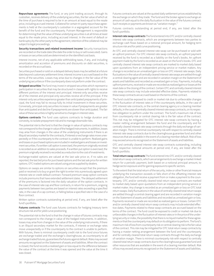**Repurchase agreements** The fund, or any joint trading account, through its custodian, receives delivery of the underlying securities, the fair value of which at the time of purchase is required to be in an amount at least equal to the resale price, including accrued interest. Collateral for certain tri-party repurchase agreements is held at the counterparty's custodian in a segregated account for the benefit of the fund and the counterparty. Putnam Management is responsible for determining that the value of these underlying securities is at all times at least equal to the resale price, including accrued interest. In the event of default or bankruptcy by the other party to the agreement, retention of the collateral may be subject to legal proceedings.

**Security transactions and related investment income** Security transactions are recorded on the trade date (the date the order to buy or sell is executed). Gains or losses on securities sold are determined on the identified cost basis.

Interest income, net of any applicable withholding taxes, if any, and including amortization and accretion of premiums and discounts on debt securities, is recorded on the accrual basis.

Securities purchased or sold on a delayed delivery basis may be settled at a future date beyond customary settlement time; interest income is accrued based on the terms of the securities. Losses may arise due to changes in the fair value of the underlying securities or if the counterparty does not perform under the contract.

**Stripped securities** The fund may invest in stripped securities which represent a participation in securities that may be structured in classes with rights to receive different portions of the interest and principal. Interest-only securities receive all of the interest and principal-only securities receive all of the principal. If the interest-only securities experience greater than anticipated prepayments of principal, the fund may fail to recoup fully its initial investment in these securities. Conversely, principal-only securities increase in value if prepayments are greater than anticipated and decline if prepayments are slower than anticipated. The fair value of these securities is highly sensitive to changes in interest rates.

**Options contracts** The fund uses options contracts to hedge duration and convexity, to isolate prepayment risk and to manage downside risks.

The potential risk to the fund is that the change in value of options contracts may not correspond to the change in value of the hedged instruments. In addition, losses may arise from changes in the value of the underlying instruments if there is an illiquid secondary market for the contracts, if interest or exchange rates move unexpectedly or if the counterparty to the contract is unable to perform. Realized gains and losses on purchased options are included in realized gains and losses on investment securities. If a written call option is exercised, the premium originally received is recorded as an addition to sales proceeds. If a written put option is exercised, the premium originally received is recorded as a reduction to the cost of investments.

Exchange-traded options are valued at the last sale price or, if no sales are reported, the last bid price for purchased options and the last ask price for written options. OTC traded options are valued using prices supplied by dealers.

Options on swaps are similar to options on securities except that the premium paid or received is to buy or grant the right to enter into a previously agreed upon interest rate or credit default contract. Forward premium swap option contracts include premiums that have extended settlement dates. The delayed settlement of the premiums is factored into the daily valuation of the option contracts. In the case of interest rate cap and floor contracts, in return for a premium, ongoing payments between two parties are based on interest rates exceeding a specified rate, in the case of a cap contract, or falling below a specified rate in the case of a floor contract.

Written option contracts outstanding at period end, if any, are listed after the fund's portfolio**.**

**Futures contracts** The fund uses futures contracts for hedging treasury term structure risk and for yield curve positioning.

The potential risk to the fund is that the change in value of futures contracts may not correspond to the change in value of the hedged instruments. In addition, losses may arise from changes in the value of the underlying instruments, if there is an illiquid secondary market for the contracts, if interest or exchange rates move unexpectedly or if the counterparty to the contract is unable to perform. With futures, there is minimal counterparty credit risk to the fund since futures are exchange traded and the exchange's clearinghouse, as counterparty to all exchange traded futures, guarantees the futures against default. Risks may exceed amounts recognized on the Statement of assets and liabilities. When the contract is closed, the fund records a realized gain or loss equal to the difference between the value of the contract at the time it was opened and the value at the time it was closed.

Futures contracts are valued at the quoted daily settlement prices established by the exchange on which they trade. The fund and the broker agree to exchange an amount of cash equal to the daily fluctuation in the value of the futures contract. Such receipts or payments are known as "variation margin."

Futures contracts outstanding at period end, if any, are listed after the fund's portfolio.

**Interest rate swap contracts** The fund entered into OTC and/or centrally cleared interest rate swap contracts, which are arrangements between two parties to exchange cash flows based on a notional principal amount, for hedging term structure risk and for yield curve positioning.

An OTC and centrally cleared interest rate swap can be purchased or sold with an upfront premium. For OTC interest rate swap contracts, an upfront payment received by the fund is recorded as a liability on the fund's books. An upfront payment made by the fund is recorded as an asset on the fund's books. OTC and centrally cleared interest rate swap contracts are marked to market daily based upon quotations from an independent pricing service or market makers. Any change is recorded as an unrealized gain or loss on OTC interest rate swaps. Daily fluctuations in the value of centrally cleared interest rate swaps are settled through a central clearing agent and are recorded in variation margin on the Statement of assets and liabilities and recorded as unrealized gain or loss. Payments, including upfront premiums, received or made are recorded as realized gains or losses at the reset date or the closing of the contract. Certain OTC and centrally cleared interest rate swap contracts may include extended effective dates. Payments related to these swap contracts are accrued based on the terms of the contract.

The fund could be exposed to credit or market risk due to unfavorable changes in the fluctuation of interest rates or if the counterparty defaults, in the case of OTC interest rate contracts, or the central clearing agency or a clearing member defaults, in the case of centrally cleared interest rate swap contracts, on its respective obligation to perform under the contract. The fund's maximum risk of loss from counterparty risk or central clearing risk is the fair value of the contract. This risk may be mitigated for OTC interest rate swap contracts by having a master netting arrangement between the fund and the counterparty and for centrally cleared interest rate swap contracts through the daily exchange of variation margin. There is minimal counterparty risk with respect to centrally cleared interest rate swap contracts due to the clearinghouse guarantee fund and other resources that are available in the event of a clearing member default. Risk of loss may exceed amounts recognized on the Statement of assets and liabilities.

OTC and centrally cleared interest rate swap contracts outstanding, including their respective notional amounts at period end, if any, are listed after the fund's portfolio.

**Total return swap contracts** The fund entered into OTC and/or centrally cleared total return swap contracts, which are arrangements to exchange a market-linked return for a periodic payment, both based on a notional principal amount, to hedge sector exposure and for gaining exposure to specific sectors.

To the extent that the total return of the security, index or other financial measure underlying the transaction exceeds or falls short of the offsetting interest rate obligation, the fund will receive a payment from or make a payment to the counterparty. OTC and/or centrally cleared total return swap contracts are marked to market daily based upon quotations from an independent pricing service or market maker. Any change is recorded as an unrealized gain or loss on OTC total return swaps. Daily fluctuations in the value of centrally cleared total return swaps are settled through a central clearing agent and are recorded in variation margin on the Statement of assets and liabilities and recorded as unrealized gain or loss. Payments received or made are recorded as realized gains or losses. Certain OTC and/or centrally cleared total return swap contracts may include extended effective dates. Payments related to these swap contracts are accrued based on the terms of the contract. The fund could be exposed to credit or market risk due to unfavorable changes in the fluctuation of interest rates or in the price of the underlying security or index, the possibility that there is no liquid market for these agreements or that the counterparty may default on its obligation to perform. The fund's maximum risk of loss from counterparty risk or central clearing risk is the fair value of the contract. This risk may be mitigated for OTC total return swap contracts by having a master netting arrangement between the fund and the counterparty and for centrally cleared total return swap contracts through the daily exchange of variation margin. There is minimal counterparty risk with respect to centrally cleared total return swap contracts due to the clearinghouse guarantee fund and other resources that are available in the event of a clearing member default. Risk of loss may exceed amounts recognized on the Statement of assets and liabilities.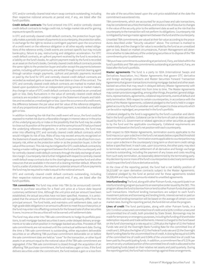OTC and/or centrally cleared total return swap contracts outstanding, including their respective notional amounts at period end, if any, are listed after the fund's portfolio.

**Credit default contracts** The fund entered into OTC and/or centrally cleared credit default contracts to hedge credit risk, to hedge market risk and for gaining exposure to specific sectors.

In OTC and centrally cleared credit default contracts, the protection buyer typically makes a periodic stream of payments to a counterparty, the protection seller, in exchange for the right to receive a contingent payment upon the occurrence of a credit event on the reference obligation or all other equally ranked obligations of the reference entity. Credit events are contract specific but may include bankruptcy, failure to pay, restructuring and obligation acceleration. For OTC credit default contracts, an upfront payment received by the fund is recorded as a liability on the fund's books. An upfront payment made by the fund is recorded as an asset on the fund's books. Centrally cleared credit default contracts provide the same rights to the protection buyer and seller except the payments between parties, including upfront premiums, are settled through a central clearing agent through variation margin payments. Upfront and periodic payments received or paid by the fund for OTC and centrally cleared credit default contracts are recorded as realized gains or losses at the reset date or close of the contract. The OTC and centrally cleared credit default contracts are marked to market daily based upon quotations from an independent pricing service or market makers. Any change in value of OTC credit default contracts is recorded as an unrealized gain or loss. Daily fluctuations in the value of centrally cleared credit default contracts are recorded in variation margin on the Statement of assets and liabilities and recorded as unrealized gain or loss. Upon the occurrence of a credit event, the difference between the par value and fair value of the reference obligation, net of any proportional amount of the upfront payment, is recorded as a realized gain or loss.

In addition to bearing the risk that the credit event will occur, the fund could be exposed to market risk due to unfavorable changes in interest rates or in the price of the underlying security or index or the possibility that the fund may be unable to close out its position at the same time or at the same price as if it had purchased the underlying reference obligations. In certain circumstances, the fund may enter into offsetting OTC and centrally cleared credit default contracts which would mitigate its risk of loss. Risks of loss may exceed amounts recognized on the Statement of assets and liabilities. The fund's maximum risk of loss from counterparty risk, either as the protection seller or as the protection buyer, is the fair value of the contract. This risk may be mitigated for OTC credit default contracts by having a master netting arrangement between the fund and the counterparty and for centrally cleared credit default contracts through the daily exchange of variation margin. Counterparty risk is further mitigated with respect to centrally cleared credit default swap contracts due to the clearinghouse guarantee fund and other resources that are available in the event of a clearing member default. Where the fund is a seller of protection, the maximum potential amount of future payments the fund may be required to make is equal to the notional amount.

OTC and centrally cleared credit default contracts outstanding, including their respective notional amounts at period end, if any, are listed after the fund's portfolio.

**TBA commitments** The fund may enter into TBA (to be announced) commitments to purchase securities for a fixed unit price at a future date beyond customary settlement time. Although the unit price and par amount have been established, the actual securities have not been specified. However, it is anticipated that the amount of the commitments will not significantly differ from the principal amount. The fund holds, and maintains until settlement date, cash or high-grade debt obligations in an amount sufficient to meet the purchase price, or the fund may enter into offsetting contracts for the forward sale of other securities it owns. Income on the securities will not be earned until settlement date.

The fund may also enter into TBA sale commitments to hedge its portfolio positions, to sell mortgage-backed securities it owns under delayed delivery arrangements or to take a short position in mortgage-backed securities. Proceeds of TBA sale commitments are not received until the contractual settlement date. During the time a TBA sale commitment is outstanding, either equivalent deliverable securities or an offsetting TBA purchase commitment deliverable on or before the sale commitment date are held as "cover" for the transaction, or other liquid assets in an amount equal to the notional value of the TBA sale commitment are segregated. If the TBA sale commitment is closed through the acquisition of an offsetting TBA purchase commitment, the fund realizes a gain or loss. If the fund delivers securities under the commitment, the fund realizes a gain or a loss from

the sale of the securities based upon the unit price established at the date the commitment was entered into.

TBA commitments, which are accounted for as purchase and sale transactions, may be considered securities themselves, and involve a risk of loss due to changes in the value of the security prior to the settlement date as well as the risk that the counterparty to the transaction will not perform its obligations. Counterparty risk is mitigated by having a master agreement between the fund and the counterparty.

Unsettled TBA commitments are valued at their fair value according to the procedures described under "Security valuation" above. The contract is marked to market daily and the change in fair value is recorded by the fund as an unrealized gain or loss. Based on market circumstances, Putnam Management will determine whether to take delivery of the underlying securities or to dispose of the TBA commitments prior to settlement.

TBA purchase commitments outstanding at period end, if any, are listed within the fund's portfolio and TBA sale commitments outstanding at period end, if any, are listed after the fund's portfolio.

**Master agreements** The fund is a party to ISDA (International Swaps and Derivatives Association, Inc.) Master Agreements that govern OTC derivative and foreign exchange contracts and Master Securities Forward Transaction Agreements that govern transactions involving mortgage-backed and other assetbacked securities that may result in delayed delivery (Master Agreements) with certain counterparties entered into from time to time. The Master Agreements may contain provisions regarding, among other things, the parties' general obligations, representations, agreements, collateral requirements, events of default and early termination. With respect to certain counterparties, in accordance with the terms of the Master Agreements, collateral pledged to the fund is held in a segregated account by the fund's custodian and, with respect to those amounts which can be sold or repledged, are presented in the fund's portfolio.

Collateral pledged by the fund is segregated by the fund's custodian and identified in the fund's portfolio. Collateral can be in the form of cash or debt securities issued by the U.S. Government or related agencies or other securities as agreed to by the fund and the applicable counterparty. Collateral requirements are determined based on the fund's net position with each counterparty.

With respect to ISDA Master Agreements, termination events applicable to the fund may occur upon a decline in the fund's net assets below a specified threshold over a certain period of time. Termination events applicable to counterparties may occur upon a decline in the counterparty's long-term or short-term credit ratings below a specified level. In each case, upon occurrence, the other party may elect to terminate early and cause settlement of all derivative and foreign exchange contracts outstanding, including the payment of any losses and costs resulting from such early termination, as reasonably determined by the terminating party. Any decision by one or more of the fund's counterparties to elect early termination could impact the fund's future derivative activity.

At the close of the reporting period, the fund had a net liability position of \$6,215,687 on open derivative contracts subject to the Master Agreements. Collateral pledged by the fund at period end for these agreements totaled \$6,228,404 and may include amounts related to unsettled agreements.

**Interfund lending** The fund, along with other Putnam funds, may participate in an interfund lending program pursuant to an exemptive order issued by the SEC. This program allows the fund to borrow from or lend to other Putnam funds that permit such transactions. Interfund lending transactions are subject to each fund's investment policies and borrowing and lending limits. Interest earned or paid on the interfund lending transaction will be based on the average of certain current market rates. During the reporting period, the fund did not utilize the program.

**Lines of credit** The fund participates, along with other Putnam funds, in a \$317.5 million unsecured committed line of credit and a \$235.5 million unsecured uncommitted line of credit, both provided by State Street. Borrowings may be made for temporary or emergency purposes, including the funding of shareholder redemption requests and trade settlements. Interest is charged to the fund based on the fund's borrowing at a rate equal to 1.25% plus the higher of (1) the Federal Funds rate and (2) the Overnight Bank Funding Rate for the committed line of credit and 1.30% plus the higher of (1) the Federal Funds rate and (2) the Overnight Bank Funding Rate for the uncommitted line of credit. A closing fee equal to 0.04% of the committed line of credit and 0.04% of the uncommitted line of credit has been paid by the participating funds. In addition, a commitment fee of 0.21% per annum on any unutilized portion of the committed line of credit is allocated to the participating funds based on their relative net assets and paid quarterly. During the reporting period, the fund had no borrowings against these arrangements.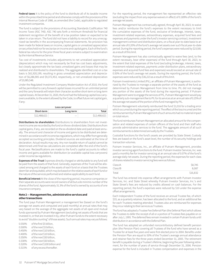**Federal taxes** It is the policy of the fund to distribute all of its taxable income within the prescribed time period and otherwise comply with the provisions of the Internal Revenue Code of 1986, as amended (the Code), applicable to regulated investment companies.

The fund is subject to the provisions of Accounting Standards Codification 740 *Income Taxes* (ASC 740). ASC 740 sets forth a minimum threshold for financial statement recognition of the benefit of a tax position taken or expected to be taken in a tax return. The fund did not have a liability to record for any unrecognized tax benefits in the accompanying financial statements. No provision has been made for federal taxes on income, capital gains or unrealized appreciation on securities held nor for excise tax on income and capital gains. Each of the fund's federal tax returns for the prior three fiscal years remains subject to examination by the Internal Revenue Service.

Tax cost of investments includes adjustments to net unrealized appreciation (depreciation) which may not necessarily be final tax cost basis adjustments, but closely approximate the tax basis unrealized gains and losses that may be realized and distributed to shareholders. The aggregate identified cost on a tax basis is \$61,920,199, resulting in gross unrealized appreciation and depreciation of \$6,286,905 and \$9,372,453, respectively, or net unrealized depreciation of \$3,085,548.

Under the Regulated Investment Company Modernization Act of 2010, the fund will be permitted to carry forward capital losses incurred for an unlimited period and the carry forwards will retain their character as either short-term or long-term capital losses. At December 31, 2020, the fund had the following capital loss carryovers available, to the extent allowed by the Code, to offset future net capital gain, if any:

|              | Loss carryover |              |
|--------------|----------------|--------------|
| Short-term   | Long-term      | Total        |
| \$12,488,621 |                | \$12,488,621 |

**Distributions to shareholders** Distributions to shareholders from net investment income are recorded by the fund on the ex-dividend date. Distributions from capital gains, if any, are recorded on the ex-dividend date and paid at least annually. The amount and character of income and gains to be distributed are determined in accordance with income tax regulations, which may differ from generally accepted accounting principles. Dividend sources are estimated at the time of declaration. Actual results may vary. Any non-taxable return of capital cannot be determined until final tax calculations are completed after the end of the fund's fiscal year. Reclassifications are made to the fund's capital accounts to reflect income and gains available for distribution (or available capital loss carryovers) under income tax regulations.

**Expenses of the Trust** Expenses directly charged or attributable to any fund will be paid from the assets of that fund. Generally, expenses of the Trust will be allocated among and charged to the assets of each fund on a basis that the Trustees deem fair and equitable, which may be based on the relative assets of each fund or the nature of the services performed and relative applicability to each fund.

**Beneficial interest** At the close of the reporting period, insurance companies or their separate accounts were record owners of all but a de minimis number of the shares of the fund. Approximately 31.3% of the fund is owned by accounts of one insurance company.

#### **Note 2 — Management fee, administrative services and other transactions**

The fund pays Putnam Management a management fee (based on the fund's average net assets and computed and paid monthly) at annual rates that may vary based on the average of the aggregate net assets of all open-end mutual funds sponsored by Putnam Management (excluding net assets of funds that are invested in, or that are invested in by, other Putnam funds to the extent necessary to avoid "double counting" of those assets). Such annual rates may vary as follows:

0.550% of the first \$5 billion, 0.500% of the next \$5 billion, 0.450% of the next \$10 billion, 0.400% of the next \$10 billion, 0.350% of the next \$50 billion, 0.330% of the next \$50 billion, 0.320% of the next \$100 billion and 0.315% of any excess thereafter.

For the reporting period, the management fee represented an effective rate (excluding the impact from any expense waivers in effect) of 0.189% of the fund's average net assets.

Putnam Management has contractually agreed, through April 30, 2023, to waive fees and/or reimburse the fund's expenses to the extent necessary to limit the cumulative expenses of the fund, exclusive of brokerage, interest, taxes, investment-related expenses, extraordinary expenses, acquired fund fees and expenses and payments under the fund's investor servicing contract, investment management contract and distribution plans, on a fiscal year-to-date basis to an annual rate of 0.20% of the fund's average net assets over such fiscal year-to-date period. During the reporting period, the fund's expenses were reduced by \$23,581 as a result of this limit.

Putnam Management has also contractually agreed to waive fees (and, to the extent necessary, bear other expenses) of the fund through April 30, 2023, to the extent that total expenses of the fund (excluding brokerage, interest, taxes, investment-related expenses, payments under distribution plans, extraordinary expenses and acquired fund fees and expenses) would exceed an annual rate of 0.50% of the fund's average net assets. During the reporting period, the fund's expenses were reduced by \$36,223 as a result of this limit.

Putnam Investments Limited (PIL), an affiliate of Putnam Management, is authorized by the Trustees to manage a separate portion of the assets of the fund as determined by Putnam Management from time to time. PIL did not manage any portion of the assets of the fund during the reporting period. If Putnam Management were to engage the services of PIL, Putnam Management would pay a quarterly sub-management fee to PIL for its services at an annual rate of 0.25% of the average net assets of the portion of the fund managed by PIL.

Putnam Management voluntarily reimbursed the fund \$1,016 for a trading error which occurred during the reporting period. The effect of the loss incurred and the reimbursement by Putnam Management of such amounts had no material impact on total return.

The fund reimburses Putnam Management an allocated amount for the compensation and related expenses of certain officers of the fund and their staff who provide administrative services to the fund. The aggregate amount of all such reimbursements is determined annually by the Trustees.

Custodial functions for the fund's assets are provided by State Street. Custody fees are based on the fund's asset level, the number of its security holdings and transaction volumes.

Putnam Investor Services, Inc., an affiliate of Putnam Management, provides investor servicing agent functions to the fund. Putnam Investor Services, Inc. was paid a monthly fee for investor servicing at an annual rate of 0.07% of the fund's average daily net assets. During the reporting period, the expenses for each class of shares related to investor servicing fees were as follows:

| Class IA | \$8,745  |
|----------|----------|
| Class IB | 8.087    |
| Total    | \$16,832 |

The fund has entered into expense offset arrangements with Putnam Investor Services, Inc. and State Street whereby Putnam Investor Services, Inc.'s and State Street's fees are reduced by credits allowed on cash balances. For the reporting period, the fund's expenses were reduced by \$10 under the expense offset arrangements.

Each Independent Trustee of the fund receives an annual Trustee fee, of which \$33, as a quarterly retainer, has been allocated to the fund, and an additional fee for each Trustees meeting attended. Trustees also are reimbursed for expenses they incur relating to their services as Trustees.

The fund has adopted a Trustee Fee Deferral Plan (the Deferral Plan) which allows the Trustees to defer the receipt of all or a portion of Trustees fees payable on or after July 1, 1995. The deferred fees remain invested in certain Putnam funds until distribution in accordance with the Deferral Plan.

The fund has adopted an unfunded noncontributory defined benefit pension plan (the Pension Plan) covering all Trustees of the fund who have served as a Trustee for at least five years and were first elected prior to 2004. Benefits under the Pension Plan are equal to 50% of the Trustee's average annual attendance and retainer fees for the three years ended December 31, 2005. The retirement benefit is payable during a Trustee's lifetime, beginning the year following retirement, for the number of years of service through December 31, 2006. Pension expense for the fund is included in Trustee compensation and expenses in the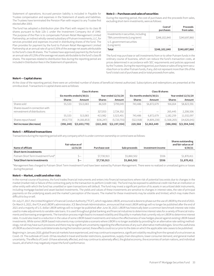Statement of operations. Accrued pension liability is included in Payable for Trustee compensation and expenses in the Statement of assets and liabilities. The Trustees have terminated the Pension Plan with respect to any Trustee first elected after 2003.

The fund has adopted a distribution plan (the Plan) with respect to its class IB shares pursuant to Rule 12b–1 under the Investment Company Act of 1940. The purpose of the Plan is to compensate Putnam Retail Management Limited Partnership, an indirect wholly-owned subsidiary of Putnam Investments, LLC, for services provided and expenses incurred in distributing shares of the fund. The Plan provides for payment by the fund to Putnam Retail Management Limited Partnership at an annual rate of up to 0.35% of the average net assets attributable to the fund's class IB shares. The Trustees have approved payment by the fund at an annual rate of 0.25% of the average net assets attributable to the fund's class IB shares. The expenses related to distribution fees during the reporting period are included in Distribution fees in the Statement of operations.

### **Note 3 — Purchases and sales of securities**

During the reporting period, the cost of purchases and the proceeds from sales, excluding short-term investments, were as follows:

|                                                                     | Cost of<br>purchases | Proceeds<br>from sales |
|---------------------------------------------------------------------|----------------------|------------------------|
| Investments in securities, including<br>TBA commitments (Long-term) | \$248,102,840        | \$240,697,860          |
| U.S. government securities<br>(Long-term)                           |                      |                        |
| Total                                                               | \$248,102,840        | \$240,697,860          |

The fund may purchase or sell investments from or to other Putnam funds in the ordinary course of business, which can reduce the fund's transaction costs, at prices determined in accordance with SEC requirements and policies approved by the Trustees. During the reporting period, purchases or sales of long-term securities from or to other Putnam funds, if any, did not represent more than 5% of the fund's total cost of purchases and/or total proceeds from sales.

### **Note 4 — Capital shares**

At the close of the reporting period, there were an unlimited number of shares of beneficial interest authorized. Subscriptions and redemptions are presented at the omnibus level. Transactions in capital shares were as follows:

|                                                                   |               | Class IA shares          |               |                     |                          |                          | Class IB shares |                     |
|-------------------------------------------------------------------|---------------|--------------------------|---------------|---------------------|--------------------------|--------------------------|-----------------|---------------------|
|                                                                   |               | Six months ended 6/30/21 |               | Year ended 12/31/20 |                          | Six months ended 6/30/21 |                 | Year ended 12/31/20 |
|                                                                   | <b>Shares</b> | Amount                   | <b>Shares</b> | Amount              | <b>Shares</b>            | Amount                   | <b>Shares</b>   | Amount              |
| Shares sold                                                       | 55,533        | \$513,083                | 86,929        | \$799,049           | 743,486                  | \$6,872,679              | 916,814         | \$8,823,591         |
| Shares issued in connection with<br>reinvestment of distributions |               | $\overline{\phantom{m}}$ | 327.053       | 2,724,352           | $\overline{\phantom{0}}$ | __                       | 265,445         | 2,208,506           |
|                                                                   | 55,533        | 513,083                  | 413,982       | 3,523,401           | 743,486                  | 6,872,679                | 1,182,259       | 11,032,097          |
| Shares repurchased                                                | (453, 773)    | (4, 166, 853)            | (636, 247)    | (5,720,755)         | (522, 918)               | (4,809,230)              | (1,568,265)     | (14, 626, 641)      |
| Net increase (decrease)                                           | (398, 240)    | \$(3,653,770)            | (222, 265)    | \$(2,197,354)       | 220,568                  | \$2,063,449              | (386,006)       | \$(3,594,544)       |

### **Note 5 — Affiliated transactions**

Transactions during the reporting period with any company which is under common ownership or control were as follows:

| Name of affiliate                  | Fair value as of<br>12/31/20 | Purchase cost | Sale proceeds | Investment income | Shares outstanding<br>and fair value as of<br>6/30/21 |
|------------------------------------|------------------------------|---------------|---------------|-------------------|-------------------------------------------------------|
| Short-term investments             |                              |               |               |                   |                                                       |
| Putnam Short Term Investment Fund* | $\overline{\phantom{0}}$     | \$7,730,913   | \$5,860,502   | \$556             | \$1,870,411                                           |
| Total Short-term investments       | $\sim$                       | \$7,730,913   | \$5,860,502   | \$556             | \$1,870,411                                           |

\*Management fees charged to Putnam Short Term Investment Fund have been waived by Putnam Management. There were no realized or unrealized gains or losses during the period.

#### **Note 6 — Market, credit and other risks**

In the normal course of business, the fund trades financial instruments and enters into financial transactions where risk of potential loss exists due to changes in the market (market risk) or failure of the contracting party to the transaction to perform (credit risk). The fund may be exposed to additional credit risk that an institution or other entity with which the fund has unsettled or open transactions will default. The fund may invest a significant portion of its assets in securitized debt instruments, including mortgage-backed and asset-backed investments. The yields and values of these investments are sensitive to changes in interest rates, the rate of principal payments on the underlying assets and the market's perception of the issuers. The market for these investments may be volatile and limited, which may make them difficult to buy or sell.

On July 27, 2017, the United Kingdom's Financial Conduct Authority ("FCA"), which regulates LIBOR, announced a desire to phase out the use of LIBOR by the end of 2021. On March 5, 2021, the FCA and LIBOR's administrator, ICE Benchmark Administration, announced that most LIBOR settings will no longer be published after the end of 2021 and a majority of U.S. dollar LIBOR settings will no longer be published after June 30, 2023. LIBOR has historically been a common benchmark interest rate index used to make adjustments to variable-rate loans. It is used throughout global banking and financial industries to determine interest rates for a variety of financial instruments and borrowing arrangements. The transition process might lead to increased volatility and illiquidity in markets that currently rely on LIBOR to determine interest rates. It could also lead to a reduction in the value of some LIBOR-based investments and reduce the effectiveness of new hedges placed against existing LIBOR-based investments. While some LIBOR-based instruments may contemplate a scenario where LIBOR is no longer available by providing for an alternative rate-setting methodology, not all may have such provisions and there may be significant uncertainty regarding the effectiveness of any such alternative methodologies. Since the usefulness of LIBOR as a benchmark could deteriorate during the transition period, these effects could occur prior to the date on which the applicable rate ceases to be published.

Beginning in January 2020, global financial markets have experienced, and may continue to experience, significant volatility resulting from the spread of a virus known as Covid–19. The outbreak of Covid–19 has resulted in travel and border restrictions, quarantines, supply chain disruptions, lower consumer demand, and general market uncertainty. The effects of Covid–19 have adversely affected, and may continue to adversely affect, the global economy, the economies of certain nations, and individual issuers, all of which may negatively impact the fund's performance.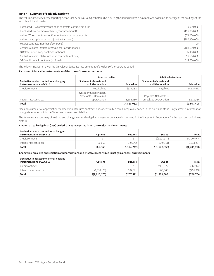### **Note 7 — Summary of derivative activity**

The volume of activity for the reporting period for any derivative type that was held during the period is listed below and was based on an average of the holdings at the end of each fiscal quarter:

| Purchased TBA commitment option contracts (contract amount) | \$79,000,000  |
|-------------------------------------------------------------|---------------|
| Purchased swap option contracts (contract amount)           | \$126,800,000 |
| Written TBA commitment option contracts (contract amount)   | \$79,000,000  |
| Written swap option contracts (contract amount)             | \$100,900,000 |
| Futures contracts (number of contracts)                     | 400           |
| Centrally cleared interest rate swap contracts (notional)   | \$183,600,000 |
| OTC total return swap contracts (notional)                  | \$7,100,000   |
| Centrally cleared total return swap contracts (notional)    | \$6,500,000   |
| OTC credit default contracts (notional)                     | \$27,500,000  |

The following is a summary of the fair value of derivative instruments as of the close of the reporting period:

### **Fair value of derivative instruments as of the close of the reporting period**

|                                                                       | Asset derivatives                                                    |                   | Liability derivatives                            |                   |
|-----------------------------------------------------------------------|----------------------------------------------------------------------|-------------------|--------------------------------------------------|-------------------|
| Derivatives not accounted for as hedging<br>instruments under ASC 815 | Statement of assets and<br>liabilities location                      | <b>Fair value</b> | Statement of assets and<br>liabilities location  | <b>Fair value</b> |
| Credit contracts                                                      | Receivables                                                          | \$929,082         | Payables                                         | \$4,627,672       |
| Interest rate contracts                                               | Investments, Receivables,<br>Net assets - Unrealized<br>appreciation | 3.886.980*        | Payables, Net assets-<br>Unrealized depreciation | 5,319,736*        |
| <b>Total</b>                                                          |                                                                      | \$4,816,062       |                                                  | \$9,947,408       |

\*Includes cumulative appreciation/depreciation of futures contracts and/or centrally cleared swaps as reported in the fund's portfolio. Only current day's variation margin is reported within the Statement of assets and liabilities.

The following is a summary of realized and change in unrealized gains or losses of derivative instruments in the Statement of operations for the reporting period (see Note 1):

### **Amount of realized gain or (loss) on derivatives recognized in net gain or (loss) on investments**  $\sim 1$

### **Derivatives not accounted for as hedging**

| Derivatives not accounted for as hedging<br>instruments under ASC 815 | <b>Options</b> | <b>Futures</b>           | Swaps               | Total              |
|-----------------------------------------------------------------------|----------------|--------------------------|---------------------|--------------------|
| Credit contracts                                                      | $\sim$         | $\overline{\phantom{a}}$ | $\{(1, 107, 944)\}$ | $\zeta(1,107,944)$ |
| Interest rate contracts                                               | 66,069         | (124, 242)               | (540,111)           | \$ (598, 284)      |
| <b>Total</b>                                                          | \$66,069       | \$(124, 242)             | \$(1,648,055)       | \$(1,706,228)      |

**Change in unrealized appreciation or (depreciation) on derivatives recognized in net gain or (loss) on investments**

| Derivatives not accounted for as hedging<br>instruments under ASC 815 | <b>Options</b> | <b>Futures</b> | <b>Swaps</b> | Total        |
|-----------------------------------------------------------------------|----------------|----------------|--------------|--------------|
| Credit contracts                                                      | $\sim$         |                | \$961,922    | \$961,922    |
| Interest rate contracts                                               | (1,010,175)    | 207,571        | 547.386      | \$(255, 218) |
| Total                                                                 | \$(1,010,175)  | \$207,571      | \$1,509,308  | \$706,704    |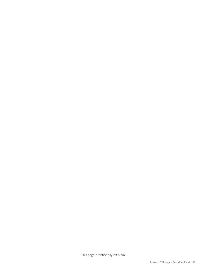This page intentionally left blank.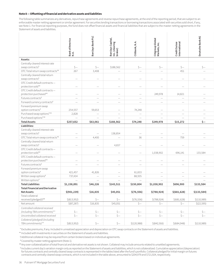### **Note 8 — Offsetting of financial and derivative assets and liabilities**

The following table summarizes any derivatives, repurchase agreements and reverse repurchase agreements, at the end of the reporting period, that are subject to an enforceable master netting agreement or similar agreement. For securities lending transactions or borrowing transactions associated with securities sold short, if any, see Note 1. For financial reporting purposes, the fund does not offset financial assets and financial liabilities that are subject to the master netting agreements in the Statement of assets and liabilities.

|                                         |                                     | PLC                             |                                                |                                 |                                   |                                 | ĄG                              |
|-----------------------------------------|-------------------------------------|---------------------------------|------------------------------------------------|---------------------------------|-----------------------------------|---------------------------------|---------------------------------|
|                                         | <b>America</b><br>ъ<br>Bank<br>N.A. | <b>Bank</b><br>Barclays         | Barclays Capital,<br>Inc. (clearing<br>broker) | ⋖<br>Citibank, N                | Citigroup Global<br>Markets, Inc. | Credit Suisse<br>International  | Bank.<br>tsche<br>ā<br>$\circ$  |
| Assets:                                 |                                     |                                 |                                                |                                 |                                   |                                 |                                 |
| Centrally cleared interest rate         |                                     |                                 |                                                |                                 |                                   |                                 |                                 |
| swap contracts <sup>§</sup>             | $\zeta-$                            | $S-$                            | \$188,562                                      | $S-$                            | $S-$                              | $\zeta-$                        | $S-$                            |
| OTC Total return swap contracts*#       | 267                                 | 3,408                           | $\sim$                                         | $\hspace{0.1cm}$                | $\overline{\phantom{a}}$          | 451                             | $\overline{\phantom{a}}$        |
|                                         |                                     |                                 |                                                |                                 |                                   |                                 |                                 |
| Centrally cleared total return          |                                     |                                 |                                                |                                 |                                   |                                 |                                 |
| swap contracts <sup>§</sup>             | $\overline{\phantom{m}}$            | $\overline{\phantom{m}}$        | $\overline{\phantom{m}}$                       | $\overline{\phantom{m}}$        | $\overline{\phantom{m}}$          | $\overline{\phantom{m}}$        | $\hspace{0.1mm}-\hspace{0.1mm}$ |
| OTC Credit default contracts-           |                                     |                                 |                                                |                                 |                                   |                                 |                                 |
| protection sold*#                       | $\hspace{0.1mm}-\hspace{0.1mm}$     | $\overline{\phantom{m}}$        | $\hspace{0.1mm}-\hspace{0.1mm}$                | $\overline{\phantom{m}}$        | $\hspace{0.1mm}$                  | $\hspace{0.1mm}-\hspace{0.1mm}$ | $\hspace{0.1mm}-\hspace{0.1mm}$ |
| OTC Credit default contracts-           |                                     |                                 |                                                |                                 |                                   |                                 |                                 |
| protection purchased*#                  | $\overline{\phantom{m}}$            | $\hspace{0.1mm}$                | $\sim$                                         | $\sim$                          | 249,978                           | 14,821                          | $\overline{\phantom{a}}$        |
| Futures contracts <sup>§</sup>          | $\overline{\phantom{m}}$            | $\overline{\phantom{a}}$        | $\hspace{0.1mm}-\hspace{0.1mm}$                | $\hspace{0.1mm}$                | $\hspace{0.1mm}-\hspace{0.1mm}$   | $\hspace{0.1mm}-\hspace{0.1mm}$ | $\hspace{0.1mm}-\hspace{0.1mm}$ |
| Forward currency contracts <sup>#</sup> | $\hspace{0.1mm}-\hspace{0.1mm}$     | $\hspace{0.1mm}-\hspace{0.1mm}$ | $\hspace{0.1mm}$                               | $\hspace{0.1mm}$                | $\hspace{0.1mm}-\hspace{0.1mm}$   | $\hspace{0.1mm}$                | $\hspace{0.1mm}-\hspace{0.1mm}$ |
| Forward premium swap                    |                                     |                                 |                                                |                                 |                                   |                                 |                                 |
| option contracts#                       | 254,557                             | 59,653                          | $\overline{\phantom{a}}$                       | 74,248                          | $\hspace{0.1mm}-\hspace{0.1mm}$   | $\hspace{0.1mm}-\hspace{0.1mm}$ | $\overline{\phantom{a}}$        |
| Purchased swap options**#               | 2,828                               | $\hspace{0.1mm}-\hspace{0.1mm}$ | $\hspace{0.1mm}-\hspace{0.1mm}$                | $\hspace{0.1mm}$                | $\hspace{0.1mm}-\hspace{0.1mm}$   | $\overline{\phantom{m}}$        | $\hspace{0.1mm}-\hspace{0.1mm}$ |
| Purchased options**#                    | $\overline{\phantom{m}}$            | $\hspace{0.1mm}-\hspace{0.1mm}$ | $\hspace{0.1mm}$                               | $\hspace{0.1cm}$                | $\hspace{0.1mm}-\hspace{0.1mm}$   | $\overline{\phantom{m}}$        | $\hspace{0.1mm}-\hspace{0.1mm}$ |
| <b>Total Assets</b>                     | \$257,652                           | \$63,061                        | \$188,562                                      | \$74,248                        | \$249,978                         | \$15,272                        | $\zeta$                         |
| Liabilities:                            |                                     |                                 |                                                |                                 |                                   |                                 |                                 |
|                                         |                                     |                                 |                                                |                                 |                                   |                                 |                                 |
| Centrally cleared interest rate         |                                     |                                 |                                                |                                 |                                   |                                 |                                 |
| swap contracts <sup>§</sup>             | $\overline{\phantom{m}}$            | $\hspace{0.1cm}$                | 138,854                                        | $\hspace{0.1mm}$                | $\hspace{0.1mm}-\hspace{0.1mm}$   | $\hspace{0.1mm}-\hspace{0.1mm}$ | $\hspace{0.1mm}-\hspace{0.1mm}$ |
| OTC Total return swap contracts*#       | $\hspace{0.1cm}$                    | 4,400                           | $\hspace{0.1mm}-\hspace{0.1mm}$                | 36                              | $\hspace{0.1mm}-\hspace{0.1mm}$   | 759                             | $\hspace{0.1mm}-\hspace{0.1mm}$ |
| Centrally cleared total return          |                                     |                                 |                                                |                                 |                                   |                                 |                                 |
| swap contracts <sup>§</sup>             | $\hspace{0.1mm}-\hspace{0.1mm}$     | $\hspace{0.1mm}-\hspace{0.1mm}$ | 4,657                                          | $\hspace{0.1mm}-\hspace{0.1mm}$ | $\overline{\phantom{m}}$          | $\hspace{0.1mm}$                | $\hspace{0.1mm}-\hspace{0.1mm}$ |
| OTC Credit default contracts-           |                                     |                                 |                                                |                                 |                                   |                                 |                                 |
| protection sold*#                       | $\overline{\phantom{a}}$            | $\overline{\phantom{a}}$        | $\hspace{0.1mm}$                               | $\hspace{0.1cm}$                | 1,038,902                         | 696,141                         | 133,584                         |
| OTC Credit default contracts-           |                                     |                                 |                                                |                                 |                                   |                                 |                                 |
| protection purchased*#                  | $\hspace{0.1mm}-\hspace{0.1mm}$     | $\hspace{0.1mm}-\hspace{0.1mm}$ | $\hspace{0.1mm}$                               | $\hspace{0.1mm}-\hspace{0.1mm}$ | $\hspace{0.1mm}-\hspace{0.1mm}$   | $\hspace{0.1mm}-\hspace{0.1mm}$ | $\hspace{0.1mm}-\hspace{0.1mm}$ |
| Futures contracts <sup>§</sup>          | $\hspace{0.1mm}-\hspace{0.1mm}$     | $\overline{\phantom{m}}$        | $\hspace{0.1mm}-\hspace{0.1mm}$                | $\overline{\phantom{m}}$        | $\overline{\phantom{m}}$          | $\overline{\phantom{m}}$        | $\hspace{0.1mm}-\hspace{0.1mm}$ |
| Forward premium swap                    |                                     |                                 |                                                |                                 |                                   |                                 |                                 |
| option contracts#                       | 421,457                             | 41,826                          | $\hspace{0.1mm}$                               | 61,833                          | $\hspace{0.1mm}-\hspace{0.1mm}$   | $\hspace{0.1mm}-\hspace{0.1mm}$ | $\hspace{0.1mm}-\hspace{0.1mm}$ |
| Written swap options#                   | 737,434                             | $\overline{\phantom{a}}$        | $\hspace{0.1mm}$                               | 88,935                          | $\hspace{0.1mm}$                  | $\overline{\phantom{a}}$        | $\hspace{0.1mm}-\hspace{0.1mm}$ |
| Written options <sup>#</sup>            | $\overline{\phantom{m}}$            | $\overline{\phantom{m}}$        | $\overline{\phantom{m}}$                       | $\hspace{0.1mm}-\hspace{0.1mm}$ | $\hspace{0.1mm}-\hspace{0.1mm}$   | $\overline{\phantom{m}}$        | $\overline{\phantom{m}}$        |
| <b>Total Liabilities</b>                |                                     | \$46,226                        | \$143,511                                      | \$150,804                       |                                   | \$696,900                       | \$133,584                       |
|                                         | \$1,158,891                         |                                 |                                                |                                 | \$1,038,902                       |                                 |                                 |
| <b>Total Financial and Derivative</b>   |                                     |                                 |                                                |                                 |                                   |                                 |                                 |
| <b>Net Assets</b>                       | \$(901, 239)                        | \$16,835                        | \$45,051                                       | \$(76, 556)                     | \$(788, 924)                      | \$ (681, 628)                   | \$(133, 584)                    |
| Total collateral                        |                                     |                                 |                                                |                                 |                                   |                                 |                                 |
| received (pledged) <sup>†##</sup>       | \$ (813,952)                        | $\zeta-$                        | $\zeta-$                                       | \$(76, 556)                     | \$(788,924)                       | \$ (681, 628)                   | \$(110,989)                     |
| Net amount                              | \$ (87, 287)                        | \$16,835                        | \$45,051                                       | $S-$                            | $s-$                              | $S-$                            | \$(22,595)                      |
| Controlled collateral received          |                                     |                                 |                                                |                                 |                                   |                                 |                                 |
| (including TBA commitments)**           | $\zeta-$                            | $s-$                            | $s-$                                           | $S-$                            | $s-$                              | $S-$                            | $s-$                            |
| Uncontrolled collateral received        | $\mathsf{S}-$                       | $s-$                            | $\zeta-$                                       | $S-$                            | $\zeta-$                          | $\zeta-$                        | $\zeta-$                        |
| Collateral (pledged) (including         |                                     |                                 |                                                |                                 |                                   |                                 |                                 |
| TBA commitments)**                      | \$ (813,952)                        | $S-$                            | $S-$                                           | \$(120, 988)                    | \$ (842, 916)                     | \$ (684, 948)                   | \$(110,989)                     |

\*Excludes premiums, if any. Included in unrealized appreciation and depreciation on OTC swap contracts on the Statement of assets and liabilities.

\*\* Included with Investments in securities on the Statement of assets and liabilities.

†Additional collateral may be required from certain brokers based on individual agreements.

#Covered by master netting agreement (Note 1).

##Any over-collateralization of total financial and derivative net assets is not shown. Collateral may include amounts related to unsettled agreements.

§ Includes current day's variation margin only as reported on the Statement of assets and liabilities, which is not collateralized. Cumulative appreciation/(depreciation) for futures contracts and centrally cleared swap contracts is represented in the tables listed after the fund's portfolio. Collateral pledged for initial margin on futures contracts and centrally cleared swap contracts, which is not included in the table above, amounted to \$204,979 and \$721,924, respectively.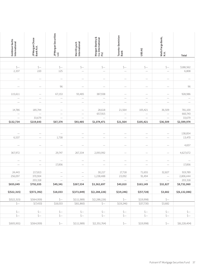| Goldman Sachs<br>International       | JPMorgan Chase<br>Bank N.A.                                        | JPMorgan Securities<br>LLC      | Merrill Lynch<br>International               | Morgan Stanley &<br>  Co. International<br>  PLC     | Toronto-Dominion<br>Bank                            | <b>UBSAG</b>                                        | Wells Fargo Bank,<br>N.A.                   | Total                                     |
|--------------------------------------|--------------------------------------------------------------------|---------------------------------|----------------------------------------------|------------------------------------------------------|-----------------------------------------------------|-----------------------------------------------------|---------------------------------------------|-------------------------------------------|
|                                      |                                                                    |                                 |                                              |                                                      |                                                     |                                                     |                                             |                                           |
|                                      |                                                                    |                                 |                                              |                                                      |                                                     |                                                     |                                             |                                           |
| $\zeta-$<br>2,337                    | $\zeta-$<br>220                                                    | $\zeta-$<br>125                 | $S-$<br>$\hspace{0.1cm}$                     | $\zeta-$<br>$\sim$                                   | $\zeta-$<br>$\hspace{0.1mm}$                        | $S-$<br>$\sim$                                      | $\zeta-$<br>$\hspace{0.1mm}-\hspace{0.1mm}$ | \$188,562<br>6,808                        |
|                                      |                                                                    |                                 |                                              |                                                      |                                                     |                                                     |                                             |                                           |
| $\hspace{0.1mm}$                     | $\hspace{0.1mm}-\hspace{0.1mm}$                                    | $-$                             | $\hspace{0.1mm}-\hspace{0.1mm}$              | $\overline{\phantom{m}}$                             | $\hspace{0.1mm}$                                    | $\hspace{0.1mm}-\hspace{0.1mm}$                     | $\overline{\phantom{m}}$                    | $\overline{\phantom{m}}$                  |
| $\hspace{0.1cm}$                     | $\hspace{0.1mm}-\hspace{0.1mm}$                                    | 96                              | $\hspace{0.1mm}-\hspace{0.1mm}$              | $\overline{\phantom{m}}$                             | $\hspace{0.1mm}-\hspace{0.1mm}$                     | $\hspace{0.1cm}$                                    | $\overline{\phantom{m}}$                    | 96                                        |
|                                      |                                                                    |                                 |                                              |                                                      |                                                     |                                                     |                                             |                                           |
| 115,611<br>$\hspace{0.1cm}$          | $\hspace{0.1mm}-\hspace{0.1mm}$<br>$\overline{\phantom{a}}$        | 67,153<br>$\sim$                | 93,485<br>$\hspace{0.1mm}-\hspace{0.1mm}$    | 387,938<br>$\overline{\phantom{a}}$                  | $\hspace{0.1mm}$<br>$\hspace{0.1mm}-\hspace{0.1mm}$ | $\sim$<br>$\hspace{0.1mm}$                          | $\hspace{0.1mm}-\hspace{0.1mm}$<br>$\equiv$ | 928,986<br>$\hspace{0.1mm}$               |
| $\hspace{0.1cm}$                     | $\hspace{0.1mm}-\hspace{0.1mm}$                                    | $\longrightarrow$               | $\equiv$                                     | $\hspace{0.1mm}$                                     | $\hspace{0.1mm}-\hspace{0.1mm}$                     | $\overline{\phantom{m}}$                            | $\equiv$                                    | $\equiv$                                  |
|                                      |                                                                    |                                 |                                              |                                                      |                                                     |                                                     |                                             |                                           |
| 14,786                               | 185,744                                                            | $\overline{\phantom{m}}$        | $\hspace{0.1cm} -$                           | 28,618                                               | 21,564                                              | 105,421                                             | 36,509                                      | 781,100                                   |
| $\sim$                               | $\hspace{0.1mm}$                                                   | $\hspace{0.1mm}-\hspace{0.1mm}$ | $\hspace{0.1mm}-\hspace{0.1mm}$              | 657,915                                              | $\longrightarrow$                                   | $\hspace{0.1cm}$                                    | $\hspace{0.1mm}-\hspace{0.1mm}$             | 660,743                                   |
| $\hspace{0.1mm}-\hspace{0.1mm}$      | 33,679                                                             | $\longrightarrow$               | $\equiv$                                     | $\equiv$                                             | $\hspace{0.1mm}-\hspace{0.1mm}$                     | $\hspace{0.1cm}$                                    | $\hspace{0.1mm}-\hspace{0.1mm}$             | 33,679                                    |
| \$132,734                            | \$219,643                                                          | \$67,374                        | \$93,485                                     | \$1,074,471                                          | \$21,564                                            | \$105,421                                           | \$36,509                                    | \$2,599,974                               |
|                                      |                                                                    |                                 |                                              |                                                      |                                                     |                                                     |                                             |                                           |
| $\hspace{0.1mm}$                     | $\hspace{0.1mm}-\hspace{0.1mm}$                                    | $\hspace{0.1mm}$                | $\hspace{0.1mm}$                             | $\hspace{0.1mm}$                                     | $\hspace{0.1mm}-\hspace{0.1mm}$                     | $\hspace{0.1mm}$                                    | $\overline{\phantom{m}}$                    | 138,854                                   |
| 6,537                                | $\hspace{0.1mm}-\hspace{0.1mm}$                                    | 1,738                           | $\hspace{0.1mm}$                             | $\overline{\phantom{m}}$                             | $\hspace{0.1mm}$                                    | $\hspace{0.1mm}$                                    | $\overline{\phantom{m}}$                    | 13,470                                    |
| $\hspace{0.1cm}$                     | $\overline{\phantom{a}}$                                           | $\overline{\phantom{m}}$        | $\hspace{0.1mm}-\hspace{0.1mm}$              | $\overline{\phantom{m}}$                             | $\hspace{0.1mm}$                                    | $\hspace{0.1mm}-\hspace{0.1mm}$                     | $\hspace{0.1mm}-\hspace{0.1mm}$             | 4,657                                     |
| 367,972                              | $\hspace{0.1mm}-\hspace{0.1mm}$                                    | 29,747                          |                                              |                                                      |                                                     |                                                     |                                             |                                           |
|                                      |                                                                    |                                 |                                              |                                                      | $\hspace{0.1mm}$                                    | $\overline{\phantom{a}}$                            | $\equiv$                                    |                                           |
|                                      |                                                                    |                                 | 267,334                                      | 2,093,992                                            |                                                     |                                                     |                                             | 4,627,672                                 |
| $\hspace{0.1mm}$<br>$\hspace{0.1mm}$ | $\hspace{0.1mm}-\hspace{0.1mm}$<br>$\hspace{0.1mm}-\hspace{0.1mm}$ | $\hspace{0.1cm}$<br>17,856      | $\hspace{0.1mm}$<br>$\overline{\phantom{a}}$ | $\overline{\phantom{m}}$<br>$\overline{\phantom{m}}$ | $\hspace{0.1mm}$<br>$\hspace{0.1mm}-\hspace{0.1mm}$ | $\hspace{0.1mm}$<br>$\hspace{0.1mm}-\hspace{0.1mm}$ | $\hspace{0.1mm}-\hspace{0.1mm}$<br>$\equiv$ | $\hspace{0.1cm}$<br>17,856                |
|                                      |                                                                    |                                 |                                              |                                                      |                                                     |                                                     |                                             |                                           |
| 24,443                               | 217,813                                                            | $\overline{\phantom{m}}$        | $\overline{\phantom{a}}$                     | 30,217                                               | 17,718                                              | 71,655                                              | 32,827                                      | 919,789                                   |
| 256,097                              | 370,904                                                            | $\overline{\phantom{m}}$        | $\hspace{0.1mm}-\hspace{0.1mm}$              | 1,238,488                                            | 23,092                                              | 91,494                                              | $\hspace{0.1cm}$                            | 2,806,444                                 |
| $\hspace{0.1cm}$                     | 203,318                                                            | $\overline{\phantom{m}}$        | $\overline{\phantom{a}}$                     | $\hspace{0.1mm}$                                     | $\hspace{0.1mm}-\hspace{0.1mm}$                     | $\hspace{0.1mm}-\hspace{0.1mm}$                     | $\hspace{0.1mm}-\hspace{0.1mm}$             |                                           |
| \$655,049                            | \$792,035                                                          | \$49,341                        | \$267,334                                    | \$3,362,697                                          | \$40,810                                            | \$163,149                                           | \$32,827                                    |                                           |
| \$ (522, 315)                        | \$ (572, 392)                                                      | \$18,033                        | \$(173, 849)                                 | \$(2, 288, 226)                                      | \$(19, 246)                                         | \$(57, 728)                                         | \$3,682                                     |                                           |
| \$ (522, 315)                        | \$ (564, 959)                                                      | $S-$                            | \$(111,989)                                  | \$(2,288,226)                                        | $S-$                                                | \$(19,998)                                          | $S-$                                        | 203,318<br>\$8,732,060<br>\$(6, 132, 086) |
| $S-$                                 | $\zeta(7,433)$                                                     | \$18,033                        | \$ (61, 860)                                 | $S-$                                                 | \$(19, 246)                                         | \$(37,730)                                          | \$3,682                                     |                                           |
|                                      |                                                                    |                                 |                                              |                                                      |                                                     |                                                     |                                             |                                           |
| $\zeta-$                             | $\mathsf{S}-$                                                      | $\mathsf{S}-$                   | $\zeta-$                                     | $\zeta-$                                             | $S-$                                                | $S-$                                                | $S-$                                        |                                           |
| $\mathsf{S}-$<br>\$ (605, 901)       | $\zeta-$<br>\$ (564,959)                                           | $\zeta-$<br>$S-$                | $\zeta-$<br>\$(111,989)                      | $\zeta-$<br>\$(2,351,764)                            | $\zeta-$<br>$S-$                                    | $S-$<br>\$(19,998)                                  | $\zeta-$<br>$\zeta-$                        | $\zeta-$<br>$\zeta-$<br>\$(6,228,404)     |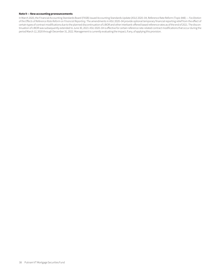### **Note 9 — New accounting pronouncements**

In March 2020, the Financial Accounting Standards Board (FASB) issued Accounting Standards Update (ASU) 2020–04, Reference Rate Reform (Topic 848) — *Facilitation of the Effects of Reference Rate Reform on Financial Reporting*. The amendments in ASU 2020–04 provide optional temporary financial reporting relief from the effect of certain types of contract modifications due to the planned discontinuation of LIBOR and other interbank-offered based reference rates as of the end of 2021. The discontinuation of LIBOR was subsequently extended to June 30, 2023. ASU 2020–04 is effective for certain reference rate-related contract modifications that occur during the period March 12, 2020 through December 31, 2022. Management is currently evaluating the impact, if any, of applying this provision.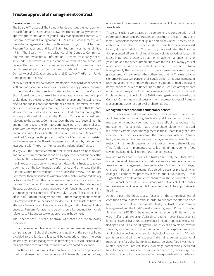### **Trustee approval of management contract**

### **General conclusions**

The Board of Trustees of The Putnam Funds oversees the management of each fund and, as required by law, determines annually whether to approve the continuance of your fund's management contract with Putnam Investment Management, LLC ("Putnam Management") and the sub-management contract with respect to your fund between Putnam Management and its affiliate, Putnam Investments Limited ("PIL"). The Board, with the assistance of its Contract Committee, requests and evaluates all information it deems reasonably necessary under the circumstances in connection with its annual contract review. The Contract Committee consists solely of Trustees who are not "interested persons" (as this term is defined in the Investment Company Act of 1940, as amended (the "1940 Act")) of The Putnam Funds ("Independent Trustees").

At the outset of the review process, members of the Board's independent staff and independent legal counsel considered any possible changes to the annual contract review materials furnished to the Contract Committee during the course of the previous year's review and, as applicable, identified those changes to Putnam Management. Following these discussions and in consultation with the Contract Committee, the Independent Trustees' independent legal counsel requested that Putnam Management and its affiliates furnish specified information, together with any additional information that Putnam Management considered relevant, to the Contract Committee. Over the course of several months ending in June 2021, the Contract Committee met on a number of occasions with representatives of Putnam Management, and separately in executive session, to consider the information that Putnam Management provided. Throughout this process, the Contract Committee was assisted by the members of the Board's independent staff and by independent legal counsel for The Putnam Funds and the Independent Trustees.

In May 2021, the Contract Committee met in executive session to discuss and consider its recommendations with respect to the continuance of the contracts. At the Trustees' June 2021 meeting, the Contract Committee met in executive session with the other Independent Trustees to review a summary of the key financial, performance and other data that the Contract Committee considered in the course of its review. The Contract Committee then presented its written report, which summarized the key factors that the Committee had considered and set forth its recommendations. The Contract Committee recommended, and the Independent Trustees approved, the continuance of your fund's management and sub-management contracts, effective July 1, 2021. (Because PIL is an affiliate of Putnam Management and Putnam Management remains fully responsible for all services provided by PIL, the Trustees have not attempted to evaluate PIL as a separate entity, and all subsequent references to Putnam Management below should be deemed to include reference to PIL as necessary or appropriate in the context.)

The Independent Trustees' approval was based on the following conclusions:

• That the fee schedule in effect for your fund represented reasonable compensation in light of the nature and quality of the services being provided to the fund, the fees paid by competitive funds, the costs incurred by Putnam Management in providing services to the fund, and the application of certain reductions and waivers noted below; and

• That the fee schedule in effect for your fund represented an appropriate sharing between fund shareholders and Putnam Management of any economies of scale as may exist in the management of the fund at current asset levels.

These conclusions were based on a comprehensive consideration of all information provided to the Trustees and were not the result of any single factor. Some of the factors that figured particularly in the Trustees' deliberations and how the Trustees considered these factors are described below, although individual Trustees may have evaluated the information presented differently, giving different weights to various factors. It is also important to recognize that the management arrangements for your fund and the other Putnam funds are the result of many years of review and discussion between the Independent Trustees and Putnam Management, that some aspects of the arrangements may receive greater scrutiny in some years than others, and that the Trustees' conclusions may be based, in part, on their consideration of fee arrangements in previous years. For example, with certain exceptions primarily involving newly launched or repositioned funds, the current fee arrangements under the vast majority of the funds' management contracts were first implemented at the beginning of 2010 following extensive review by the Contract Committee and discussions with representatives of Putnam Management, as well as approval by shareholders.

### **Management fee schedules and total expenses**

The Trustees reviewed the management fee schedules in effect for all Putnam funds, including fee levels and breakpoints. Under its management contract, your fund has the benefit of breakpoints in its management fee schedule that provide shareholders with reduced fee levels as assets under management in the Putnam family of funds increase. The Trustees also reviewed the total expenses of each Putnam fund, recognizing that in most cases management fees represented the major, but not the sole, determinant of total costs to fund shareholders. (Two funds have implemented so-called "all-in" management fees covering substantially all routine fund operating costs.)

In reviewing fees and expenses, the Trustees generally focus their attention on material changes in circumstances — for example, changes in assets under management, changes in a fund's investment strategy, changes in Putnam Management's operating costs or profitability, or changes in competitive practices in the mutual fund industry — that suggest that consideration of fee changes might be warranted. The Trustees concluded that the circumstances did not indicate that changes to the management fee schedule for your fund would be appropriate at this time.

As in the past, the Trustees also focused on the competitiveness of each fund's total expense ratio. In order to support the effort to have fund expenses meet competitive standards, the Trustees and Putnam Management and the funds' investor servicing agent, Putnam Investor Services, Inc. ("PSERV"), have implemented expense limitations that were in effect during your fund's fiscal year ending in 2020. These expense limitations were: (i) a contractual expense limitation applicable to specified open-end funds, including your fund, of 25 basis points on investor servicing fees and expenses and (ii) a contractual expense limitation applicable to specified open-end funds, including your fund, of 20 basis points on so-called "other expenses" (i.e., all expenses exclusive of management fees, distribution fees, investor servicing fees, investmentrelated expenses, interest, taxes, brokerage commissions, acquired fund fees and expenses and extraordinary expenses). These expense limitations attempt to maintain competitive expense levels for the funds.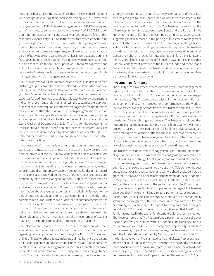Most funds had sufficiently low expenses that these expense limitations were not operative during their fiscal years ending in 2020. However, in the case of your fund, the second expense limitation applied during its fiscal year ending in 2020. Putnam Management and PSERV have agreed to maintain these expense limitations until at least April 30, 2023. In addition, Putnam Management contractually agreed to waive fees and/or reimburse expenses of your fund to the extent that expenses of the fund (excluding payments under the fund's distribution plans, brokerage, interest, taxes, investment-related expenses, extraordinary expenses, and acquired fund fees and expenses) would exceed an annual rate of 0.50% of its average net assets through at least April 30, 2023. During its fiscal year ending in 2020, your fund's expenses were reduced as a result of this expense limitation. The support of Putnam Management and PSERV for these expense limitation arrangements was an important factor in the Trustees' decision to approve the continuance of your fund's management and sub-management contracts.

The Trustees reviewed comparative fee and expense information for a custom group of competitive funds selected by Broadridge Financial Solutions, Inc. ("Broadridge"). This comparative information included your fund's percentile ranking for effective management fees and total expenses (excluding any applicable 12b-1 fees), which provides a general indication of your fund's relative standing. In the custom peer group, your fund ranked in the first quintile in effective management fees (determined for your fund and the other funds in the custom peer group based on fund asset size and the applicable contractual management fee schedule) and in the second quintile in total expenses (excluding any applicable 12b-1 fees) as of December 31, 2020. The first quintile represents the least expensive funds and the fifth quintile the most expensive funds. The fee and expense data reported by Broadridge as of December 31, 2020 reflected the most recent fiscal year-end data available in Broadridge's database at that time.

In connection with their review of fund management fees and total expenses, the Trustees also reviewed the costs of the services provided and the profits realized by Putnam Management and its affiliates from their contractual relationships with the funds. This information included trends in revenues, expenses and profitability of Putnam Management and its affiliates relating to the investment management, investor servicing and distribution services provided to the funds. In this regard, the Trustees also reviewed an analysis of the revenues, expenses and profitability of Putnam Management and its affiliates, allocated on a fund-by-fund basis, with respect to the funds' management, distribution, and investor servicing contracts. For each fund, the analysis presented information about revenues, expenses and profitability for each of the agreements separately and for the agreements taken together on a combined basis. The Trustees concluded that, at current asset levels, the fee schedules in place for the Putnam funds, including the fee schedule for your fund, represented reasonable compensation for the services being provided and represented an appropriate sharing between fund shareholders and Putnam Management of any economies of scale as may exist in the management of the Putnam funds at that time.

The information examined by the Trustees in connection with their annual contract review for the Putnam funds included information regarding services provided and fees charged by Putnam Management and its affiliates to other clients, including defined benefit pension and profit-sharing plans, sub-advised mutual funds, private funds sponsored by affiliates of Putnam Management, model-only separately managed accounts and Putnam Management's newly launched exchange-traded funds. This information included, in cases where a product's investment

40 Putnam VT Mortgage Securities Fund

strategy corresponds with a fund's strategy, comparisons of those fees with fees charged to the Putnam funds, as well as an assessment of the differences in the services provided to these clients as compared to the services provided to the Putnam funds. The Trustees observed that the differences in fee rates between these clients and the Putnam funds are by no means uniform when examined by individual asset sectors, suggesting that differences in the pricing of investment management services to these types of clients may reflect, among other things, historical competitive forces operating in separate marketplaces. The Trustees considered the fact that in many cases fee rates across different asset classes are higher on average for mutual funds than for other clients, and the Trustees also considered the differences between the services that Putnam Management provides to the Putnam funds and those that it provides to its other clients. The Trustees did not rely on these comparisons to any significant extent in concluding that the management fees paid by your fund are reasonable.

### **Investment performance**

The quality of the investment process provided by Putnam Management represented a major factor in the Trustees' evaluation of the quality of services provided by Putnam Management under your fund's management contract. The Trustees were assisted in their review of Putnam Management's investment process and performance by the work of the investment oversight committees of the Trustees and the full Board of Trustees, which meet on a regular basis with individual portfolio managers and with senior management of Putnam Management's Investment Division throughout the year. The Trustees concluded that Putnam Management generally provides a high-quality investment process — based on the experience and skills of the individuals assigned to the management of fund portfolios, the resources made available to them, and in general Putnam Management's ability to attract and retain high-quality personnel — but also recognized that this does not guarantee favorable investment results for every fund in every time period.

The Trustees considered that, in the aggregate, The Putnam Funds generally performed well in 2020, which Putnam Management characterized as a challenging year with significant volatility and varied market dynamics. On an asset-weighted basis, the Putnam funds ranked in the second quartile of their peers as determined by Lipper Inc. ("Lipper") for the year ended December 31, 2020, and, on an asset-weighted-basis, delivered a gross return that was 2.3% ahead of their benchmarks in 2020. In addition to the performance of the individual Putnam funds, the Trustees considered, as they had in prior years, the performance of The Putnam Fund complex versus competitor fund complexes. In this regard, the Trustees observed that The Putnam Funds' relative performance, as reported in the Barron's/Lipper Fund Families survey, continued to be exceptionally strong over the long term, with The Putnam Funds ranking as the 3rd best performing mutual fund complex out of 44 complexes for the ten-year period, with 2020 marking the fourth consecutive year that The Putnam Funds have ranked in the top ten fund complexes for the ten-year period. The Trustees noted that The Putnam Funds' performance was solid over the one- and five-year periods, with The Putnam Funds ranking 22nd out of 53 complexes and 14th out of 50 complexes, respectively. In addition to the Barron's/Lipper Fund Families Survey, the Trustees also considered the funds' ratings assigned by Morningstar Inc., noting that 26 of the funds were four- or five-star rated at the end of 2020 (representing an increase of four funds year-over-year) and that this included seven funds that had achieved a five-star rating (representing an increase of two funds year-over-year). They also noted, however, the disappointing investment performance of some funds for periods ended December 31, 2020, and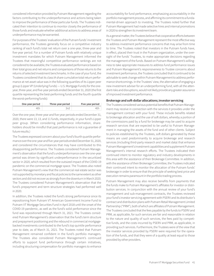considered information provided by Putnam Management regarding the factors contributing to the underperformance and actions being taken to improve the performance of these particular funds. The Trustees indicated their intention to continue to monitor closely the performance of those funds and evaluate whether additional actions to address areas of underperformance may be warranted.

For purposes of the Trustees' evaluation of the Putnam funds' investment performance, the Trustees generally focus on a competitive industry ranking of each fund's total net return over a one-year, three-year and five-year period. For a number of Putnam funds with relatively unique investment mandates for which Putnam Management informed the Trustees that meaningful competitive performance rankings are not considered to be available, the Trustees evaluated performance based on their total gross and net returns and comparisons of those returns to the returns of selected investment benchmarks. In the case of your fund, the Trustees considered that its class IA share cumulative total return performance at net asset value was in the following quartiles of its Lipper peer group (Lipper VP (Underlying Funds) — U.S. Mortgage Funds) for the oneyear, three-year, and five-year periods ended December 31, 2020 (the first quartile representing the best-performing funds and the fourth quartile the worst-performing funds):

| One-year period | Three-year period | Five-year period |
|-----------------|-------------------|------------------|
|                 |                   |                  |

Over the one-year, three-year and five-year periods ended December 31, 2020, there were 13, 13, and 11 funds, respectively, in your fund's Lipper peer group. (When considering performance information, shareholders should be mindful that past performance is not a guarantee of future results.)

The Trustees expressed concern about your fund's fourth quartile performance over the one-year and five-year periods ended December 31, 2020, and considered the circumstances that may have contributed to this disappointing performance. The Trustees considered Putnam Management's observation that the fund's underperformance over the one-year period was driven by significant underperformance in the securitized sector in 2020, which resulted from the outsized impact of the COVID-19 pandemic on the commercial mortgage space. The Trustees also noted Putnam Management's view that the commercial real estate sector was not supported by monetary and fiscal policies to the same extent as other sectors and did not recover as strongly from the downturn in March 2020. The Trustees considered Putnam Management's observation that the fund's prepayment and term structure strategies had performed well in 2020.

In addition, the Trustees noted the fund's strong performance since its repositioning from Putnam VT American Government Income Fund to Putnam VT Mortgage Securities Fund in April 2018 until the onset of the COVID-19 pandemic, as well as the fund's solid performance since the fund was repositioned through March 31, 2021. The Trustees considered Putnam Management's observation that the fund's term structure and prepayment positioning and the rebound in commercial mortgagebacked investments contributed to the fund's top quintile performance year to date, as of March 31, 2021. The Trustees noted that Putnam Management remained confident in the fund's portfolio managers. The Trustees also considered Putnam Management's continued efforts to support fund performance through certain initiatives, including structuring compensation for portfolio managers to enhance accountability for fund performance, emphasizing accountability in the portfolio management process, and affirming its commitment to a fundamental-driven approach to investing. The Trustees noted further that Putnam Management had made selective hires and internal promotions in 2020 to strengthen its investment team.

As a general matter, the Trustees believe that cooperative efforts between the Trustees and Putnam Management represent the most effective way to address investment performance concerns that may arise from time to time. The Trustees noted that investors in the Putnam funds have, in effect, placed their trust in the Putnam organization, under the oversight of the funds' Trustees, to make appropriate decisions regarding the management of the funds. Based on Putnam Management's willingness to take appropriate measures to address fund performance issues and Putnam Management's responsiveness to Trustee concerns about investment performance, the Trustees concluded that it continued to be advisable to seek change within Putnam Management to address performance shortcomings. In the Trustees' view, the alternative of engaging a new investment adviser for an underperforming fund, with all the attendant risks and disruptions, would not likely provide any greater assurance of improved investment performance.

### **Brokerage and soft-dollar allocations; investor servicing**

The Trustees considered various potential benefits that Putnam Management may receive in connection with the services it provides under the management contract with your fund. These include benefits related to brokerage allocation and the use of soft dollars, whereby a portion of the commissions paid by a fund for brokerage may be used to acquire research services that are expected to be useful to Putnam Management in managing the assets of the fund and of other clients. Subject to policies established by the Trustees, soft dollars generated by these means are used predominantly to acquire brokerage and research services (including third-party research and market data) that enhance Putnam Management's investment capabilities and supplement Putnam Management's internal research efforts. The Trustees indicated their continued intent to monitor regulatory and industry developments in this area with the assistance of their Brokerage Committee. In addition, with the assistance of their Brokerage Committee, the Trustees indicated their continued intent to monitor the allocation of the Putnam funds' brokerage in order to ensure that the principle of seeking best price and execution remains paramount in the portfolio trading process.

Putnam Management may also receive benefits from payments that the funds make to Putnam Management's affiliates for investor or distribution services. In conjunction with the annual review of your fund's management and sub-management contracts, the Trustees reviewed your fund's investor servicing agreement with PSERV and its distributor's contract and distribution plans with Putnam Retail Management Limited Partnership ("PRM"), both of which are affiliates of Putnam Management. The Trustees concluded that the fees payable by the funds to PSERV and PRM, as applicable, for such services are fair and reasonable in relation to the nature and quality of such services, the fees paid by competitive funds, and the costs incurred by PSERV and PRM, as applicable, in providing such services. Furthermore, the Trustees were of the view that the investor services provided by PSERV were required for the operation of the funds, and that they were of a quality at least equal to those provided by other providers.